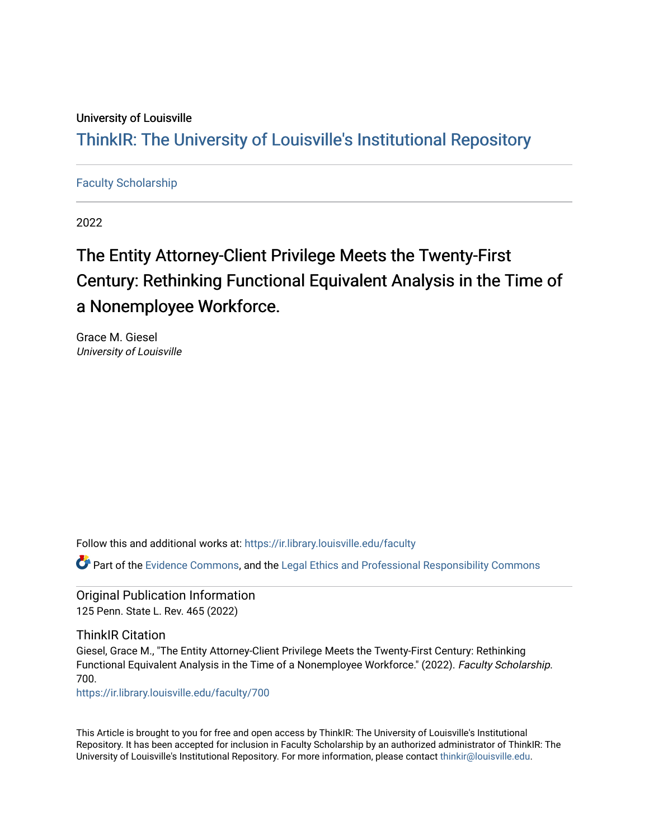## University of Louisville

## ThinkIR: The Univ[ersity of Louisville's Institutional Reposit](https://ir.library.louisville.edu/)ory

## [Faculty Scholarship](https://ir.library.louisville.edu/faculty)

2022

# The Entity Attorney-Client Privilege Meets the Twenty-First Century: Rethinking Functional Equivalent Analysis in the Time of a Nonemployee Workforce.

Grace M. Giesel University of Louisville

Follow this and additional works at: [https://ir.library.louisville.edu/faculty](https://ir.library.louisville.edu/faculty?utm_source=ir.library.louisville.edu%2Ffaculty%2F700&utm_medium=PDF&utm_campaign=PDFCoverPages)

Part of the [Evidence Commons,](http://network.bepress.com/hgg/discipline/601?utm_source=ir.library.louisville.edu%2Ffaculty%2F700&utm_medium=PDF&utm_campaign=PDFCoverPages) and the [Legal Ethics and Professional Responsibility Commons](http://network.bepress.com/hgg/discipline/895?utm_source=ir.library.louisville.edu%2Ffaculty%2F700&utm_medium=PDF&utm_campaign=PDFCoverPages) 

Original Publication Information 125 Penn. State L. Rev. 465 (2022)

ThinkIR Citation

Giesel, Grace M., "The Entity Attorney-Client Privilege Meets the Twenty-First Century: Rethinking Functional Equivalent Analysis in the Time of a Nonemployee Workforce." (2022). Faculty Scholarship. 700.

[https://ir.library.louisville.edu/faculty/700](https://ir.library.louisville.edu/faculty/700?utm_source=ir.library.louisville.edu%2Ffaculty%2F700&utm_medium=PDF&utm_campaign=PDFCoverPages) 

This Article is brought to you for free and open access by ThinkIR: The University of Louisville's Institutional Repository. It has been accepted for inclusion in Faculty Scholarship by an authorized administrator of ThinkIR: The University of Louisville's Institutional Repository. For more information, please contact [thinkir@louisville.edu](mailto:thinkir@louisville.edu).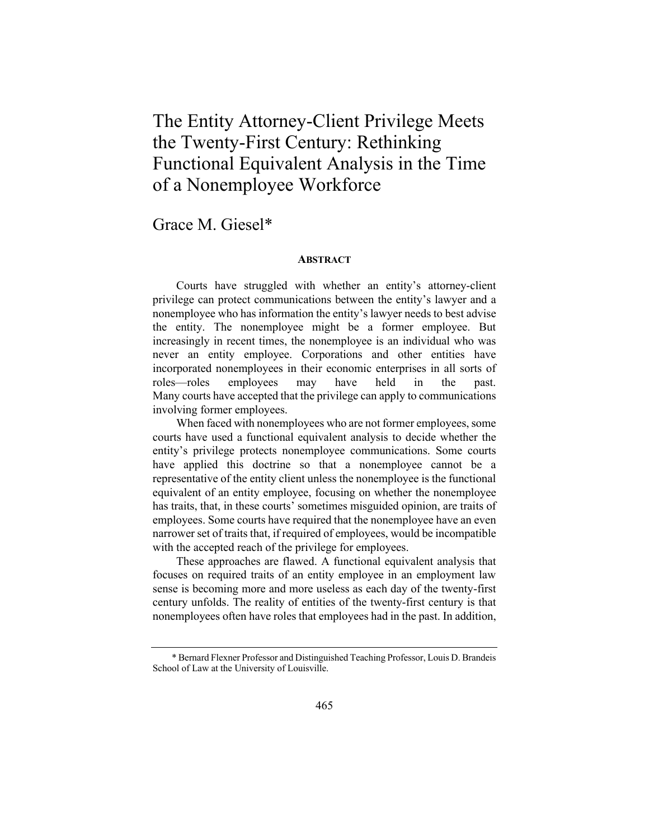## The Entity Attorney-Client Privilege Meets the Twenty-First Century: Rethinking Functional Equivalent Analysis in the Time of a Nonemployee Workforce

## Grace M. Giesel\*

#### **ABSTRACT**

Courts have struggled with whether an entity's attorney-client privilege can protect communications between the entity's lawyer and a nonemployee who has information the entity's lawyer needs to best advise the entity. The nonemployee might be a former employee. But increasingly in recent times, the nonemployee is an individual who was never an entity employee. Corporations and other entities have incorporated nonemployees in their economic enterprises in all sorts of roles—roles employees may have held in the past. Many courts have accepted that the privilege can apply to communications involving former employees.

When faced with nonemployees who are not former employees, some courts have used a functional equivalent analysis to decide whether the entity's privilege protects nonemployee communications. Some courts have applied this doctrine so that a nonemployee cannot be a representative of the entity client unless the nonemployee is the functional equivalent of an entity employee, focusing on whether the nonemployee has traits, that, in these courts' sometimes misguided opinion, are traits of employees. Some courts have required that the nonemployee have an even narrower set of traits that, if required of employees, would be incompatible with the accepted reach of the privilege for employees.

These approaches are flawed. A functional equivalent analysis that focuses on required traits of an entity employee in an employment law sense is becoming more and more useless as each day of the twenty-first century unfolds. The reality of entities of the twenty-first century is that nonemployees often have roles that employees had in the past. In addition,

<sup>\*</sup> Bernard Flexner Professor and Distinguished Teaching Professor, Louis D. Brandeis School of Law at the University of Louisville.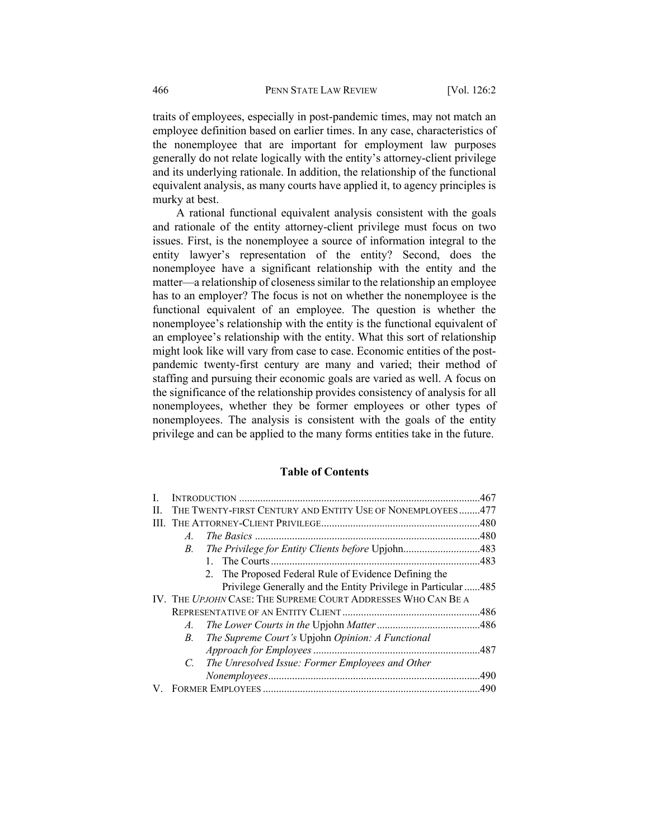traits of employees, especially in post-pandemic times, may not match an employee definition based on earlier times. In any case, characteristics of the nonemployee that are important for employment law purposes generally do not relate logically with the entity's attorney-client privilege and its underlying rationale. In addition, the relationship of the functional equivalent analysis, as many courts have applied it, to agency principles is murky at best.

A rational functional equivalent analysis consistent with the goals and rationale of the entity attorney-client privilege must focus on two issues. First, is the nonemployee a source of information integral to the entity lawyer's representation of the entity? Second, does the nonemployee have a significant relationship with the entity and the matter—a relationship of closeness similar to the relationship an employee has to an employer? The focus is not on whether the nonemployee is the functional equivalent of an employee. The question is whether the nonemployee's relationship with the entity is the functional equivalent of an employee's relationship with the entity. What this sort of relationship might look like will vary from case to case. Economic entities of the postpandemic twenty-first century are many and varied; their method of staffing and pursuing their economic goals are varied as well. A focus on the significance of the relationship provides consistency of analysis for all nonemployees, whether they be former employees or other types of nonemployees. The analysis is consistent with the goals of the entity privilege and can be applied to the many forms entities take in the future.

## **Table of Contents**

|    |                                                               |                                                                | .467 |  |
|----|---------------------------------------------------------------|----------------------------------------------------------------|------|--|
| Н. |                                                               | THE TWENTY-FIRST CENTURY AND ENTITY USE OF NONEMPLOYEES477     |      |  |
|    |                                                               |                                                                |      |  |
|    | A.                                                            |                                                                |      |  |
|    | <i>B</i> .                                                    | The Privilege for Entity Clients before Upjohn483              |      |  |
|    |                                                               |                                                                |      |  |
|    |                                                               | 2. The Proposed Federal Rule of Evidence Defining the          |      |  |
|    |                                                               | Privilege Generally and the Entity Privilege in Particular 485 |      |  |
|    | IV. THE UPJOHN CASE: THE SUPREME COURT ADDRESSES WHO CAN BE A |                                                                |      |  |
|    |                                                               |                                                                |      |  |
|    | $A_{\cdot}$                                                   |                                                                |      |  |
|    | B.                                                            | The Supreme Court's Upjohn Opinion: A Functional               |      |  |
|    |                                                               |                                                                |      |  |
|    | $C_{\cdot}$                                                   | The Unresolved Issue: Former Employees and Other               |      |  |
|    |                                                               |                                                                | .490 |  |
|    |                                                               |                                                                |      |  |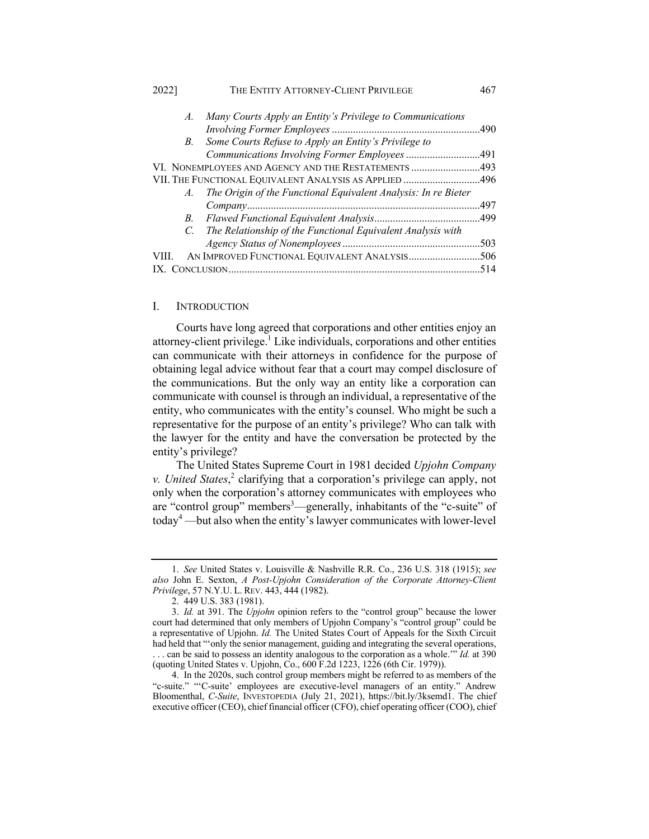| 2022    | THE ENTITY ATTORNEY-CLIENT PRIVILEGE                           | 467  |
|---------|----------------------------------------------------------------|------|
| A.      | Many Courts Apply an Entity's Privilege to Communications      |      |
|         |                                                                |      |
| B.      | Some Courts Refuse to Apply an Entity's Privilege to           |      |
|         | Communications Involving Former Employees 491                  |      |
|         | VI. NONEMPLOYEES AND AGENCY AND THE RESTATEMENTS 493           |      |
|         | VII. THE FUNCTIONAL EQUIVALENT ANALYSIS AS APPLIED 496         |      |
| $A_{-}$ | The Origin of the Functional Equivalent Analysis: In re Bieter |      |
|         |                                                                |      |
| B.      |                                                                |      |
| $C_{-}$ | The Relationship of the Functional Equivalent Analysis with    |      |
|         |                                                                |      |
|         |                                                                |      |
|         |                                                                | .514 |
|         |                                                                |      |

#### I. INTRODUCTION

Courts have long agreed that corporations and other entities enjoy an attorney-client privilege.<sup>1</sup> Like individuals, corporations and other entities can communicate with their attorneys in confidence for the purpose of obtaining legal advice without fear that a court may compel disclosure of the communications. But the only way an entity like a corporation can communicate with counsel is through an individual, a representative of the entity, who communicates with the entity's counsel. Who might be such a representative for the purpose of an entity's privilege? Who can talk with the lawyer for the entity and have the conversation be protected by the entity's privilege?

The United States Supreme Court in 1981 decided *Upjohn Company v. United States*, <sup>2</sup> clarifying that a corporation's privilege can apply, not only when the corporation's attorney communicates with employees who are "control group" members<sup>3</sup>—generally, inhabitants of the "c-suite" of today<sup>4</sup> —but also when the entity's lawyer communicates with lower-level

<sup>1.</sup> *See* United States v. Louisville & Nashville R.R. Co., 236 U.S. 318 (1915); *see also* John E. Sexton, *A Post-Upjohn Consideration of the Corporate Attorney-Client Privilege*, 57 N.Y.U. L. REV. 443, 444 (1982).

<sup>2.</sup> 449 U.S. 383 (1981).

<sup>3.</sup> *Id.* at 391. The *Upjohn* opinion refers to the "control group" because the lower court had determined that only members of Upjohn Company's "control group" could be a representative of Upjohn. *Id.* The United States Court of Appeals for the Sixth Circuit had held that "'only the senior management, guiding and integrating the several operations, . . . can be said to possess an identity analogous to the corporation as a whole.'" *Id.* at 390 (quoting United States v. Upjohn, Co., 600 F.2d 1223, 1226 (6th Cir. 1979)).

<sup>4.</sup> In the 2020s, such control group members might be referred to as members of the "c-suite." "'C-suite' employees are executive-level managers of an entity." Andrew Bloomenthal, *C-Suite*, INVESTOPEDIA (July 21, 2021), https://bit.ly/3ksemd1. The chief executive officer (CEO), chief financial officer (CFO), chief operating officer (COO), chief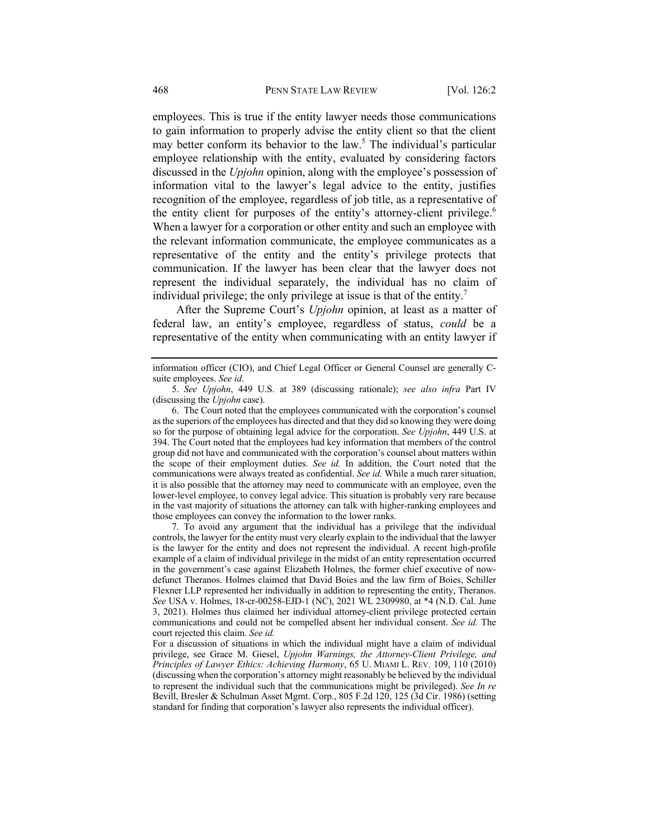employees. This is true if the entity lawyer needs those communications to gain information to properly advise the entity client so that the client may better conform its behavior to the law.<sup>5</sup> The individual's particular employee relationship with the entity, evaluated by considering factors discussed in the *Upjohn* opinion, along with the employee's possession of information vital to the lawyer's legal advice to the entity, justifies recognition of the employee, regardless of job title, as a representative of the entity client for purposes of the entity's attorney-client privilege.<sup>6</sup> When a lawyer for a corporation or other entity and such an employee with the relevant information communicate, the employee communicates as a representative of the entity and the entity's privilege protects that communication. If the lawyer has been clear that the lawyer does not represent the individual separately, the individual has no claim of individual privilege; the only privilege at issue is that of the entity.<sup>7</sup>

After the Supreme Court's *Upjohn* opinion, at least as a matter of federal law, an entity's employee, regardless of status, *could* be a representative of the entity when communicating with an entity lawyer if

7. To avoid any argument that the individual has a privilege that the individual controls, the lawyer for the entity must very clearly explain to the individual that the lawyer is the lawyer for the entity and does not represent the individual. A recent high-profile example of a claim of individual privilege in the midst of an entity representation occurred in the government's case against Elizabeth Holmes, the former chief executive of nowdefunct Theranos. Holmes claimed that David Boies and the law firm of Boies, Schiller Flexner LLP represented her individually in addition to representing the entity, Theranos. *See* USA v. Holmes, 18-cr-00258-EJD-1 (NC), 2021 WL 2309980, at \*4 (N.D. Cal. June 3, 2021). Holmes thus claimed her individual attorney-client privilege protected certain communications and could not be compelled absent her individual consent. *See id.* The court rejected this claim. *See id.*

information officer (CIO), and Chief Legal Officer or General Counsel are generally Csuite employees. *See id*.

<sup>5.</sup> *See Upjohn*, 449 U.S. at 389 (discussing rationale); *see also infra* Part IV (discussing the *Upjohn* case).

<sup>6.</sup> The Court noted that the employees communicated with the corporation's counsel as the superiors of the employees has directed and that they did so knowing they were doing so for the purpose of obtaining legal advice for the corporation. *See Upjohn*, 449 U.S. at 394. The Court noted that the employees had key information that members of the control group did not have and communicated with the corporation's counsel about matters within the scope of their employment duties. *See id.* In addition, the Court noted that the communications were always treated as confidential. *See id.* While a much rarer situation, it is also possible that the attorney may need to communicate with an employee, even the lower-level employee, to convey legal advice. This situation is probably very rare because in the vast majority of situations the attorney can talk with higher-ranking employees and those employees can convey the information to the lower ranks.

For a discussion of situations in which the individual might have a claim of individual privilege, see Grace M. Giesel, *Upjohn Warnings, the Attorney-Client Privilege, and Principles of Lawyer Ethics: Achieving Harmony*, 65 U. MIAMI L. REV. 109, 110 (2010) (discussing when the corporation's attorney might reasonably be believed by the individual to represent the individual such that the communications might be privileged). *See In re* Bevill, Bresler & Schulman Asset Mgmt. Corp., 805 F.2d 120, 125 (3d Cir. 1986) (setting standard for finding that corporation's lawyer also represents the individual officer).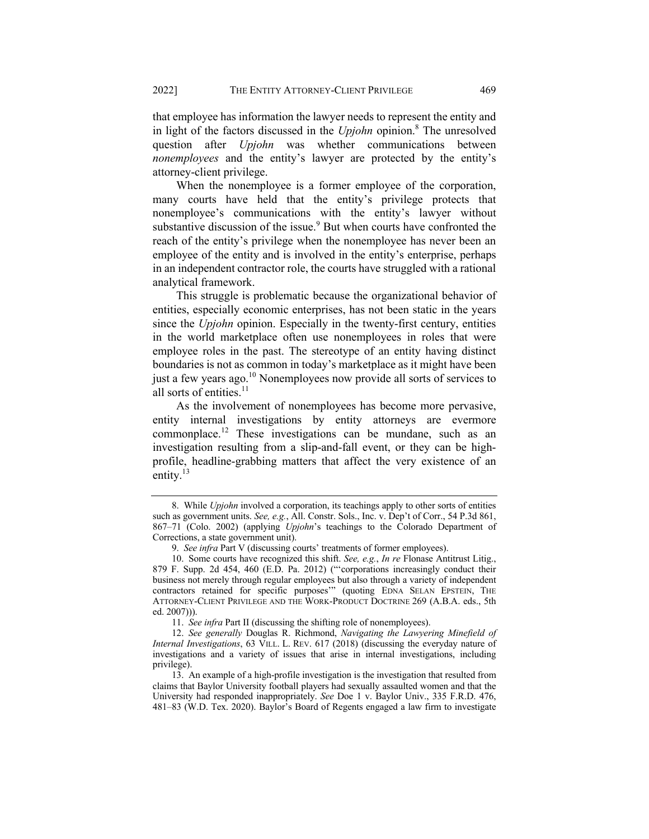that employee has information the lawyer needs to represent the entity and in light of the factors discussed in the *Upjohn* opinion.<sup>8</sup> The unresolved question after *Upjohn* was whether communications between *nonemployees* and the entity's lawyer are protected by the entity's attorney-client privilege.

When the nonemployee is a former employee of the corporation, many courts have held that the entity's privilege protects that nonemployee's communications with the entity's lawyer without substantive discussion of the issue.<sup>9</sup> But when courts have confronted the reach of the entity's privilege when the nonemployee has never been an employee of the entity and is involved in the entity's enterprise, perhaps in an independent contractor role, the courts have struggled with a rational analytical framework.

This struggle is problematic because the organizational behavior of entities, especially economic enterprises, has not been static in the years since the *Upjohn* opinion. Especially in the twenty-first century, entities in the world marketplace often use nonemployees in roles that were employee roles in the past. The stereotype of an entity having distinct boundaries is not as common in today's marketplace as it might have been just a few years ago.<sup>10</sup> Nonemployees now provide all sorts of services to all sorts of entities.<sup>11</sup>

As the involvement of nonemployees has become more pervasive, entity internal investigations by entity attorneys are evermore commonplace.<sup>12</sup> These investigations can be mundane, such as an investigation resulting from a slip-and-fall event, or they can be highprofile, headline-grabbing matters that affect the very existence of an entity.<sup>13</sup>

<sup>8.</sup> While *Upjohn* involved a corporation, its teachings apply to other sorts of entities such as government units. *See, e.g.*, All. Constr. Sols., Inc. v. Dep't of Corr., 54 P.3d 861, 867–71 (Colo. 2002) (applying *Upjohn*'s teachings to the Colorado Department of Corrections, a state government unit).

<sup>9.</sup> *See infra* Part V (discussing courts' treatments of former employees).

<sup>10.</sup> Some courts have recognized this shift. *See, e.g.*, *In re* Flonase Antitrust Litig., 879 F. Supp. 2d 454, 460 (E.D. Pa. 2012) ("'corporations increasingly conduct their business not merely through regular employees but also through a variety of independent contractors retained for specific purposes" (quoting EDNA SELAN EPSTEIN, THE ATTORNEY-CLIENT PRIVILEGE AND THE WORK-PRODUCT DOCTRINE 269 (A.B.A. eds., 5th ed. 2007))).

<sup>11.</sup> *See infra* Part II (discussing the shifting role of nonemployees).

<sup>12.</sup> *See generally* Douglas R. Richmond, *Navigating the Lawyering Minefield of Internal Investigations*, 63 VILL. L. REV. 617 (2018) (discussing the everyday nature of investigations and a variety of issues that arise in internal investigations, including privilege).

<sup>13.</sup> An example of a high-profile investigation is the investigation that resulted from claims that Baylor University football players had sexually assaulted women and that the University had responded inappropriately. *See* Doe 1 v. Baylor Univ., 335 F.R.D. 476, 481–83 (W.D. Tex. 2020). Baylor's Board of Regents engaged a law firm to investigate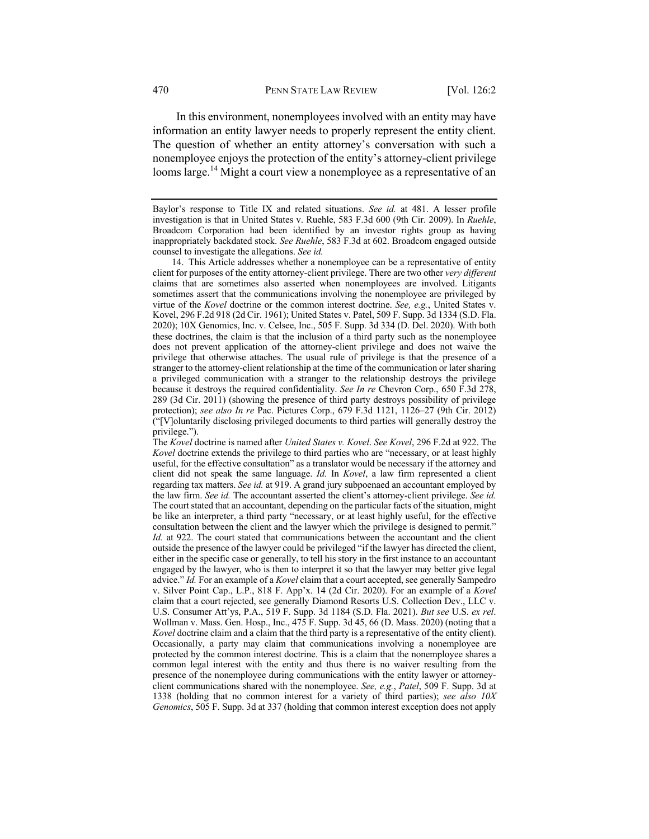In this environment, nonemployees involved with an entity may have information an entity lawyer needs to properly represent the entity client. The question of whether an entity attorney's conversation with such a nonemployee enjoys the protection of the entity's attorney-client privilege looms large.<sup>14</sup> Might a court view a nonemployee as a representative of an

Baylor's response to Title IX and related situations. *See id.* at 481. A lesser profile investigation is that in United States v. Ruehle, 583 F.3d 600 (9th Cir. 2009). In *Ruehle*, Broadcom Corporation had been identified by an investor rights group as having inappropriately backdated stock. *See Ruehle*, 583 F.3d at 602. Broadcom engaged outside counsel to investigate the allegations. *See id.*

<sup>14.</sup> This Article addresses whether a nonemployee can be a representative of entity client for purposes of the entity attorney-client privilege. There are two other *very different* claims that are sometimes also asserted when nonemployees are involved. Litigants sometimes assert that the communications involving the nonemployee are privileged by virtue of the *Kovel* doctrine or the common interest doctrine. *See, e.g.*, United States v. Kovel, 296 F.2d 918 (2d Cir. 1961); United States v. Patel, 509 F. Supp. 3d 1334 (S.D. Fla. 2020); 10X Genomics, Inc. v. Celsee, Inc., 505 F. Supp. 3d 334 (D. Del. 2020). With both these doctrines, the claim is that the inclusion of a third party such as the nonemployee does not prevent application of the attorney-client privilege and does not waive the privilege that otherwise attaches. The usual rule of privilege is that the presence of a stranger to the attorney-client relationship at the time of the communication or later sharing a privileged communication with a stranger to the relationship destroys the privilege because it destroys the required confidentiality. *See In re* Chevron Corp., 650 F.3d 278, 289 (3d Cir. 2011) (showing the presence of third party destroys possibility of privilege protection); *see also In re* Pac. Pictures Corp., 679 F.3d 1121, 1126–27 (9th Cir. 2012) ("[V]oluntarily disclosing privileged documents to third parties will generally destroy the privilege.").

The *Kovel* doctrine is named after *United States v. Kovel*. *See Kovel*, 296 F.2d at 922. The *Kovel* doctrine extends the privilege to third parties who are "necessary, or at least highly useful, for the effective consultation" as a translator would be necessary if the attorney and client did not speak the same language. *Id.* In *Kovel*, a law firm represented a client regarding tax matters. *See id.* at 919. A grand jury subpoenaed an accountant employed by the law firm. *See id.* The accountant asserted the client's attorney-client privilege. *See id.* The court stated that an accountant, depending on the particular facts of the situation, might be like an interpreter, a third party "necessary, or at least highly useful, for the effective consultation between the client and the lawyer which the privilege is designed to permit." *Id.* at 922. The court stated that communications between the accountant and the client outside the presence of the lawyer could be privileged "if the lawyer has directed the client, either in the specific case or generally, to tell his story in the first instance to an accountant engaged by the lawyer, who is then to interpret it so that the lawyer may better give legal advice." *Id.* For an example of a *Kovel* claim that a court accepted, see generally Sampedro v. Silver Point Cap., L.P., 818 F. App'x. 14 (2d Cir. 2020). For an example of a *Kovel*  claim that a court rejected, see generally Diamond Resorts U.S. Collection Dev., LLC v. U.S. Consumer Att'ys, P.A., 519 F. Supp. 3d 1184 (S.D. Fla. 2021). *But see* U.S. *ex rel*. Wollman v. Mass. Gen. Hosp., Inc., 475 F. Supp. 3d 45, 66 (D. Mass. 2020) (noting that a *Kovel* doctrine claim and a claim that the third party is a representative of the entity client). Occasionally, a party may claim that communications involving a nonemployee are protected by the common interest doctrine. This is a claim that the nonemployee shares a common legal interest with the entity and thus there is no waiver resulting from the presence of the nonemployee during communications with the entity lawyer or attorneyclient communications shared with the nonemployee. *See, e.g.*, *Patel*, 509 F. Supp. 3d at 1338 (holding that no common interest for a variety of third parties); *see also 10X Genomics*, 505 F. Supp. 3d at 337 (holding that common interest exception does not apply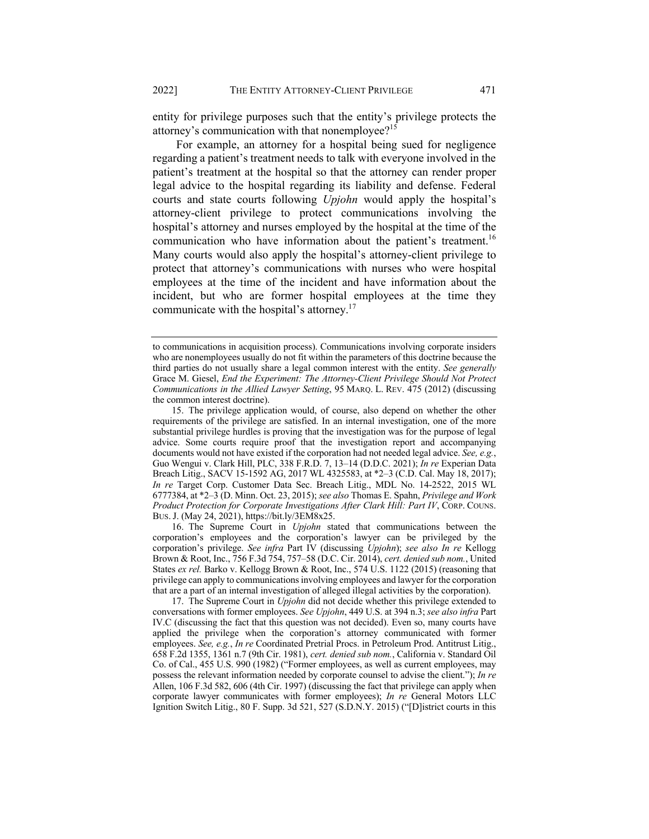entity for privilege purposes such that the entity's privilege protects the attorney's communication with that nonemployee?<sup>15</sup>

For example, an attorney for a hospital being sued for negligence regarding a patient's treatment needs to talk with everyone involved in the patient's treatment at the hospital so that the attorney can render proper legal advice to the hospital regarding its liability and defense. Federal courts and state courts following *Upjohn* would apply the hospital's attorney-client privilege to protect communications involving the hospital's attorney and nurses employed by the hospital at the time of the communication who have information about the patient's treatment.<sup>16</sup> Many courts would also apply the hospital's attorney-client privilege to protect that attorney's communications with nurses who were hospital employees at the time of the incident and have information about the incident, but who are former hospital employees at the time they communicate with the hospital's attorney.<sup>17</sup>

16. The Supreme Court in *Upjohn* stated that communications between the corporation's employees and the corporation's lawyer can be privileged by the corporation's privilege. *See infra* Part IV (discussing *Upjohn*); *see also In re* Kellogg Brown & Root, Inc., 756 F.3d 754, 757–58 (D.C. Cir. 2014), *cert. denied sub nom.*, United States *ex rel.* Barko v. Kellogg Brown & Root, Inc., 574 U.S. 1122 (2015) (reasoning that privilege can apply to communications involving employees and lawyer for the corporation that are a part of an internal investigation of alleged illegal activities by the corporation).

17. The Supreme Court in *Upjohn* did not decide whether this privilege extended to conversations with former employees. *See Upjohn*, 449 U.S. at 394 n.3; *see also infra* Part IV.C (discussing the fact that this question was not decided). Even so, many courts have applied the privilege when the corporation's attorney communicated with former employees. *See, e.g.*, *In re* Coordinated Pretrial Procs. in Petroleum Prod. Antitrust Litig., 658 F.2d 1355, 1361 n.7 (9th Cir. 1981), *cert. denied sub nom.*, California v. Standard Oil Co. of Cal., 455 U.S. 990 (1982) ("Former employees, as well as current employees, may possess the relevant information needed by corporate counsel to advise the client."); *In re* Allen, 106 F.3d 582, 606 (4th Cir. 1997) (discussing the fact that privilege can apply when corporate lawyer communicates with former employees); *In re* General Motors LLC Ignition Switch Litig., 80 F. Supp. 3d 521, 527 (S.D.N.Y. 2015) ("[D]istrict courts in this

to communications in acquisition process). Communications involving corporate insiders who are nonemployees usually do not fit within the parameters of this doctrine because the third parties do not usually share a legal common interest with the entity. *See generally* Grace M. Giesel, *End the Experiment: The Attorney-Client Privilege Should Not Protect Communications in the Allied Lawyer Setting*, 95 MARQ. L. REV. 475 (2012) (discussing the common interest doctrine).

<sup>15.</sup> The privilege application would, of course, also depend on whether the other requirements of the privilege are satisfied. In an internal investigation, one of the more substantial privilege hurdles is proving that the investigation was for the purpose of legal advice. Some courts require proof that the investigation report and accompanying documents would not have existed if the corporation had not needed legal advice. *See, e.g.*, Guo Wengui v. Clark Hill, PLC, 338 F.R.D. 7, 13–14 (D.D.C. 2021); *In re* Experian Data Breach Litig., SACV 15-1592 AG, 2017 WL 4325583, at \*2–3 (C.D. Cal. May 18, 2017); *In re* Target Corp. Customer Data Sec. Breach Litig., MDL No. 14-2522, 2015 WL 6777384, at \*2–3 (D. Minn. Oct. 23, 2015); *see also* Thomas E. Spahn, *Privilege and Work Product Protection for Corporate Investigations After Clark Hill: Part IV*, CORP. COUNS. BUS.J. (May 24, 2021), https://bit.ly/3EM8x25.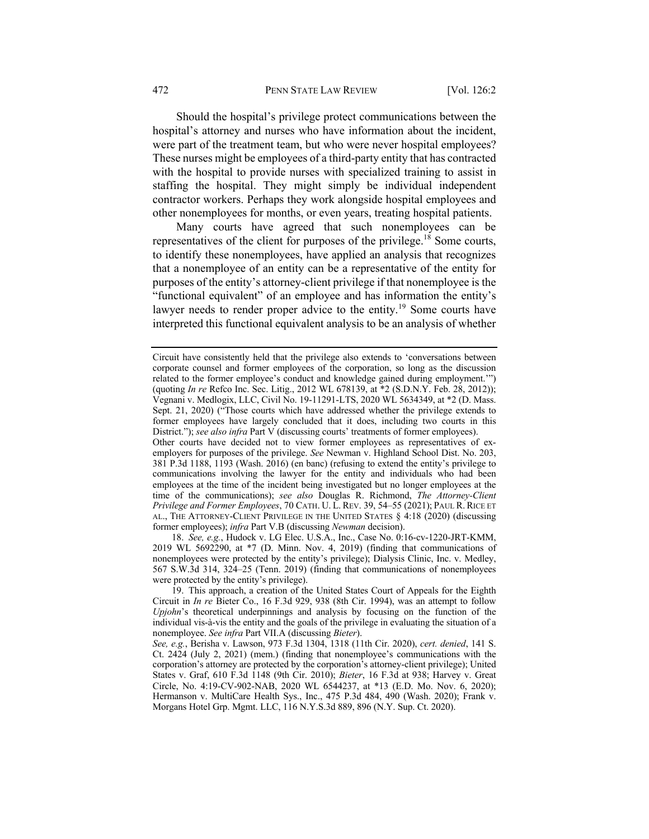#### 472 PENN STATE LAW REVIEW [Vol. 126:2

Should the hospital's privilege protect communications between the hospital's attorney and nurses who have information about the incident, were part of the treatment team, but who were never hospital employees? These nurses might be employees of a third-party entity that has contracted with the hospital to provide nurses with specialized training to assist in staffing the hospital. They might simply be individual independent contractor workers. Perhaps they work alongside hospital employees and other nonemployees for months, or even years, treating hospital patients.

Many courts have agreed that such nonemployees can be representatives of the client for purposes of the privilege.<sup>18</sup> Some courts, to identify these nonemployees, have applied an analysis that recognizes that a nonemployee of an entity can be a representative of the entity for purposes of the entity's attorney-client privilege if that nonemployee is the "functional equivalent" of an employee and has information the entity's lawyer needs to render proper advice to the entity.<sup>19</sup> Some courts have interpreted this functional equivalent analysis to be an analysis of whether

18. *See, e.g.*, Hudock v. LG Elec. U.S.A., Inc., Case No. 0:16-cv-1220-JRT-KMM, 2019 WL 5692290, at \*7 (D. Minn. Nov. 4, 2019) (finding that communications of nonemployees were protected by the entity's privilege); Dialysis Clinic, Inc. v. Medley, 567 S.W.3d 314, 324–25 (Tenn. 2019) (finding that communications of nonemployees were protected by the entity's privilege).

19. This approach, a creation of the United States Court of Appeals for the Eighth Circuit in *In re* Bieter Co., 16 F.3d 929, 938 (8th Cir. 1994), was an attempt to follow *Upjohn*'s theoretical underpinnings and analysis by focusing on the function of the individual vis-à-vis the entity and the goals of the privilege in evaluating the situation of a nonemployee. *See infra* Part VII.A (discussing *Bieter*).

Circuit have consistently held that the privilege also extends to 'conversations between corporate counsel and former employees of the corporation, so long as the discussion related to the former employee's conduct and knowledge gained during employment."") (quoting *In re* Refco Inc. Sec. Litig., 2012 WL 678139, at \*2 (S.D.N.Y. Feb. 28, 2012)); Vegnani v. Medlogix, LLC, Civil No. 19-11291-LTS, 2020 WL 5634349, at \*2 (D. Mass. Sept. 21, 2020) ("Those courts which have addressed whether the privilege extends to former employees have largely concluded that it does, including two courts in this District."); *see also infra* Part V (discussing courts' treatments of former employees).

Other courts have decided not to view former employees as representatives of exemployers for purposes of the privilege. *See* Newman v. Highland School Dist. No. 203, 381 P.3d 1188, 1193 (Wash. 2016) (en banc) (refusing to extend the entity's privilege to communications involving the lawyer for the entity and individuals who had been employees at the time of the incident being investigated but no longer employees at the time of the communications); *see also* Douglas R. Richmond, *The Attorney-Client Privilege and Former Employees*, 70 CATH. U. L. REV. 39, 54–55 (2021); PAUL R. RICE ET AL., THE ATTORNEY-CLIENT PRIVILEGE IN THE UNITED STATES § 4:18 (2020) (discussing former employees); *infra* Part V.B (discussing *Newman* decision).

*See, e.g.*, Berisha v. Lawson, 973 F.3d 1304, 1318 (11th Cir. 2020), *cert. denied*, 141 S. Ct. 2424 (July 2, 2021) (mem.) (finding that nonemployee's communications with the corporation's attorney are protected by the corporation's attorney-client privilege); United States v. Graf, 610 F.3d 1148 (9th Cir. 2010); *Bieter*, 16 F.3d at 938; Harvey v. Great Circle, No. 4:19-CV-902-NAB, 2020 WL 6544237, at \*13 (E.D. Mo. Nov. 6, 2020); Hermanson v. MultiCare Health Sys., Inc., 475 P.3d 484, 490 (Wash. 2020); Frank v. Morgans Hotel Grp. Mgmt. LLC, 116 N.Y.S.3d 889, 896 (N.Y. Sup. Ct. 2020).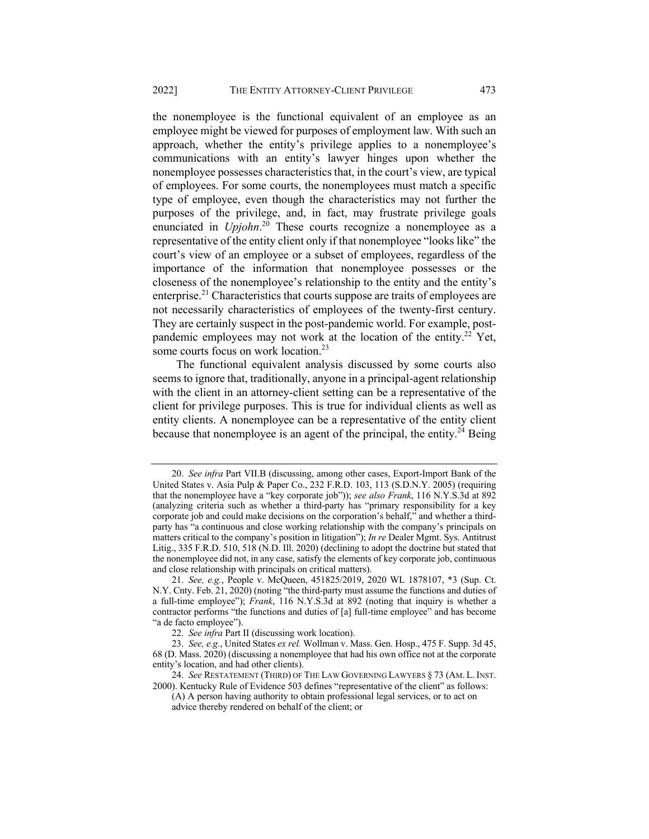the nonemployee is the functional equivalent of an employee as an employee might be viewed for purposes of employment law. With such an approach, whether the entity's privilege applies to a nonemployee's communications with an entity's lawyer hinges upon whether the nonemployee possesses characteristics that, in the court's view, are typical of employees. For some courts, the nonemployees must match a specific type of employee, even though the characteristics may not further the purposes of the privilege, and, in fact, may frustrate privilege goals enunciated in *Upjohn*.<sup>20</sup> These courts recognize a nonemployee as a representative of the entity client only if that nonemployee "looks like" the court's view of an employee or a subset of employees, regardless of the importance of the information that nonemployee possesses or the closeness of the nonemployee's relationship to the entity and the entity's enterprise.<sup>21</sup> Characteristics that courts suppose are traits of employees are not necessarily characteristics of employees of the twenty-first century. They are certainly suspect in the post-pandemic world. For example, postpandemic employees may not work at the location of the entity.<sup>22</sup> Yet, some courts focus on work location.<sup>23</sup>

The functional equivalent analysis discussed by some courts also seems to ignore that, traditionally, anyone in a principal-agent relationship with the client in an attorney-client setting can be a representative of the client for privilege purposes. This is true for individual clients as well as entity clients. A nonemployee can be a representative of the entity client because that nonemployee is an agent of the principal, the entity.<sup>24</sup> Being

<sup>20.</sup> *See infra* Part VII.B (discussing, among other cases, Export-Import Bank of the United States v. Asia Pulp & Paper Co., 232 F.R.D. 103, 113 (S.D.N.Y. 2005) (requiring that the nonemployee have a "key corporate job")); *see also Frank*, 116 N.Y.S.3d at 892 (analyzing criteria such as whether a third-party has "primary responsibility for a key corporate job and could make decisions on the corporation's behalf," and whether a thirdparty has "a continuous and close working relationship with the company's principals on matters critical to the company's position in litigation"); *In re* Dealer Mgmt. Sys. Antitrust Litig., 335 F.R.D. 510, 518 (N.D. Ill. 2020) (declining to adopt the doctrine but stated that the nonemployee did not, in any case, satisfy the elements of key corporate job, continuous and close relationship with principals on critical matters).

<sup>21.</sup> *See, e.g.*, People v. McQueen, 451825/2019, 2020 WL 1878107, \*3 (Sup. Ct. N.Y. Cnty. Feb. 21, 2020) (noting "the third-party must assume the functions and duties of a full-time employee"); *Frank*, 116 N.Y.S.3d at 892 (noting that inquiry is whether a contractor performs "the functions and duties of [a] full-time employee" and has become "a de facto employee").

<sup>22.</sup> *See infra* Part II (discussing work location).

<sup>23.</sup> *See, e.g.*, United States *ex rel.* Wollman v. Mass. Gen. Hosp., 475 F. Supp. 3d 45, 68 (D. Mass. 2020) (discussing a nonemployee that had his own office not at the corporate entity's location, and had other clients).

<sup>24.</sup> *See* RESTATEMENT (THIRD) OF THE LAW GOVERNING LAWYERS § 73 (AM. L. INST. 2000). Kentucky Rule of Evidence 503 defines "representative of the client" as follows:

<sup>(</sup>A) A person having authority to obtain professional legal services, or to act on advice thereby rendered on behalf of the client; or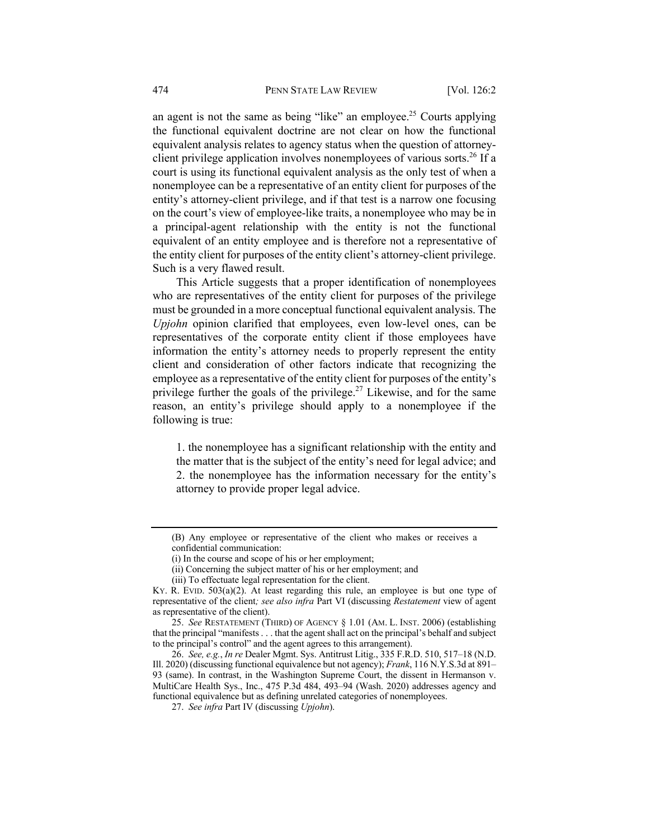an agent is not the same as being "like" an employee.<sup>25</sup> Courts applying the functional equivalent doctrine are not clear on how the functional equivalent analysis relates to agency status when the question of attorneyclient privilege application involves nonemployees of various sorts.<sup>26</sup> If a court is using its functional equivalent analysis as the only test of when a nonemployee can be a representative of an entity client for purposes of the entity's attorney-client privilege, and if that test is a narrow one focusing on the court's view of employee-like traits, a nonemployee who may be in a principal-agent relationship with the entity is not the functional equivalent of an entity employee and is therefore not a representative of the entity client for purposes of the entity client's attorney-client privilege. Such is a very flawed result.

This Article suggests that a proper identification of nonemployees who are representatives of the entity client for purposes of the privilege must be grounded in a more conceptual functional equivalent analysis. The *Upjohn* opinion clarified that employees, even low-level ones, can be representatives of the corporate entity client if those employees have information the entity's attorney needs to properly represent the entity client and consideration of other factors indicate that recognizing the employee as a representative of the entity client for purposes of the entity's privilege further the goals of the privilege.<sup>27</sup> Likewise, and for the same reason, an entity's privilege should apply to a nonemployee if the following is true:

1. the nonemployee has a significant relationship with the entity and the matter that is the subject of the entity's need for legal advice; and 2. the nonemployee has the information necessary for the entity's attorney to provide proper legal advice.

<sup>(</sup>B) Any employee or representative of the client who makes or receives a confidential communication:

<sup>(</sup>i) In the course and scope of his or her employment;

<sup>(</sup>ii) Concerning the subject matter of his or her employment; and

<sup>(</sup>iii) To effectuate legal representation for the client.

KY. R. EVID. 503(a)(2). At least regarding this rule, an employee is but one type of representative of the client*; see also infra* Part VI (discussing *Restatement* view of agent as representative of the client).

<sup>25.</sup> *See* RESTATEMENT (THIRD) OF AGENCY § 1.01 (AM. L. INST. 2006) (establishing that the principal "manifests . . . that the agent shall act on the principal's behalf and subject to the principal's control" and the agent agrees to this arrangement).

<sup>26.</sup> *See, e.g.*, *In re* Dealer Mgmt. Sys. Antitrust Litig., 335 F.R.D. 510, 517–18 (N.D. Ill. 2020) (discussing functional equivalence but not agency); *Frank*, 116 N.Y.S.3d at 891– 93 (same). In contrast, in the Washington Supreme Court, the dissent in Hermanson v. MultiCare Health Sys., Inc., 475 P.3d 484, 493–94 (Wash. 2020) addresses agency and functional equivalence but as defining unrelated categories of nonemployees.

<sup>27.</sup> *See infra* Part IV (discussing *Upjohn*).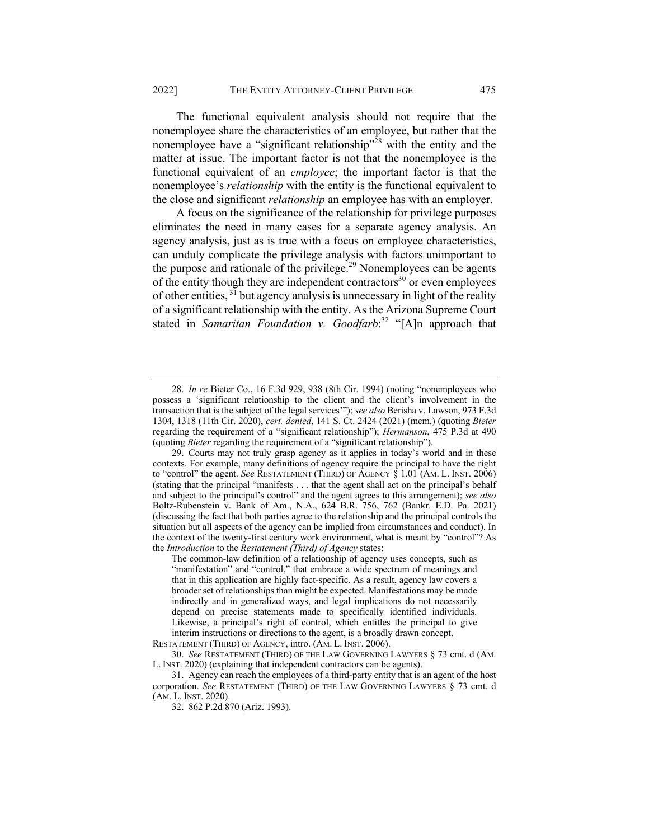The functional equivalent analysis should not require that the nonemployee share the characteristics of an employee, but rather that the nonemployee have a "significant relationship"<sup>28</sup> with the entity and the matter at issue. The important factor is not that the nonemployee is the functional equivalent of an *employee*; the important factor is that the nonemployee's *relationship* with the entity is the functional equivalent to the close and significant *relationship* an employee has with an employer.

A focus on the significance of the relationship for privilege purposes eliminates the need in many cases for a separate agency analysis. An agency analysis, just as is true with a focus on employee characteristics, can unduly complicate the privilege analysis with factors unimportant to the purpose and rationale of the privilege.<sup>29</sup> Nonemployees can be agents of the entity though they are independent contractors<sup>30</sup> or even employees of other entities,  $3\overline{1}$  but agency analysis is unnecessary in light of the reality of a significant relationship with the entity. As the Arizona Supreme Court stated in *Samaritan Foundation v. Goodfarb*: <sup>32</sup> "[A]n approach that

RESTATEMENT (THIRD) OF AGENCY, intro. (AM. L. INST. 2006).

<sup>28.</sup> *In re* Bieter Co., 16 F.3d 929, 938 (8th Cir. 1994) (noting "nonemployees who possess a 'significant relationship to the client and the client's involvement in the transaction that is the subject of the legal services'"); *see also* Berisha v. Lawson, 973 F.3d 1304, 1318 (11th Cir. 2020), *cert. denied*, 141 S. Ct. 2424 (2021) (mem.) (quoting *Bieter*  regarding the requirement of a "significant relationship"); *Hermanson*, 475 P.3d at 490 (quoting *Bieter* regarding the requirement of a "significant relationship").

<sup>29.</sup> Courts may not truly grasp agency as it applies in today's world and in these contexts. For example, many definitions of agency require the principal to have the right to "control" the agent. *See* RESTATEMENT (THIRD) OF AGENCY § 1.01 (AM. L. INST. 2006) (stating that the principal "manifests . . . that the agent shall act on the principal's behalf and subject to the principal's control" and the agent agrees to this arrangement); *see also* Boltz-Rubenstein v. Bank of Am., N.A., 624 B.R. 756, 762 (Bankr. E.D. Pa. 2021) (discussing the fact that both parties agree to the relationship and the principal controls the situation but all aspects of the agency can be implied from circumstances and conduct). In the context of the twenty-first century work environment, what is meant by "control"? As the *Introduction* to the *Restatement (Third) of Agency* states:

The common-law definition of a relationship of agency uses concepts, such as "manifestation" and "control," that embrace a wide spectrum of meanings and that in this application are highly fact-specific. As a result, agency law covers a broader set of relationships than might be expected. Manifestations may be made indirectly and in generalized ways, and legal implications do not necessarily depend on precise statements made to specifically identified individuals. Likewise, a principal's right of control, which entitles the principal to give interim instructions or directions to the agent, is a broadly drawn concept.

<sup>30.</sup> *See* RESTATEMENT (THIRD) OF THE LAW GOVERNING LAWYERS § 73 cmt. d (AM. L. INST. 2020) (explaining that independent contractors can be agents).

<sup>31.</sup> Agency can reach the employees of a third-party entity that is an agent of the host corporation. *See* RESTATEMENT (THIRD) OF THE LAW GOVERNING LAWYERS § 73 cmt. d (AM. L. INST. 2020).

<sup>32.</sup> 862 P.2d 870 (Ariz. 1993).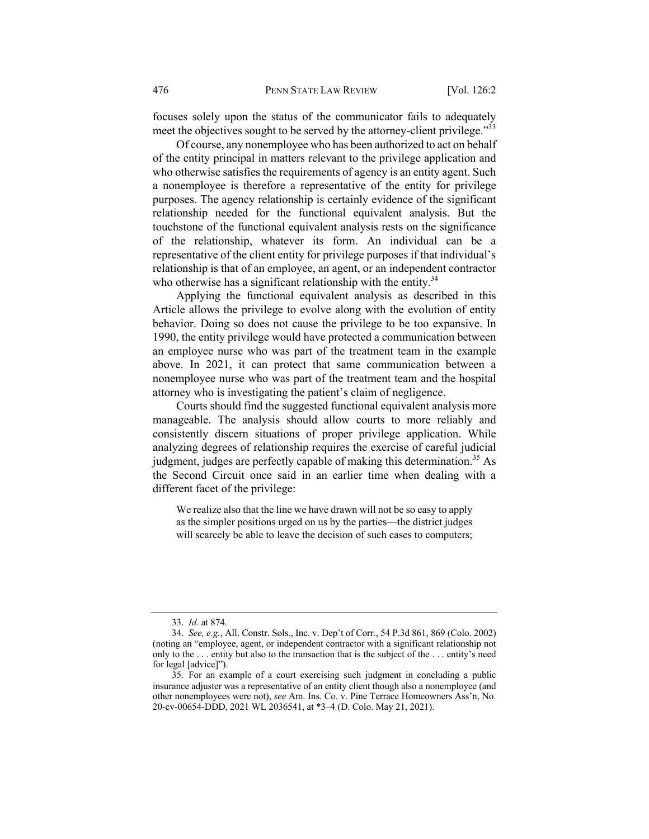focuses solely upon the status of the communicator fails to adequately meet the objectives sought to be served by the attorney-client privilege."<sup>33</sup>

Of course, any nonemployee who has been authorized to act on behalf of the entity principal in matters relevant to the privilege application and who otherwise satisfies the requirements of agency is an entity agent. Such a nonemployee is therefore a representative of the entity for privilege purposes. The agency relationship is certainly evidence of the significant relationship needed for the functional equivalent analysis. But the touchstone of the functional equivalent analysis rests on the significance of the relationship, whatever its form. An individual can be a representative of the client entity for privilege purposes if that individual's relationship is that of an employee, an agent, or an independent contractor who otherwise has a significant relationship with the entity. $34$ 

Applying the functional equivalent analysis as described in this Article allows the privilege to evolve along with the evolution of entity behavior. Doing so does not cause the privilege to be too expansive. In 1990, the entity privilege would have protected a communication between an employee nurse who was part of the treatment team in the example above. In 2021, it can protect that same communication between a nonemployee nurse who was part of the treatment team and the hospital attorney who is investigating the patient's claim of negligence.

Courts should find the suggested functional equivalent analysis more manageable. The analysis should allow courts to more reliably and consistently discern situations of proper privilege application. While analyzing degrees of relationship requires the exercise of careful judicial judgment, judges are perfectly capable of making this determination.<sup>35</sup> As the Second Circuit once said in an earlier time when dealing with a different facet of the privilege:

We realize also that the line we have drawn will not be so easy to apply as the simpler positions urged on us by the parties—the district judges will scarcely be able to leave the decision of such cases to computers;

<sup>33.</sup> *Id.* at 874.

<sup>34.</sup> *See, e.g.*, All. Constr. Sols., Inc. v. Dep't of Corr., 54 P.3d 861, 869 (Colo. 2002) (noting an "employee, agent, or independent contractor with a significant relationship not only to the . . . entity but also to the transaction that is the subject of the . . . entity's need for legal [advice]").

<sup>35.</sup> For an example of a court exercising such judgment in concluding a public insurance adjuster was a representative of an entity client though also a nonemployee (and other nonemployees were not), *see* Am. Ins. Co. v. Pine Terrace Homeowners Ass'n, No. 20-cv-00654-DDD, 2021 WL 2036541, at \*3–4 (D. Colo. May 21, 2021).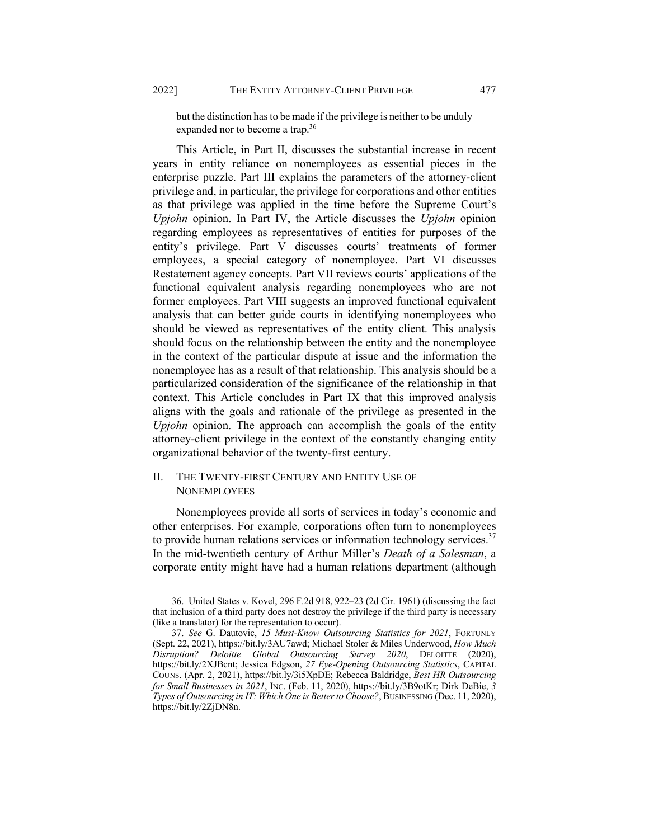but the distinction has to be made if the privilege is neither to be unduly expanded nor to become a trap.36

This Article, in Part II, discusses the substantial increase in recent years in entity reliance on nonemployees as essential pieces in the enterprise puzzle. Part III explains the parameters of the attorney-client privilege and, in particular, the privilege for corporations and other entities as that privilege was applied in the time before the Supreme Court's *Upjohn* opinion. In Part IV, the Article discusses the *Upjohn* opinion regarding employees as representatives of entities for purposes of the entity's privilege. Part V discusses courts' treatments of former employees, a special category of nonemployee. Part VI discusses Restatement agency concepts. Part VII reviews courts' applications of the functional equivalent analysis regarding nonemployees who are not former employees. Part VIII suggests an improved functional equivalent analysis that can better guide courts in identifying nonemployees who should be viewed as representatives of the entity client. This analysis should focus on the relationship between the entity and the nonemployee in the context of the particular dispute at issue and the information the nonemployee has as a result of that relationship. This analysis should be a particularized consideration of the significance of the relationship in that context. This Article concludes in Part IX that this improved analysis aligns with the goals and rationale of the privilege as presented in the *Upjohn* opinion. The approach can accomplish the goals of the entity attorney-client privilege in the context of the constantly changing entity organizational behavior of the twenty-first century.

## II. THE TWENTY-FIRST CENTURY AND ENTITY USE OF **NONEMPLOYEES**

Nonemployees provide all sorts of services in today's economic and other enterprises. For example, corporations often turn to nonemployees to provide human relations services or information technology services.<sup>37</sup> In the mid-twentieth century of Arthur Miller's *Death of a Salesman*, a corporate entity might have had a human relations department (although

<sup>36.</sup> United States v. Kovel, 296 F.2d 918, 922–23 (2d Cir. 1961) (discussing the fact that inclusion of a third party does not destroy the privilege if the third party is necessary (like a translator) for the representation to occur).

<sup>37.</sup> *See* G. Dautovic, *15 Must-Know Outsourcing Statistics for 2021*, FORTUNLY (Sept. 22, 2021), https://bit.ly/3AU7awd; Michael Stoler & Miles Underwood, *How Much Disruption? Deloitte Global Outsourcing Survey 2020*, DELOITTE (2020), https://bit.ly/2XJBcnt; Jessica Edgson, *27 Eye-Opening Outsourcing Statistics*, CAPITAL COUNS. (Apr. 2, 2021), https://bit.ly/3i5XpDE; Rebecca Baldridge, *Best HR Outsourcing for Small Businesses in 2021*, INC. (Feb. 11, 2020), https://bit.ly/3B9otKr; Dirk DeBie, *3 Types of Outsourcing in IT: Which One is Better to Choose?*, BUSINESSING (Dec. 11, 2020), https://bit.ly/2ZjDN8n.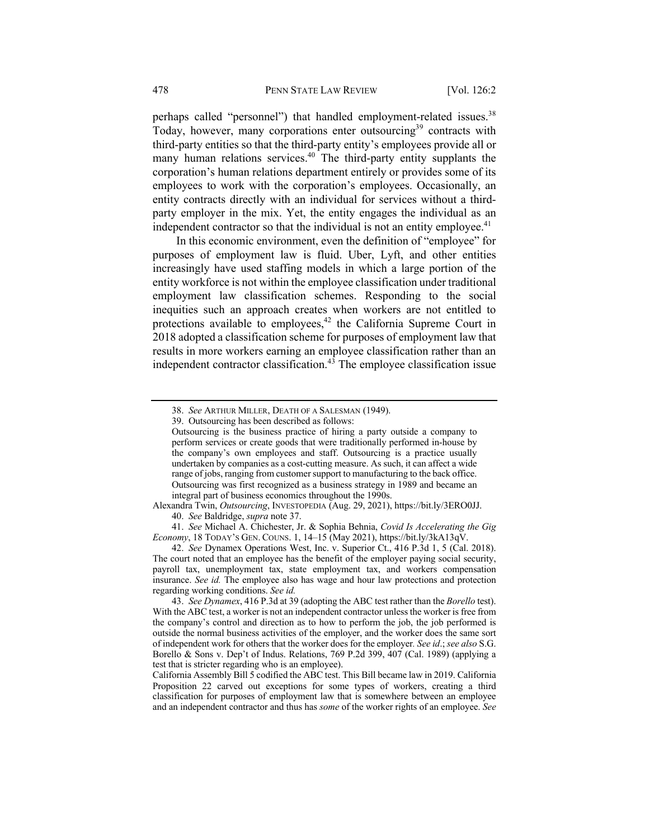perhaps called "personnel") that handled employment-related issues.<sup>38</sup> Today, however, many corporations enter outsourcing<sup>39</sup> contracts with third-party entities so that the third-party entity's employees provide all or many human relations services.<sup>40</sup> The third-party entity supplants the corporation's human relations department entirely or provides some of its employees to work with the corporation's employees. Occasionally, an entity contracts directly with an individual for services without a thirdparty employer in the mix. Yet, the entity engages the individual as an independent contractor so that the individual is not an entity employee. $41$ 

In this economic environment, even the definition of "employee" for purposes of employment law is fluid. Uber, Lyft, and other entities increasingly have used staffing models in which a large portion of the entity workforce is not within the employee classification under traditional employment law classification schemes. Responding to the social inequities such an approach creates when workers are not entitled to protections available to employees,<sup>42</sup> the California Supreme Court in 2018 adopted a classification scheme for purposes of employment law that results in more workers earning an employee classification rather than an independent contractor classification. $4^3$  The employee classification issue

<sup>38.</sup> *See* ARTHUR MILLER, DEATH OF A SALESMAN (1949).

<sup>39.</sup> Outsourcing has been described as follows:

Outsourcing is the business practice of hiring a party outside a company to perform services or create goods that were traditionally performed in-house by the company's own employees and staff. Outsourcing is a practice usually undertaken by companies as a cost-cutting measure. As such, it can affect a wide range of jobs, ranging from customer support to manufacturing to the back office. Outsourcing was first recognized as a business strategy in 1989 and became an integral part of business economics throughout the 1990s.

Alexandra Twin, *Outsourcing*, INVESTOPEDIA (Aug. 29, 2021), https://bit.ly/3ERO0JJ. 40. *See* Baldridge, *supra* note 37.

<sup>41.</sup> *See* Michael A. Chichester, Jr. & Sophia Behnia, *Covid Is Accelerating the Gig Economy*, 18 TODAY's GEN. COUNS. 1, 14–15 (May 2021), https://bit.ly/3kA13qV.

<sup>42.</sup> *See* Dynamex Operations West, Inc. v. Superior Ct., 416 P.3d 1, 5 (Cal. 2018). The court noted that an employee has the benefit of the employer paying social security, payroll tax, unemployment tax, state employment tax, and workers compensation insurance. *See id.* The employee also has wage and hour law protections and protection regarding working conditions. *See id.*

<sup>43.</sup> *See Dynamex*, 416 P.3d at 39 (adopting the ABC test rather than the *Borello* test). With the ABC test, a worker is not an independent contractor unless the worker is free from the company's control and direction as to how to perform the job, the job performed is outside the normal business activities of the employer, and the worker does the same sort of independent work for others that the worker does for the employer*. See id*.; *see also* S.G. Borello & Sons v. Dep't of Indus. Relations, 769 P.2d 399, 407 (Cal. 1989) (applying a test that is stricter regarding who is an employee).

California Assembly Bill 5 codified the ABC test. This Bill became law in 2019. California Proposition 22 carved out exceptions for some types of workers, creating a third classification for purposes of employment law that is somewhere between an employee and an independent contractor and thus has *some* of the worker rights of an employee. *See*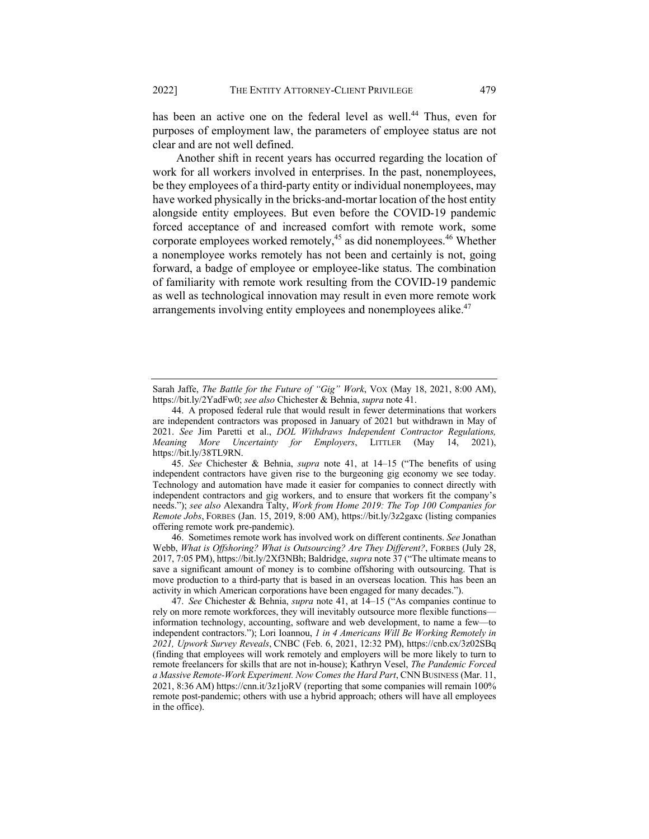has been an active one on the federal level as well.<sup>44</sup> Thus, even for purposes of employment law, the parameters of employee status are not clear and are not well defined.

Another shift in recent years has occurred regarding the location of work for all workers involved in enterprises. In the past, nonemployees, be they employees of a third-party entity or individual nonemployees, may have worked physically in the bricks-and-mortar location of the host entity alongside entity employees. But even before the COVID-19 pandemic forced acceptance of and increased comfort with remote work, some corporate employees worked remotely,<sup>45</sup> as did nonemployees.<sup>46</sup> Whether a nonemployee works remotely has not been and certainly is not, going forward, a badge of employee or employee-like status. The combination of familiarity with remote work resulting from the COVID-19 pandemic as well as technological innovation may result in even more remote work arrangements involving entity employees and nonemployees alike.<sup>47</sup>

45. *See* Chichester & Behnia, *supra* note 41, at 14–15 ("The benefits of using independent contractors have given rise to the burgeoning gig economy we see today. Technology and automation have made it easier for companies to connect directly with independent contractors and gig workers, and to ensure that workers fit the company's needs."); *see also* Alexandra Talty, *Work from Home 2019: The Top 100 Companies for Remote Jobs*, FORBES (Jan. 15, 2019, 8:00 AM), https://bit.ly/3z2gaxc (listing companies offering remote work pre-pandemic).

46. Sometimes remote work has involved work on different continents. *See* Jonathan Webb, *What is Offshoring? What is Outsourcing? Are They Different?*, FORBES (July 28, 2017, 7:05 PM), https://bit.ly/2Xf3NBh; Baldridge, *supra* note 37 ("The ultimate means to save a significant amount of money is to combine offshoring with outsourcing. That is move production to a third-party that is based in an overseas location. This has been an activity in which American corporations have been engaged for many decades.").

47. *See* Chichester & Behnia, *supra* note 41, at 14–15 ("As companies continue to rely on more remote workforces, they will inevitably outsource more flexible functions information technology, accounting, software and web development, to name a few—to independent contractors."); Lori Ioannou, *1 in 4 Americans Will Be Working Remotely in 2021, Upwork Survey Reveals*, CNBC (Feb. 6, 2021, 12:32 PM), https://cnb.cx/3z02SBq (finding that employees will work remotely and employers will be more likely to turn to remote freelancers for skills that are not in-house); Kathryn Vesel, *The Pandemic Forced a Massive Remote-Work Experiment. Now Comes the Hard Part*, CNN BUSINESS (Mar. 11, 2021, 8:36 AM) https://cnn.it/3z1joRV (reporting that some companies will remain 100% remote post-pandemic; others with use a hybrid approach; others will have all employees in the office).

Sarah Jaffe, *The Battle for the Future of "Gig" Work*, VOX (May 18, 2021, 8:00 AM), https://bit.ly/2YadFw0; *see also* Chichester & Behnia, *supra* note 41.

<sup>44.</sup> A proposed federal rule that would result in fewer determinations that workers are independent contractors was proposed in January of 2021 but withdrawn in May of 2021. *See* Jim Paretti et al., *DOL Withdraws Independent Contractor Regulations, Meaning More Uncertainty for Employers*, LITTLER (May 14, 2021), https://bit.ly/38TL9RN.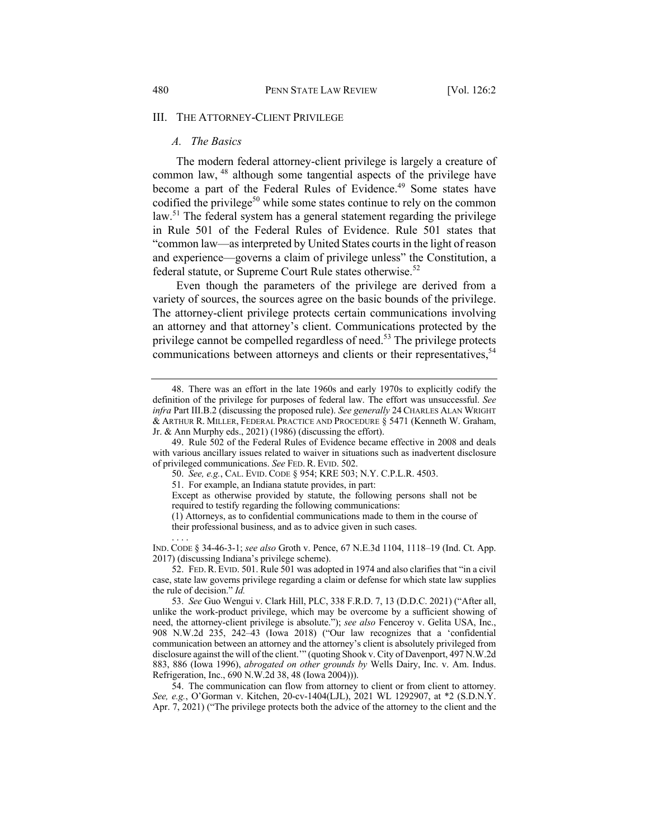#### III. THE ATTORNEY-CLIENT PRIVILEGE

#### *A. The Basics*

. . . .

The modern federal attorney-client privilege is largely a creature of common law, <sup>48</sup> although some tangential aspects of the privilege have become a part of the Federal Rules of Evidence.<sup>49</sup> Some states have codified the privilege<sup>50</sup> while some states continue to rely on the common law.<sup>51</sup> The federal system has a general statement regarding the privilege in Rule 501 of the Federal Rules of Evidence. Rule 501 states that "common law—as interpreted by United States courts in the light of reason and experience—governs a claim of privilege unless" the Constitution, a federal statute, or Supreme Court Rule states otherwise.<sup>52</sup>

Even though the parameters of the privilege are derived from a variety of sources, the sources agree on the basic bounds of the privilege. The attorney-client privilege protects certain communications involving an attorney and that attorney's client. Communications protected by the privilege cannot be compelled regardless of need.<sup>53</sup> The privilege protects communications between attorneys and clients or their representatives,<sup>54</sup>

<sup>48.</sup> There was an effort in the late 1960s and early 1970s to explicitly codify the definition of the privilege for purposes of federal law. The effort was unsuccessful. *See infra* Part III.B.2 (discussing the proposed rule). *See generally* 24 CHARLES ALAN WRIGHT & ARTHUR R. MILLER, FEDERAL PRACTICE AND PROCEDURE § 5471 (Kenneth W. Graham, Jr. & Ann Murphy eds., 2021) (1986) (discussing the effort).

<sup>49.</sup> Rule 502 of the Federal Rules of Evidence became effective in 2008 and deals with various ancillary issues related to waiver in situations such as inadvertent disclosure of privileged communications. *See* FED. R. EVID. 502.

<sup>50.</sup> *See, e.g.*, CAL. EVID. CODE § 954; KRE 503; N.Y. C.P.L.R. 4503.

<sup>51.</sup> For example, an Indiana statute provides, in part:

Except as otherwise provided by statute, the following persons shall not be required to testify regarding the following communications:

<sup>(1)</sup> Attorneys, as to confidential communications made to them in the course of their professional business, and as to advice given in such cases.

IND. CODE § 34-46-3-1; *see also* Groth v. Pence, 67 N.E.3d 1104, 1118–19 (Ind. Ct. App. 2017) (discussing Indiana's privilege scheme).

<sup>52.</sup> FED.R. EVID. 501. Rule 501 was adopted in 1974 and also clarifies that "in a civil case, state law governs privilege regarding a claim or defense for which state law supplies the rule of decision." *Id.*

<sup>53.</sup> *See* Guo Wengui v. Clark Hill, PLC, 338 F.R.D. 7, 13 (D.D.C. 2021) ("After all, unlike the work-product privilege, which may be overcome by a sufficient showing of need, the attorney-client privilege is absolute."); *see also* Fenceroy v. Gelita USA, Inc., 908 N.W.2d 235, 242–43 (Iowa 2018) ("Our law recognizes that a 'confidential communication between an attorney and the attorney's client is absolutely privileged from disclosure against the will of the client.'" (quoting Shook v. City of Davenport, 497 N.W.2d 883, 886 (Iowa 1996), *abrogated on other grounds by* Wells Dairy, Inc. v. Am. Indus. Refrigeration, Inc., 690 N.W.2d 38, 48 (Iowa 2004))).

<sup>54.</sup> The communication can flow from attorney to client or from client to attorney. *See, e.g.*, O'Gorman v. Kitchen, 20-cv-1404(LJL), 2021 WL 1292907, at \*2 (S.D.N.Y. Apr. 7, 2021) ("The privilege protects both the advice of the attorney to the client and the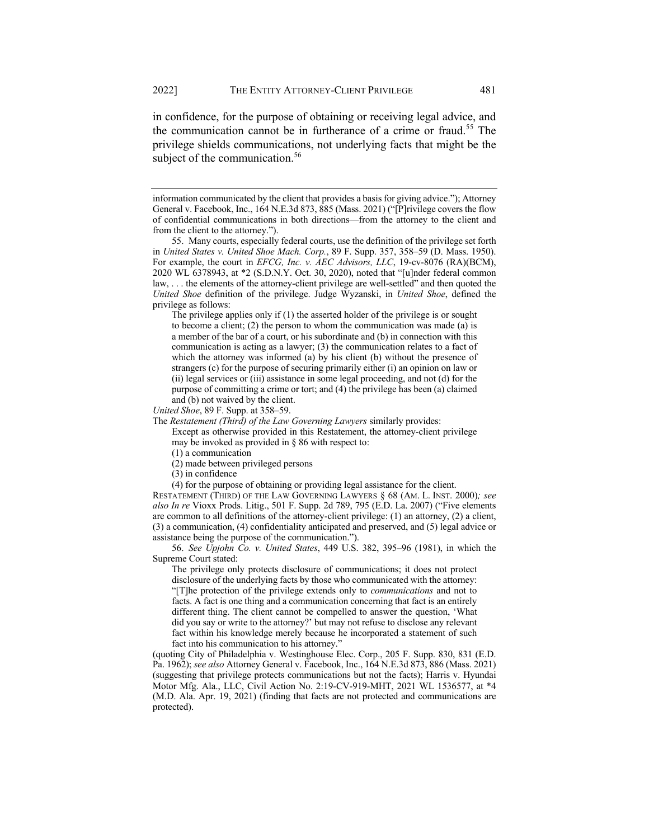in confidence, for the purpose of obtaining or receiving legal advice, and the communication cannot be in furtherance of a crime or fraud.<sup>55</sup> The privilege shields communications, not underlying facts that might be the subject of the communication.<sup>56</sup>

*United Shoe*, 89 F. Supp. at 358–59.

The *Restatement (Third) of the Law Governing Lawyers* similarly provides:

Except as otherwise provided in this Restatement, the attorney-client privilege may be invoked as provided in § 86 with respect to:

(1) a communication

(2) made between privileged persons

(3) in confidence

(4) for the purpose of obtaining or providing legal assistance for the client.

RESTATEMENT (THIRD) OF THE LAW GOVERNING LAWYERS § 68 (AM. L. INST. 2000)*; see also In re* Vioxx Prods. Litig., 501 F. Supp. 2d 789, 795 (E.D. La. 2007) ("Five elements are common to all definitions of the attorney-client privilege: (1) an attorney, (2) a client, (3) a communication, (4) confidentiality anticipated and preserved, and (5) legal advice or assistance being the purpose of the communication.").

56. *See Upjohn Co. v. United States*, 449 U.S. 382, 395–96 (1981), in which the Supreme Court stated:

The privilege only protects disclosure of communications; it does not protect disclosure of the underlying facts by those who communicated with the attorney: "[T]he protection of the privilege extends only to *communications* and not to facts. A fact is one thing and a communication concerning that fact is an entirely different thing. The client cannot be compelled to answer the question, 'What did you say or write to the attorney?' but may not refuse to disclose any relevant fact within his knowledge merely because he incorporated a statement of such fact into his communication to his attorney."

(quoting City of Philadelphia v. Westinghouse Elec. Corp., 205 F. Supp. 830, 831 (E.D. Pa. 1962); *see also* Attorney General v. Facebook, Inc., 164 N.E.3d 873, 886 (Mass. 2021) (suggesting that privilege protects communications but not the facts); Harris v. Hyundai Motor Mfg. Ala., LLC, Civil Action No. 2:19-CV-919-MHT, 2021 WL 1536577, at \*4 (M.D. Ala. Apr. 19, 2021) (finding that facts are not protected and communications are protected).

information communicated by the client that provides a basis for giving advice."); Attorney General v. Facebook, Inc., 164 N.E.3d 873, 885 (Mass. 2021) ("[P]rivilege covers the flow of confidential communications in both directions—from the attorney to the client and from the client to the attorney.").

<sup>55.</sup> Many courts, especially federal courts, use the definition of the privilege set forth in *United States v. United Shoe Mach. Corp.*, 89 F. Supp. 357, 358–59 (D. Mass. 1950). For example, the court in *EFCG, Inc. v. AEC Advisors, LLC*, 19-cv-8076 (RA)(BCM), 2020 WL 6378943, at \*2 (S.D.N.Y. Oct. 30, 2020), noted that "[u]nder federal common law, . . . the elements of the attorney-client privilege are well-settled" and then quoted the *United Shoe* definition of the privilege. Judge Wyzanski, in *United Shoe*, defined the privilege as follows:

The privilege applies only if (1) the asserted holder of the privilege is or sought to become a client; (2) the person to whom the communication was made (a) is a member of the bar of a court, or his subordinate and (b) in connection with this communication is acting as a lawyer; (3) the communication relates to a fact of which the attorney was informed (a) by his client (b) without the presence of strangers (c) for the purpose of securing primarily either (i) an opinion on law or (ii) legal services or (iii) assistance in some legal proceeding, and not (d) for the purpose of committing a crime or tort; and (4) the privilege has been (a) claimed and (b) not waived by the client.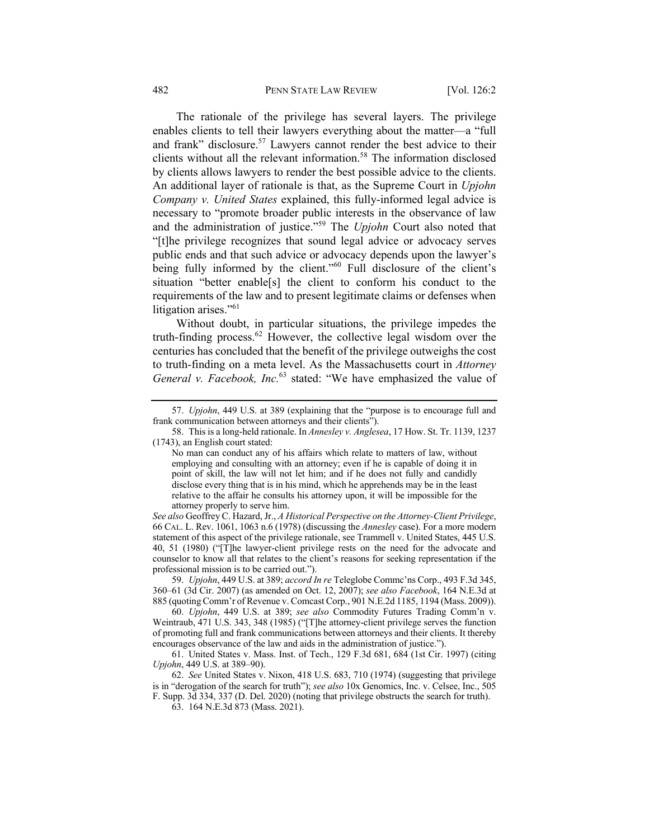### 482 PENN STATE LAW REVIEW [Vol. 126:2

The rationale of the privilege has several layers. The privilege enables clients to tell their lawyers everything about the matter—a "full and frank" disclosure.<sup>57</sup> Lawyers cannot render the best advice to their clients without all the relevant information.<sup>58</sup> The information disclosed by clients allows lawyers to render the best possible advice to the clients. An additional layer of rationale is that, as the Supreme Court in *Upjohn Company v. United States* explained, this fully-informed legal advice is necessary to "promote broader public interests in the observance of law and the administration of justice."59 The *Upjohn* Court also noted that "[t]he privilege recognizes that sound legal advice or advocacy serves public ends and that such advice or advocacy depends upon the lawyer's being fully informed by the client."<sup>60</sup> Full disclosure of the client's situation "better enable[s] the client to conform his conduct to the requirements of the law and to present legitimate claims or defenses when litigation arises."<sup>61</sup>

Without doubt, in particular situations, the privilege impedes the truth-finding process.<sup>62</sup> However, the collective legal wisdom over the centuries has concluded that the benefit of the privilege outweighs the cost to truth-finding on a meta level. As the Massachusetts court in *Attorney General v. Facebook, Inc.*<sup>63</sup> stated: "We have emphasized the value of

*See also* Geoffrey C. Hazard, Jr., *A Historical Perspective on the Attorney-Client Privilege*, 66 CAL. L. Rev. 1061, 1063 n.6 (1978) (discussing the *Annesley* case). For a more modern statement of this aspect of the privilege rationale, see Trammell v. United States, 445 U.S. 40, 51 (1980) ("[T]he lawyer-client privilege rests on the need for the advocate and counselor to know all that relates to the client's reasons for seeking representation if the professional mission is to be carried out.").

59. *Upjohn*, 449 U.S. at 389; *accord In re* Teleglobe Commc'ns Corp., 493 F.3d 345, 360–61 (3d Cir. 2007) (as amended on Oct. 12, 2007); *see also Facebook*, 164 N.E.3d at 885 (quoting Comm'r of Revenue v. Comcast Corp., 901 N.E.2d 1185, 1194 (Mass. 2009)).

60. *Upjohn*, 449 U.S. at 389; *see also* Commodity Futures Trading Comm'n v. Weintraub, 471 U.S. 343, 348 (1985) ("[T]he attorney-client privilege serves the function of promoting full and frank communications between attorneys and their clients. It thereby encourages observance of the law and aids in the administration of justice.").

61. United States v. Mass. Inst. of Tech., 129 F.3d 681, 684 (1st Cir. 1997) (citing *Upjohn*, 449 U.S. at 389–90).

62. *See* United States v. Nixon, 418 U.S. 683, 710 (1974) (suggesting that privilege is in "derogation of the search for truth"); *see also* 10x Genomics, Inc. v. Celsee, Inc., 505 F. Supp. 3d 334, 337 (D. Del. 2020) (noting that privilege obstructs the search for truth).

63. 164 N.E.3d 873 (Mass. 2021).

<sup>57.</sup> *Upjohn*, 449 U.S. at 389 (explaining that the "purpose is to encourage full and frank communication between attorneys and their clients").

<sup>58.</sup> This is a long-held rationale. In *Annesley v. Anglesea*, 17 How. St. Tr. 1139, 1237 (1743), an English court stated:

No man can conduct any of his affairs which relate to matters of law, without employing and consulting with an attorney; even if he is capable of doing it in point of skill, the law will not let him; and if he does not fully and candidly disclose every thing that is in his mind, which he apprehends may be in the least relative to the affair he consults his attorney upon, it will be impossible for the attorney properly to serve him.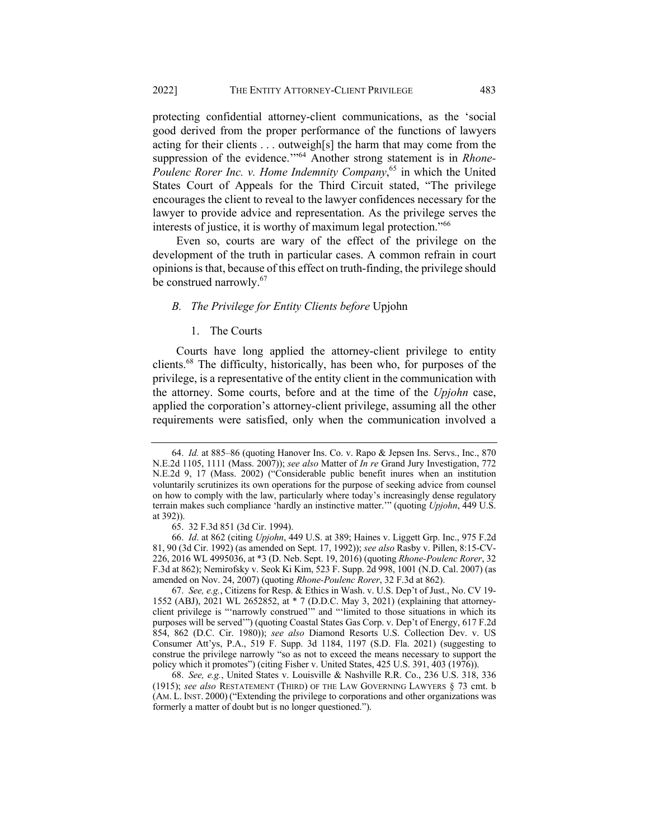protecting confidential attorney-client communications, as the 'social good derived from the proper performance of the functions of lawyers acting for their clients . . . outweigh[s] the harm that may come from the suppression of the evidence.'"<sup>64</sup> Another strong statement is in *Rhone-Poulenc Rorer Inc. v. Home Indemnity Company*, <sup>65</sup> in which the United States Court of Appeals for the Third Circuit stated, "The privilege encourages the client to reveal to the lawyer confidences necessary for the lawyer to provide advice and representation. As the privilege serves the interests of justice, it is worthy of maximum legal protection."<sup>66</sup>

Even so, courts are wary of the effect of the privilege on the development of the truth in particular cases. A common refrain in court opinions is that, because of this effect on truth-finding, the privilege should be construed narrowly.<sup>67</sup>

### *B. The Privilege for Entity Clients before* Upjohn

### 1. The Courts

Courts have long applied the attorney-client privilege to entity clients.68 The difficulty, historically, has been who, for purposes of the privilege, is a representative of the entity client in the communication with the attorney. Some courts, before and at the time of the *Upjohn* case, applied the corporation's attorney-client privilege, assuming all the other requirements were satisfied, only when the communication involved a

67. *See, e.g.*, Citizens for Resp. & Ethics in Wash. v. U.S. Dep't of Just., No. CV 19- 1552 (ABJ), 2021 WL 2652852, at \* 7 (D.D.C. May 3, 2021) (explaining that attorneyclient privilege is "'narrowly construed'" and "'limited to those situations in which its purposes will be served'") (quoting Coastal States Gas Corp. v. Dep't of Energy, 617 F.2d 854, 862 (D.C. Cir. 1980)); *see also* Diamond Resorts U.S. Collection Dev. v. US Consumer Att'ys, P.A., 519 F. Supp. 3d 1184, 1197 (S.D. Fla. 2021) (suggesting to construe the privilege narrowly "so as not to exceed the means necessary to support the policy which it promotes") (citing Fisher v. United States, 425 U.S. 391, 403 (1976)).

68. *See, e.g.*, United States v. Louisville & Nashville R.R. Co., 236 U.S. 318, 336 (1915); *see also* RESTATEMENT (THIRD) OF THE LAW GOVERNING LAWYERS § 73 cmt. b (AM. L. INST. 2000) ("Extending the privilege to corporations and other organizations was formerly a matter of doubt but is no longer questioned.").

<sup>64.</sup> *Id.* at 885–86 (quoting Hanover Ins. Co. v. Rapo & Jepsen Ins. Servs., Inc., 870 N.E.2d 1105, 1111 (Mass. 2007)); *see also* Matter of *In re* Grand Jury Investigation, 772 N.E.2d 9, 17 (Mass. 2002) ("Considerable public benefit inures when an institution voluntarily scrutinizes its own operations for the purpose of seeking advice from counsel on how to comply with the law, particularly where today's increasingly dense regulatory terrain makes such compliance 'hardly an instinctive matter.'" (quoting *Upjohn*, 449 U.S. at 392)).

<sup>65.</sup> 32 F.3d 851 (3d Cir. 1994).

<sup>66.</sup> *Id*. at 862 (citing *Upjohn*, 449 U.S. at 389; Haines v. Liggett Grp. Inc., 975 F.2d 81, 90 (3d Cir. 1992) (as amended on Sept. 17, 1992)); *see also* Rasby v. Pillen, 8:15-CV-226, 2016 WL 4995036, at \*3 (D. Neb. Sept. 19, 2016) (quoting *Rhone-Poulenc Rorer*, 32 F.3d at 862); Nemirofsky v. Seok Ki Kim, 523 F. Supp. 2d 998, 1001 (N.D. Cal. 2007) (as amended on Nov. 24, 2007) (quoting *Rhone-Poulenc Rorer*, 32 F.3d at 862).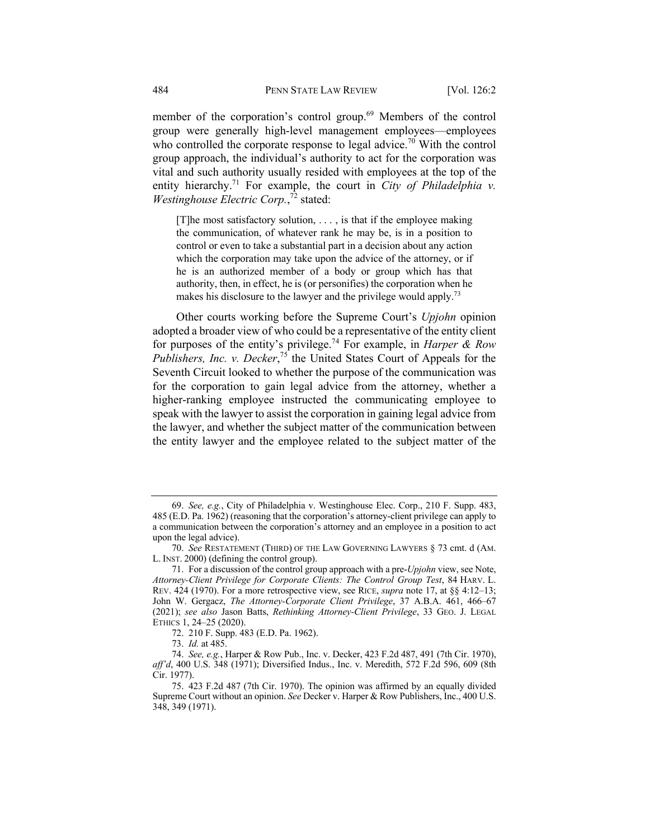member of the corporation's control group.<sup>69</sup> Members of the control group were generally high-level management employees—employees who controlled the corporate response to legal advice.<sup>70</sup> With the control group approach, the individual's authority to act for the corporation was vital and such authority usually resided with employees at the top of the entity hierarchy.<sup>71</sup> For example, the court in *City of Philadelphia v*. *Westinghouse Electric Corp.*, <sup>72</sup> stated:

[T]he most satisfactory solution, . . . , is that if the employee making the communication, of whatever rank he may be, is in a position to control or even to take a substantial part in a decision about any action which the corporation may take upon the advice of the attorney, or if he is an authorized member of a body or group which has that authority, then, in effect, he is (or personifies) the corporation when he makes his disclosure to the lawyer and the privilege would apply.<sup>73</sup>

Other courts working before the Supreme Court's *Upjohn* opinion adopted a broader view of who could be a representative of the entity client for purposes of the entity's privilege.<sup>74</sup> For example, in *Harper & Row Publishers, Inc. v. Decker*, <sup>75</sup> the United States Court of Appeals for the Seventh Circuit looked to whether the purpose of the communication was for the corporation to gain legal advice from the attorney, whether a higher-ranking employee instructed the communicating employee to speak with the lawyer to assist the corporation in gaining legal advice from the lawyer, and whether the subject matter of the communication between the entity lawyer and the employee related to the subject matter of the

<sup>69.</sup> *See, e.g.*, City of Philadelphia v. Westinghouse Elec. Corp., 210 F. Supp. 483, 485 (E.D. Pa. 1962) (reasoning that the corporation's attorney-client privilege can apply to a communication between the corporation's attorney and an employee in a position to act upon the legal advice).

<sup>70.</sup> *See* RESTATEMENT (THIRD) OF THE LAW GOVERNING LAWYERS § 73 cmt. d (AM. L. INST. 2000) (defining the control group).

<sup>71.</sup> For a discussion of the control group approach with a pre-*Upjohn* view, see Note, *Attorney-Client Privilege for Corporate Clients: The Control Group Test*, 84 HARV. L. REV. 424 (1970). For a more retrospective view, see RICE, *supra* note 17, at §§ 4:12–13; John W. Gergacz, *The Attorney-Corporate Client Privilege*, 37 A.B.A. 461, 466–67 (2021); *see also* Jason Batts, *Rethinking Attorney-Client Privilege*, 33 GEO. J. LEGAL ETHICS 1, 24–25 (2020).

<sup>72.</sup> 210 F. Supp. 483 (E.D. Pa. 1962).

<sup>73.</sup> *Id.* at 485.

<sup>74.</sup> *See, e.g.*, Harper & Row Pub., Inc. v. Decker, 423 F.2d 487, 491 (7th Cir. 1970), *aff'd*, 400 U.S. 348 (1971); Diversified Indus., Inc. v. Meredith, 572 F.2d 596, 609 (8th Cir. 1977).

<sup>75.</sup> 423 F.2d 487 (7th Cir. 1970). The opinion was affirmed by an equally divided Supreme Court without an opinion. *See* Decker v. Harper & Row Publishers, Inc., 400 U.S. 348, 349 (1971).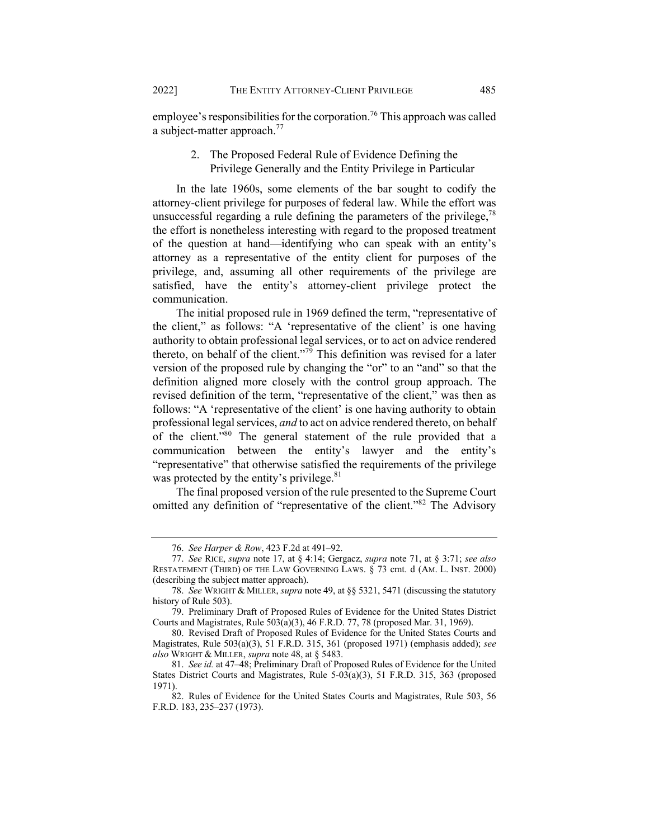employee's responsibilities for the corporation.<sup>76</sup> This approach was called a subject-matter approach.<sup>77</sup>

## 2. The Proposed Federal Rule of Evidence Defining the Privilege Generally and the Entity Privilege in Particular

In the late 1960s, some elements of the bar sought to codify the attorney-client privilege for purposes of federal law. While the effort was unsuccessful regarding a rule defining the parameters of the privilege,  $78$ the effort is nonetheless interesting with regard to the proposed treatment of the question at hand—identifying who can speak with an entity's attorney as a representative of the entity client for purposes of the privilege, and, assuming all other requirements of the privilege are satisfied, have the entity's attorney-client privilege protect the communication.

The initial proposed rule in 1969 defined the term, "representative of the client," as follows: "A 'representative of the client' is one having authority to obtain professional legal services, or to act on advice rendered thereto, on behalf of the client."<sup>79</sup> This definition was revised for a later version of the proposed rule by changing the "or" to an "and" so that the definition aligned more closely with the control group approach. The revised definition of the term, "representative of the client," was then as follows: "A 'representative of the client' is one having authority to obtain professional legal services, *and* to act on advice rendered thereto, on behalf of the client."80 The general statement of the rule provided that a communication between the entity's lawyer and the entity's "representative" that otherwise satisfied the requirements of the privilege was protected by the entity's privilege. $81$ 

The final proposed version of the rule presented to the Supreme Court omitted any definition of "representative of the client."<sup>82</sup> The Advisory

<sup>76.</sup> *See Harper & Row*, 423 F.2d at 491–92.

<sup>77.</sup> *See* RICE, *supra* note 17, at § 4:14; Gergacz, *supra* note 71, at § 3:71; *see also*  RESTATEMENT (THIRD) OF THE LAW GOVERNING LAWS. § 73 cmt. d (AM. L. INST. 2000) (describing the subject matter approach).

<sup>78.</sup> *See* WRIGHT & MILLER, *supra* note 49, at §§ 5321, 5471 (discussing the statutory history of Rule 503).

<sup>79.</sup> Preliminary Draft of Proposed Rules of Evidence for the United States District Courts and Magistrates, Rule  $503(a)(3)$ , 46 F.R.D. 77, 78 (proposed Mar. 31, 1969).

<sup>80.</sup> Revised Draft of Proposed Rules of Evidence for the United States Courts and Magistrates, Rule 503(a)(3), 51 F.R.D. 315, 361 (proposed 1971) (emphasis added); *see also* WRIGHT & MILLER, *supra* note 48, at § 5483.

<sup>81.</sup> *See id.* at 47–48; Preliminary Draft of Proposed Rules of Evidence for the United States District Courts and Magistrates, Rule 5-03(a)(3), 51 F.R.D. 315, 363 (proposed 1971).

<sup>82.</sup> Rules of Evidence for the United States Courts and Magistrates, Rule 503, 56 F.R.D. 183, 235–237 (1973).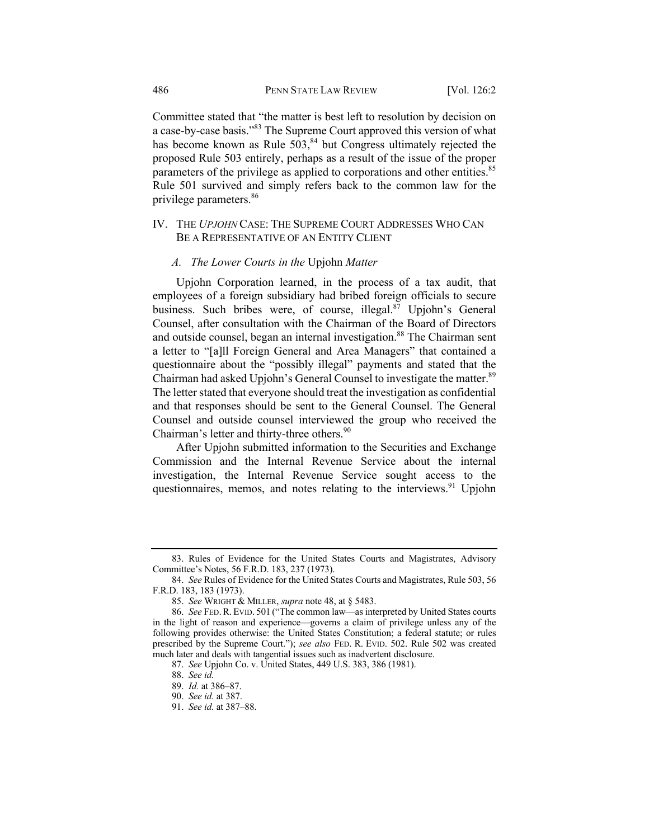Committee stated that "the matter is best left to resolution by decision on a case-by-case basis."<sup>83</sup> The Supreme Court approved this version of what has become known as Rule  $503$ ,<sup>84</sup> but Congress ultimately rejected the proposed Rule 503 entirely, perhaps as a result of the issue of the proper parameters of the privilege as applied to corporations and other entities.<sup>85</sup> Rule 501 survived and simply refers back to the common law for the privilege parameters.<sup>86</sup>

## IV. THE *UPJOHN* CASE: THE SUPREME COURT ADDRESSES WHO CAN BE A REPRESENTATIVE OF AN ENTITY CLIENT

### *A. The Lower Courts in the* Upjohn *Matter*

Upjohn Corporation learned, in the process of a tax audit, that employees of a foreign subsidiary had bribed foreign officials to secure business. Such bribes were, of course, illegal. $87$  Upjohn's General Counsel, after consultation with the Chairman of the Board of Directors and outside counsel, began an internal investigation.<sup>88</sup> The Chairman sent a letter to "[a]ll Foreign General and Area Managers" that contained a questionnaire about the "possibly illegal" payments and stated that the Chairman had asked Upjohn's General Counsel to investigate the matter.<sup>89</sup> The letter stated that everyone should treat the investigation as confidential and that responses should be sent to the General Counsel. The General Counsel and outside counsel interviewed the group who received the Chairman's letter and thirty-three others.<sup>90</sup>

After Upjohn submitted information to the Securities and Exchange Commission and the Internal Revenue Service about the internal investigation, the Internal Revenue Service sought access to the questionnaires, memos, and notes relating to the interviews.<sup>91</sup> Upjohn

<sup>83.</sup> Rules of Evidence for the United States Courts and Magistrates, Advisory Committee's Notes, 56 F.R.D. 183, 237 (1973).

<sup>84.</sup> *See* Rules of Evidence for the United States Courts and Magistrates, Rule 503, 56 F.R.D. 183, 183 (1973).

<sup>85.</sup> *See* WRIGHT & MILLER, *supra* note 48, at § 5483.

<sup>86.</sup> *See* FED.R. EVID. 501 ("The common law—as interpreted by United States courts in the light of reason and experience—governs a claim of privilege unless any of the following provides otherwise: the United States Constitution; a federal statute; or rules prescribed by the Supreme Court."); *see also* FED. R. EVID. 502. Rule 502 was created much later and deals with tangential issues such as inadvertent disclosure.

<sup>87.</sup> *See* Upjohn Co. v. United States, 449 U.S. 383, 386 (1981).

<sup>88.</sup> *See id.*

<sup>89.</sup> *Id.* at 386–87.

<sup>90.</sup> *See id.* at 387.

<sup>91.</sup> *See id.* at 387–88.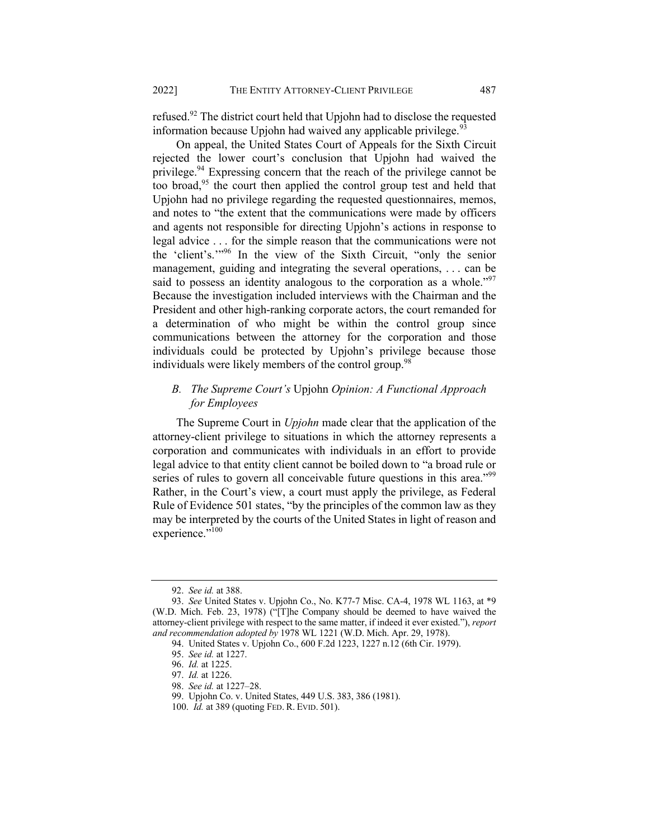refused.92 The district court held that Upjohn had to disclose the requested information because Upjohn had waived any applicable privilege.  $93$ 

On appeal, the United States Court of Appeals for the Sixth Circuit rejected the lower court's conclusion that Upjohn had waived the privilege.<sup>94</sup> Expressing concern that the reach of the privilege cannot be too broad, $95$  the court then applied the control group test and held that Upjohn had no privilege regarding the requested questionnaires, memos, and notes to "the extent that the communications were made by officers and agents not responsible for directing Upjohn's actions in response to legal advice . . . for the simple reason that the communications were not the 'client's.'"<sup>96</sup> In the view of the Sixth Circuit, "only the senior management, guiding and integrating the several operations, . . . can be said to possess an identity analogous to the corporation as a whole."<sup>97</sup> Because the investigation included interviews with the Chairman and the President and other high-ranking corporate actors, the court remanded for a determination of who might be within the control group since communications between the attorney for the corporation and those individuals could be protected by Upjohn's privilege because those individuals were likely members of the control group.<sup>98</sup>

## *B. The Supreme Court's* Upjohn *Opinion: A Functional Approach for Employees*

The Supreme Court in *Upjohn* made clear that the application of the attorney-client privilege to situations in which the attorney represents a corporation and communicates with individuals in an effort to provide legal advice to that entity client cannot be boiled down to "a broad rule or series of rules to govern all conceivable future questions in this area."<sup>99</sup> Rather, in the Court's view, a court must apply the privilege, as Federal Rule of Evidence 501 states, "by the principles of the common law as they may be interpreted by the courts of the United States in light of reason and experience."<sup>100</sup>

<sup>92.</sup> *See id.* at 388.

<sup>93.</sup> *See* United States v. Upjohn Co., No. K77-7 Misc. CA-4, 1978 WL 1163, at \*9 (W.D. Mich. Feb. 23, 1978) ("[T]he Company should be deemed to have waived the attorney-client privilege with respect to the same matter, if indeed it ever existed."), *report and recommendation adopted by* 1978 WL 1221 (W.D. Mich. Apr. 29, 1978).

<sup>94.</sup> United States v. Upjohn Co., 600 F.2d 1223, 1227 n.12 (6th Cir. 1979).

<sup>95.</sup> *See id.* at 1227.

<sup>96.</sup> *Id.* at 1225.

<sup>97.</sup> *Id.* at 1226.

<sup>98.</sup> *See id.* at 1227–28.

<sup>99.</sup> Upjohn Co. v. United States, 449 U.S. 383, 386 (1981).

<sup>100.</sup> *Id.* at 389 (quoting FED. R. EVID. 501).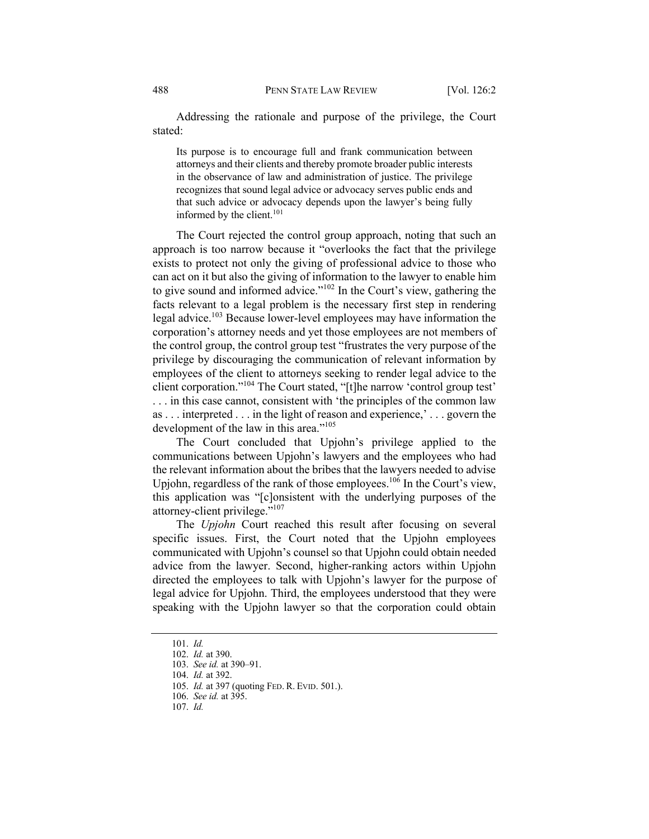Addressing the rationale and purpose of the privilege, the Court stated:

Its purpose is to encourage full and frank communication between attorneys and their clients and thereby promote broader public interests in the observance of law and administration of justice. The privilege recognizes that sound legal advice or advocacy serves public ends and that such advice or advocacy depends upon the lawyer's being fully informed by the client.<sup>101</sup>

The Court rejected the control group approach, noting that such an approach is too narrow because it "overlooks the fact that the privilege exists to protect not only the giving of professional advice to those who can act on it but also the giving of information to the lawyer to enable him to give sound and informed advice."<sup>102</sup> In the Court's view, gathering the facts relevant to a legal problem is the necessary first step in rendering legal advice.<sup>103</sup> Because lower-level employees may have information the corporation's attorney needs and yet those employees are not members of the control group, the control group test "frustrates the very purpose of the privilege by discouraging the communication of relevant information by employees of the client to attorneys seeking to render legal advice to the client corporation."104 The Court stated, "[t]he narrow 'control group test' . . . in this case cannot, consistent with 'the principles of the common law as . . . interpreted . . . in the light of reason and experience,' . . . govern the development of the law in this area."<sup>105</sup>

The Court concluded that Upjohn's privilege applied to the communications between Upjohn's lawyers and the employees who had the relevant information about the bribes that the lawyers needed to advise Upjohn, regardless of the rank of those employees.<sup>106</sup> In the Court's view, this application was "[c]onsistent with the underlying purposes of the attorney-client privilege."<sup>107</sup>

The *Upjohn* Court reached this result after focusing on several specific issues. First, the Court noted that the Upjohn employees communicated with Upjohn's counsel so that Upjohn could obtain needed advice from the lawyer. Second, higher-ranking actors within Upjohn directed the employees to talk with Upjohn's lawyer for the purpose of legal advice for Upjohn. Third, the employees understood that they were speaking with the Upjohn lawyer so that the corporation could obtain

<sup>101.</sup> *Id.*

<sup>102.</sup> *Id.* at 390.

<sup>103.</sup> *See id.* at 390–91.

<sup>104.</sup> *Id.* at 392.

<sup>105.</sup> *Id.* at 397 (quoting FED. R. EVID. 501.).

<sup>106.</sup> *See id.* at 395.

<sup>107.</sup> *Id.*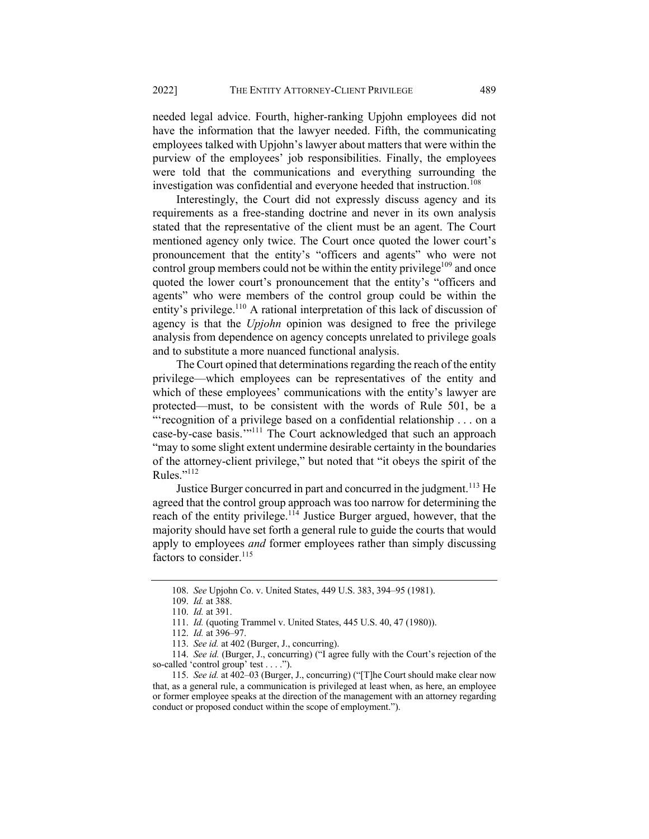needed legal advice. Fourth, higher-ranking Upjohn employees did not have the information that the lawyer needed. Fifth, the communicating employees talked with Upjohn's lawyer about matters that were within the purview of the employees' job responsibilities. Finally, the employees were told that the communications and everything surrounding the investigation was confidential and everyone heeded that instruction.<sup>108</sup>

Interestingly, the Court did not expressly discuss agency and its requirements as a free-standing doctrine and never in its own analysis stated that the representative of the client must be an agent. The Court mentioned agency only twice. The Court once quoted the lower court's pronouncement that the entity's "officers and agents" who were not control group members could not be within the entity privilege<sup>109</sup> and once quoted the lower court's pronouncement that the entity's "officers and agents" who were members of the control group could be within the entity's privilege.<sup>110</sup> A rational interpretation of this lack of discussion of agency is that the *Upjohn* opinion was designed to free the privilege analysis from dependence on agency concepts unrelated to privilege goals and to substitute a more nuanced functional analysis.

The Court opined that determinations regarding the reach of the entity privilege—which employees can be representatives of the entity and which of these employees' communications with the entity's lawyer are protected—must, to be consistent with the words of Rule 501, be a "'recognition of a privilege based on a confidential relationship . . . on a case-by-case basis."<sup>111</sup> The Court acknowledged that such an approach "may to some slight extent undermine desirable certainty in the boundaries of the attorney-client privilege," but noted that "it obeys the spirit of the Rules."112

Justice Burger concurred in part and concurred in the judgment.<sup>113</sup> He agreed that the control group approach was too narrow for determining the reach of the entity privilege.<sup>114</sup> Justice Burger argued, however, that the majority should have set forth a general rule to guide the courts that would apply to employees *and* former employees rather than simply discussing factors to consider.<sup>115</sup>

<sup>108.</sup> *See* Upjohn Co. v. United States, 449 U.S. 383, 394–95 (1981).

<sup>109.</sup> *Id.* at 388.

<sup>110.</sup> *Id.* at 391.

<sup>111.</sup> *Id.* (quoting Trammel v. United States, 445 U.S. 40, 47 (1980)).

<sup>112.</sup> *Id.* at 396–97.

<sup>113.</sup> *See id.* at 402 (Burger, J., concurring).

<sup>114.</sup> *See id.* (Burger, J., concurring) ("I agree fully with the Court's rejection of the so-called 'control group' test . . . .").

<sup>115.</sup> *See id.* at 402–03 (Burger, J., concurring) ("[T]he Court should make clear now that, as a general rule, a communication is privileged at least when, as here, an employee or former employee speaks at the direction of the management with an attorney regarding conduct or proposed conduct within the scope of employment.").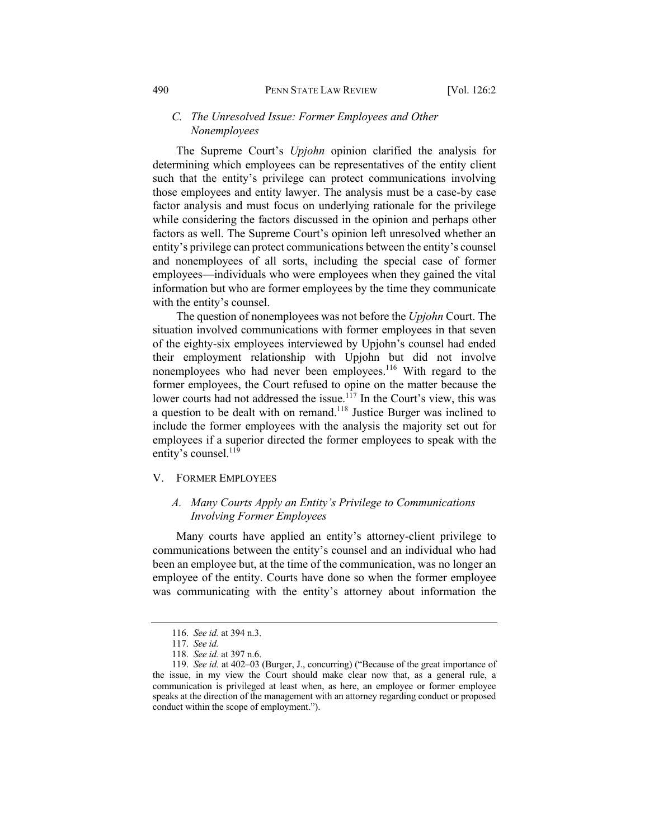## *C. The Unresolved Issue: Former Employees and Other Nonemployees*

The Supreme Court's *Upjohn* opinion clarified the analysis for determining which employees can be representatives of the entity client such that the entity's privilege can protect communications involving those employees and entity lawyer. The analysis must be a case-by case factor analysis and must focus on underlying rationale for the privilege while considering the factors discussed in the opinion and perhaps other factors as well. The Supreme Court's opinion left unresolved whether an entity's privilege can protect communications between the entity's counsel and nonemployees of all sorts, including the special case of former employees—individuals who were employees when they gained the vital information but who are former employees by the time they communicate with the entity's counsel.

The question of nonemployees was not before the *Upjohn* Court. The situation involved communications with former employees in that seven of the eighty-six employees interviewed by Upjohn's counsel had ended their employment relationship with Upjohn but did not involve nonemployees who had never been employees.<sup>116</sup> With regard to the former employees, the Court refused to opine on the matter because the lower courts had not addressed the issue.<sup>117</sup> In the Court's view, this was a question to be dealt with on remand.118 Justice Burger was inclined to include the former employees with the analysis the majority set out for employees if a superior directed the former employees to speak with the entity's counsel.<sup>119</sup>

#### V. FORMER EMPLOYEES

## *A. Many Courts Apply an Entity's Privilege to Communications Involving Former Employees*

Many courts have applied an entity's attorney-client privilege to communications between the entity's counsel and an individual who had been an employee but, at the time of the communication, was no longer an employee of the entity. Courts have done so when the former employee was communicating with the entity's attorney about information the

<sup>116.</sup> *See id.* at 394 n.3.

<sup>117.</sup> *See id.*

<sup>118.</sup> *See id.* at 397 n.6.

<sup>119.</sup> *See id.* at 402–03 (Burger, J., concurring) ("Because of the great importance of the issue, in my view the Court should make clear now that, as a general rule, a communication is privileged at least when, as here, an employee or former employee speaks at the direction of the management with an attorney regarding conduct or proposed conduct within the scope of employment.").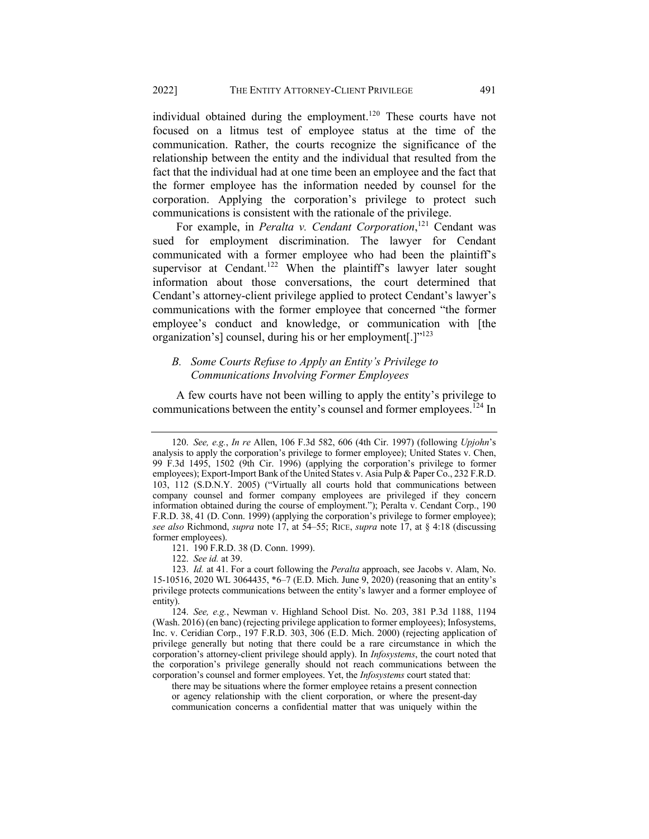individual obtained during the employment.<sup>120</sup> These courts have not focused on a litmus test of employee status at the time of the communication. Rather, the courts recognize the significance of the relationship between the entity and the individual that resulted from the fact that the individual had at one time been an employee and the fact that the former employee has the information needed by counsel for the corporation. Applying the corporation's privilege to protect such communications is consistent with the rationale of the privilege.

For example, in *Peralta v. Cendant Corporation*, <sup>121</sup> Cendant was sued for employment discrimination. The lawyer for Cendant communicated with a former employee who had been the plaintiff's supervisor at Cendant.<sup>122</sup> When the plaintiff's lawyer later sought information about those conversations, the court determined that Cendant's attorney-client privilege applied to protect Cendant's lawyer's communications with the former employee that concerned "the former employee's conduct and knowledge, or communication with [the organization's] counsel, during his or her employment[.] $"^{123}$ 

## *B. Some Courts Refuse to Apply an Entity's Privilege to Communications Involving Former Employees*

A few courts have not been willing to apply the entity's privilege to communications between the entity's counsel and former employees.<sup>124</sup> In

121. 190 F.R.D. 38 (D. Conn. 1999).

there may be situations where the former employee retains a present connection or agency relationship with the client corporation, or where the present-day communication concerns a confidential matter that was uniquely within the

<sup>120.</sup> *See, e.g.*, *In re* Allen, 106 F.3d 582, 606 (4th Cir. 1997) (following *Upjohn*'s analysis to apply the corporation's privilege to former employee); United States v. Chen, 99 F.3d 1495, 1502 (9th Cir. 1996) (applying the corporation's privilege to former employees); Export-Import Bank of the United States v. Asia Pulp & Paper Co., 232 F.R.D. 103, 112 (S.D.N.Y. 2005) ("Virtually all courts hold that communications between company counsel and former company employees are privileged if they concern information obtained during the course of employment."); Peralta v. Cendant Corp., 190 F.R.D. 38, 41 (D. Conn. 1999) (applying the corporation's privilege to former employee); *see also* Richmond, *supra* note 17, at 54–55; RICE, *supra* note 17, at § 4:18 (discussing former employees).

<sup>122.</sup> *See id.* at 39.

<sup>123.</sup> *Id.* at 41. For a court following the *Peralta* approach, see Jacobs v. Alam, No. 15-10516, 2020 WL 3064435, \*6–7 (E.D. Mich. June 9, 2020) (reasoning that an entity's privilege protects communications between the entity's lawyer and a former employee of entity).

<sup>124.</sup> *See, e.g.*, Newman v. Highland School Dist. No. 203, 381 P.3d 1188, 1194 (Wash. 2016) (en banc) (rejecting privilege application to former employees); Infosystems, Inc. v. Ceridian Corp., 197 F.R.D. 303, 306 (E.D. Mich. 2000) (rejecting application of privilege generally but noting that there could be a rare circumstance in which the corporation's attorney-client privilege should apply). In *Infosystems*, the court noted that the corporation's privilege generally should not reach communications between the corporation's counsel and former employees. Yet, the *Infosystems* court stated that: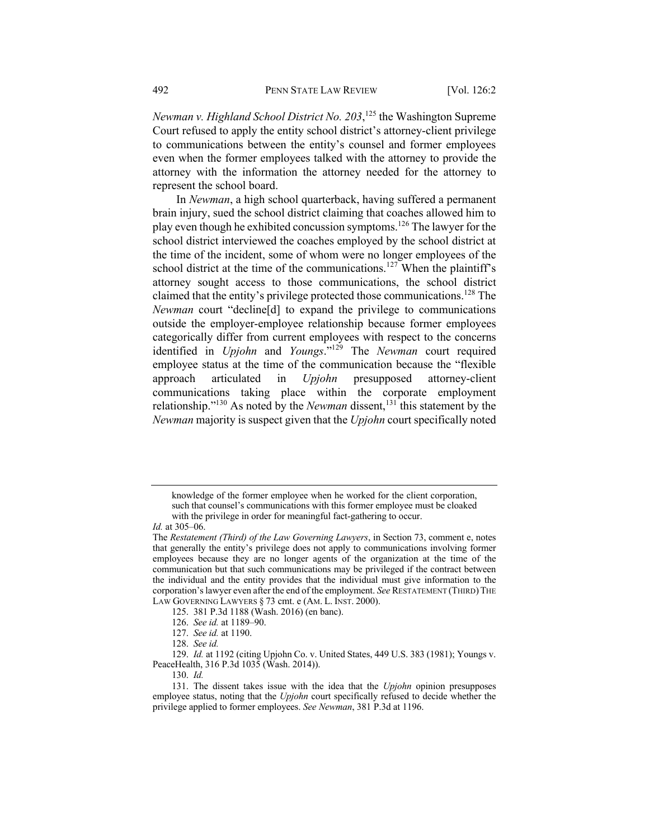*Newman v. Highland School District No. 203*, <sup>125</sup> the Washington Supreme Court refused to apply the entity school district's attorney-client privilege to communications between the entity's counsel and former employees even when the former employees talked with the attorney to provide the attorney with the information the attorney needed for the attorney to represent the school board.

In *Newman*, a high school quarterback, having suffered a permanent brain injury, sued the school district claiming that coaches allowed him to play even though he exhibited concussion symptoms.126 The lawyer for the school district interviewed the coaches employed by the school district at the time of the incident, some of whom were no longer employees of the school district at the time of the communications.<sup>127</sup> When the plaintiff's attorney sought access to those communications, the school district claimed that the entity's privilege protected those communications.<sup>128</sup> The *Newman* court "decline[d] to expand the privilege to communications outside the employer-employee relationship because former employees categorically differ from current employees with respect to the concerns identified in *Upjohn* and *Youngs*."129 The *Newman* court required employee status at the time of the communication because the "flexible approach articulated in *Upjohn* presupposed attorney-client communications taking place within the corporate employment relationship."<sup>130</sup> As noted by the *Newman* dissent,<sup>131</sup> this statement by the *Newman* majority is suspect given that the *Upjohn* court specifically noted

- 127. *See id.* at 1190.
- 128. *See id.*

129. *Id.* at 1192 (citing Upjohn Co. v. United States, 449 U.S. 383 (1981); Youngs v. PeaceHealth, 316 P.3d 1035 (Wash. 2014)).

130. *Id.*

knowledge of the former employee when he worked for the client corporation, such that counsel's communications with this former employee must be cloaked with the privilege in order for meaningful fact-gathering to occur.

*Id.* at 305–06.

The *Restatement (Third) of the Law Governing Lawyers*, in Section 73, comment e, notes that generally the entity's privilege does not apply to communications involving former employees because they are no longer agents of the organization at the time of the communication but that such communications may be privileged if the contract between the individual and the entity provides that the individual must give information to the corporation's lawyer even after the end of the employment. *See* RESTATEMENT (THIRD)THE LAW GOVERNING LAWYERS § 73 cmt. e (AM. L. INST. 2000).

<sup>125.</sup> 381 P.3d 1188 (Wash. 2016) (en banc).

<sup>126.</sup> *See id.* at 1189–90.

<sup>131.</sup> The dissent takes issue with the idea that the *Upjohn* opinion presupposes employee status, noting that the *Upjohn* court specifically refused to decide whether the privilege applied to former employees. *See Newman*, 381 P.3d at 1196.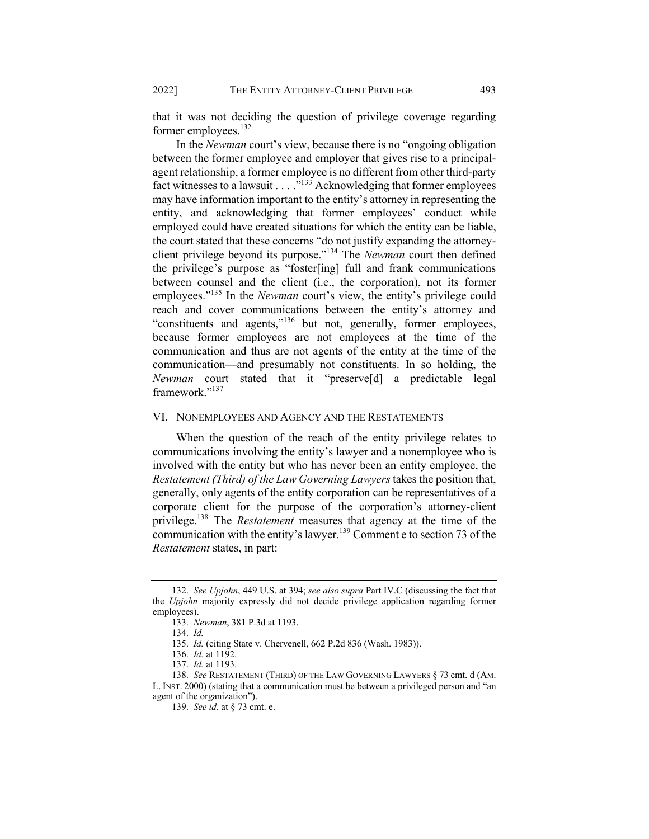that it was not deciding the question of privilege coverage regarding former employees.<sup>132</sup>

In the *Newman* court's view, because there is no "ongoing obligation between the former employee and employer that gives rise to a principalagent relationship, a former employee is no different from other third-party fact witnesses to a lawsuit  $\ldots$ <sup>133</sup> Acknowledging that former employees may have information important to the entity's attorney in representing the entity, and acknowledging that former employees' conduct while employed could have created situations for which the entity can be liable, the court stated that these concerns "do not justify expanding the attorneyclient privilege beyond its purpose."134 The *Newman* court then defined the privilege's purpose as "foster[ing] full and frank communications between counsel and the client (i.e., the corporation), not its former employees."<sup>135</sup> In the *Newman* court's view, the entity's privilege could reach and cover communications between the entity's attorney and "constituents and agents,"<sup>136</sup> but not, generally, former employees, because former employees are not employees at the time of the communication and thus are not agents of the entity at the time of the communication—and presumably not constituents. In so holding, the *Newman* court stated that it "preserve[d] a predictable legal framework."<sup>137</sup>

#### VI. NONEMPLOYEES AND AGENCY AND THE RESTATEMENTS

When the question of the reach of the entity privilege relates to communications involving the entity's lawyer and a nonemployee who is involved with the entity but who has never been an entity employee, the *Restatement (Third) of the Law Governing Lawyers*takes the position that, generally, only agents of the entity corporation can be representatives of a corporate client for the purpose of the corporation's attorney-client privilege.138 The *Restatement* measures that agency at the time of the communication with the entity's lawyer.<sup>139</sup> Comment e to section 73 of the *Restatement* states, in part:

<sup>132.</sup> *See Upjohn*, 449 U.S. at 394; *see also supra* Part IV.C (discussing the fact that the *Upjohn* majority expressly did not decide privilege application regarding former employees).

<sup>133.</sup> *Newman*, 381 P.3d at 1193.

<sup>134.</sup> *Id.*

<sup>135.</sup> *Id.* (citing State v. Chervenell, 662 P.2d 836 (Wash. 1983)).

<sup>136.</sup> *Id.* at 1192.

<sup>137.</sup> *Id.* at 1193.

<sup>138.</sup> *See* RESTATEMENT (THIRD) OF THE LAW GOVERNING LAWYERS § 73 cmt. d (AM. L. INST. 2000) (stating that a communication must be between a privileged person and "an agent of the organization").

<sup>139.</sup> *See id.* at § 73 cmt. e.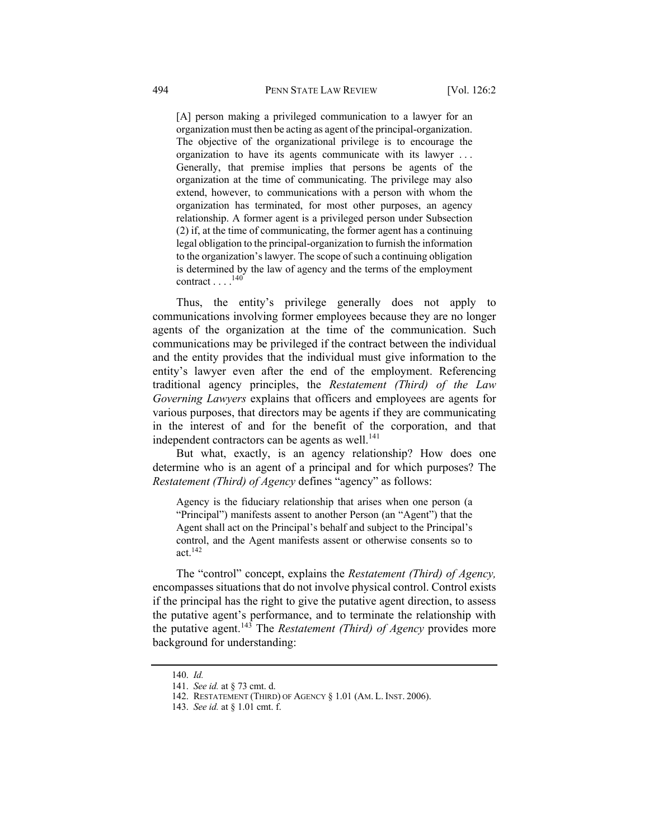[A] person making a privileged communication to a lawyer for an organization must then be acting as agent of the principal-organization. The objective of the organizational privilege is to encourage the organization to have its agents communicate with its lawyer . . . Generally, that premise implies that persons be agents of the organization at the time of communicating. The privilege may also extend, however, to communications with a person with whom the organization has terminated, for most other purposes, an agency relationship. A former agent is a privileged person under Subsection (2) if, at the time of communicating, the former agent has a continuing legal obligation to the principal-organization to furnish the information to the organization's lawyer. The scope of such a continuing obligation is determined by the law of agency and the terms of the employment contract  $\ldots$ .<sup>140</sup>

Thus, the entity's privilege generally does not apply to communications involving former employees because they are no longer agents of the organization at the time of the communication. Such communications may be privileged if the contract between the individual and the entity provides that the individual must give information to the entity's lawyer even after the end of the employment. Referencing traditional agency principles, the *Restatement (Third) of the Law Governing Lawyers* explains that officers and employees are agents for various purposes, that directors may be agents if they are communicating in the interest of and for the benefit of the corporation, and that independent contractors can be agents as well. $^{141}$ 

But what, exactly, is an agency relationship? How does one determine who is an agent of a principal and for which purposes? The *Restatement (Third) of Agency* defines "agency" as follows:

Agency is the fiduciary relationship that arises when one person (a "Principal") manifests assent to another Person (an "Agent") that the Agent shall act on the Principal's behalf and subject to the Principal's control, and the Agent manifests assent or otherwise consents so to act.142

The "control" concept, explains the *Restatement (Third) of Agency,* encompasses situations that do not involve physical control. Control exists if the principal has the right to give the putative agent direction, to assess the putative agent's performance, and to terminate the relationship with the putative agent.<sup>143</sup> The *Restatement (Third) of Agency* provides more background for understanding:

<sup>140.</sup> *Id.*

<sup>141.</sup> *See id.* at § 73 cmt. d.

<sup>142.</sup> RESTATEMENT (THIRD) OF AGENCY § 1.01 (AM. L. INST. 2006).

<sup>143.</sup> *See id.* at § 1.01 cmt. f.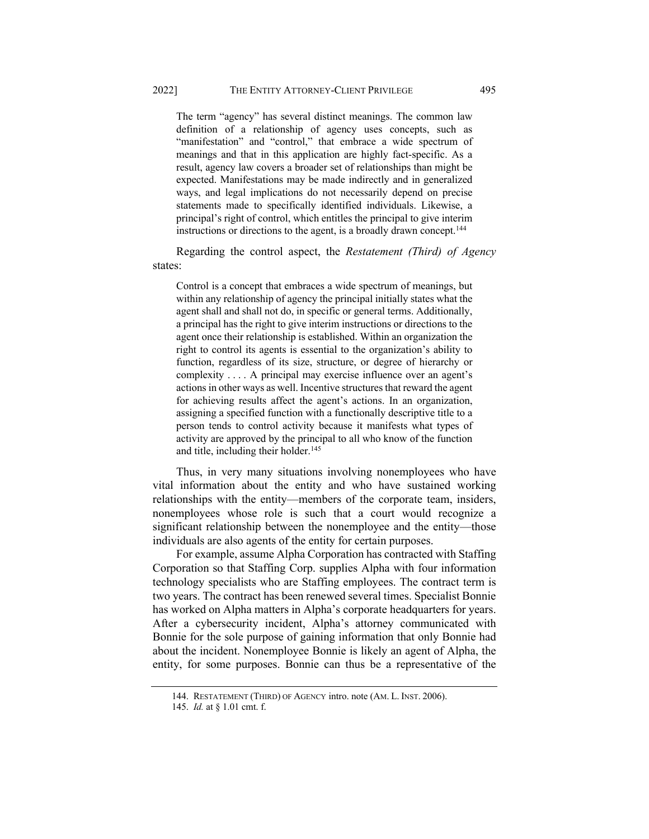The term "agency" has several distinct meanings. The common law definition of a relationship of agency uses concepts, such as "manifestation" and "control," that embrace a wide spectrum of meanings and that in this application are highly fact-specific. As a result, agency law covers a broader set of relationships than might be expected. Manifestations may be made indirectly and in generalized ways, and legal implications do not necessarily depend on precise statements made to specifically identified individuals. Likewise, a principal's right of control, which entitles the principal to give interim instructions or directions to the agent, is a broadly drawn concept.<sup>144</sup>

Regarding the control aspect, the *Restatement (Third) of Agency* states:

Control is a concept that embraces a wide spectrum of meanings, but within any relationship of agency the principal initially states what the agent shall and shall not do, in specific or general terms. Additionally, a principal has the right to give interim instructions or directions to the agent once their relationship is established. Within an organization the right to control its agents is essential to the organization's ability to function, regardless of its size, structure, or degree of hierarchy or complexity . . . . A principal may exercise influence over an agent's actions in other ways as well. Incentive structures that reward the agent for achieving results affect the agent's actions. In an organization, assigning a specified function with a functionally descriptive title to a person tends to control activity because it manifests what types of activity are approved by the principal to all who know of the function and title, including their holder. $145$ 

Thus, in very many situations involving nonemployees who have vital information about the entity and who have sustained working relationships with the entity—members of the corporate team, insiders, nonemployees whose role is such that a court would recognize a significant relationship between the nonemployee and the entity—those individuals are also agents of the entity for certain purposes.

For example, assume Alpha Corporation has contracted with Staffing Corporation so that Staffing Corp. supplies Alpha with four information technology specialists who are Staffing employees. The contract term is two years. The contract has been renewed several times. Specialist Bonnie has worked on Alpha matters in Alpha's corporate headquarters for years. After a cybersecurity incident, Alpha's attorney communicated with Bonnie for the sole purpose of gaining information that only Bonnie had about the incident. Nonemployee Bonnie is likely an agent of Alpha, the entity, for some purposes. Bonnie can thus be a representative of the

<sup>144.</sup> RESTATEMENT (THIRD) OF AGENCY intro. note (AM. L. INST. 2006).

<sup>145.</sup> *Id.* at § 1.01 cmt. f.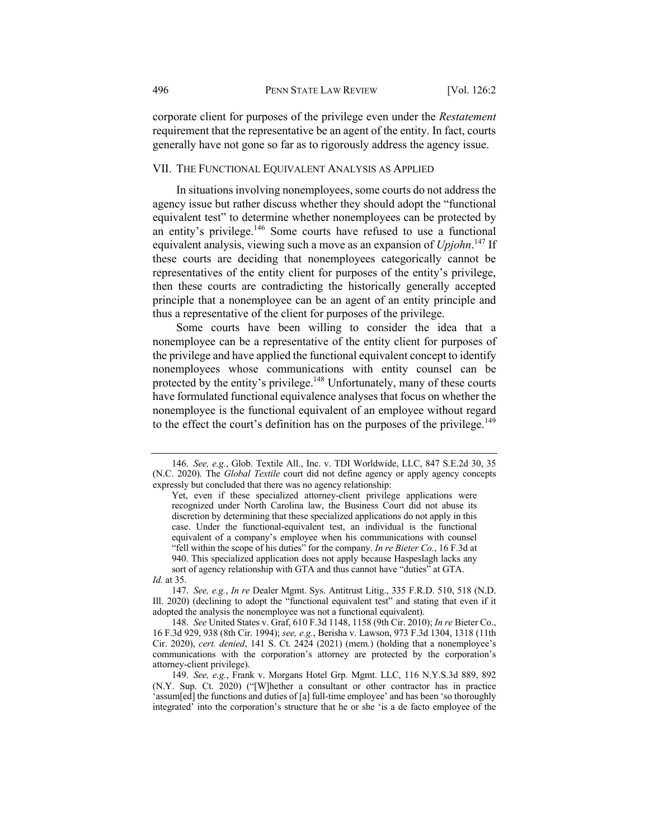corporate client for purposes of the privilege even under the *Restatement*  requirement that the representative be an agent of the entity. In fact, courts generally have not gone so far as to rigorously address the agency issue.

## VII. THE FUNCTIONAL EQUIVALENT ANALYSIS AS APPLIED

In situations involving nonemployees, some courts do not address the agency issue but rather discuss whether they should adopt the "functional equivalent test" to determine whether nonemployees can be protected by an entity's privilege. $146$  Some courts have refused to use a functional equivalent analysis, viewing such a move as an expansion of *Upjohn*. <sup>147</sup> If these courts are deciding that nonemployees categorically cannot be representatives of the entity client for purposes of the entity's privilege, then these courts are contradicting the historically generally accepted principle that a nonemployee can be an agent of an entity principle and thus a representative of the client for purposes of the privilege.

Some courts have been willing to consider the idea that a nonemployee can be a representative of the entity client for purposes of the privilege and have applied the functional equivalent concept to identify nonemployees whose communications with entity counsel can be protected by the entity's privilege.<sup>148</sup> Unfortunately, many of these courts have formulated functional equivalence analyses that focus on whether the nonemployee is the functional equivalent of an employee without regard to the effect the court's definition has on the purposes of the privilege.<sup>149</sup>

<sup>146.</sup> *See, e.g.*, Glob. Textile All., Inc. v. TDI Worldwide, LLC, 847 S.E.2d 30, 35 (N.C. 2020). The *Global Textile* court did not define agency or apply agency concepts expressly but concluded that there was no agency relationship:

Yet, even if these specialized attorney-client privilege applications were recognized under North Carolina law, the Business Court did not abuse its discretion by determining that these specialized applications do not apply in this case. Under the functional-equivalent test, an individual is the functional equivalent of a company's employee when his communications with counsel "fell within the scope of his duties" for the company. *In re Bieter Co.*, 16 F.3d at 940. This specialized application does not apply because Haspeslagh lacks any sort of agency relationship with GTA and thus cannot have "duties" at GTA.

*Id.* at 35.

<sup>147.</sup> *See, e.g.*, *In re* Dealer Mgmt. Sys. Antitrust Litig., 335 F.R.D. 510, 518 (N.D. Ill. 2020) (declining to adopt the "functional equivalent test" and stating that even if it adopted the analysis the nonemployee was not a functional equivalent).

<sup>148.</sup> *See* United States v. Graf, 610 F.3d 1148, 1158 (9th Cir. 2010); *In re* Bieter Co., 16 F.3d 929, 938 (8th Cir. 1994); *see, e.g.*, Berisha v. Lawson, 973 F.3d 1304, 1318 (11th Cir. 2020), *cert. denied*, 141 S. Ct. 2424 (2021) (mem.) (holding that a nonemployee's communications with the corporation's attorney are protected by the corporation's attorney-client privilege).

<sup>149.</sup> *See, e.g.*, Frank v. Morgans Hotel Grp. Mgmt. LLC, 116 N.Y.S.3d 889, 892 (N.Y. Sup. Ct. 2020) ("[W]hether a consultant or other contractor has in practice 'assum[ed] the functions and duties of [a] full-time employee' and has been 'so thoroughly integrated' into the corporation's structure that he or she 'is a de facto employee of the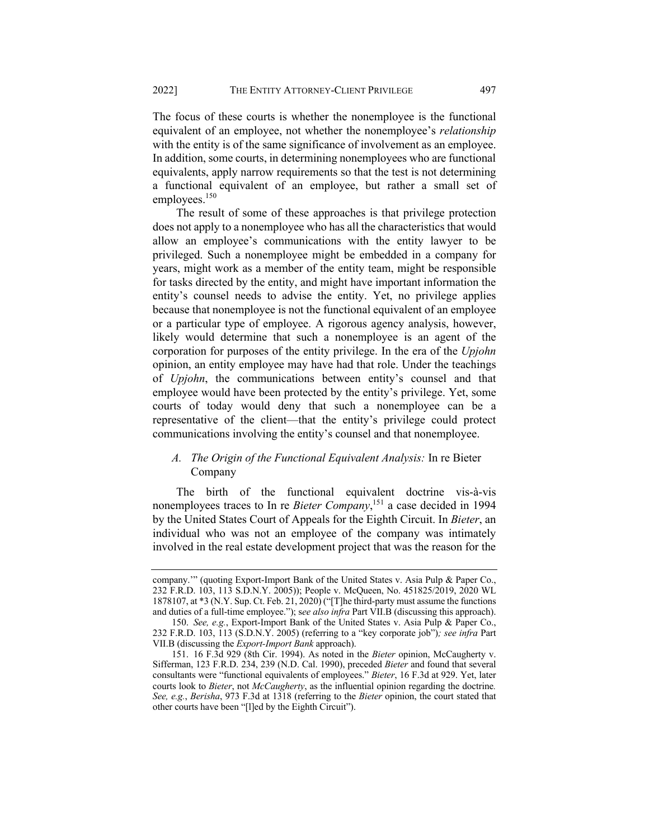The focus of these courts is whether the nonemployee is the functional equivalent of an employee, not whether the nonemployee's *relationship*  with the entity is of the same significance of involvement as an employee. In addition, some courts, in determining nonemployees who are functional equivalents, apply narrow requirements so that the test is not determining a functional equivalent of an employee, but rather a small set of employees. $150$ 

The result of some of these approaches is that privilege protection does not apply to a nonemployee who has all the characteristics that would allow an employee's communications with the entity lawyer to be privileged. Such a nonemployee might be embedded in a company for years, might work as a member of the entity team, might be responsible for tasks directed by the entity, and might have important information the entity's counsel needs to advise the entity. Yet, no privilege applies because that nonemployee is not the functional equivalent of an employee or a particular type of employee. A rigorous agency analysis, however, likely would determine that such a nonemployee is an agent of the corporation for purposes of the entity privilege. In the era of the *Upjohn*  opinion, an entity employee may have had that role. Under the teachings of *Upjohn*, the communications between entity's counsel and that employee would have been protected by the entity's privilege. Yet, some courts of today would deny that such a nonemployee can be a representative of the client—that the entity's privilege could protect communications involving the entity's counsel and that nonemployee.

## *A. The Origin of the Functional Equivalent Analysis:* In re Bieter Company

The birth of the functional equivalent doctrine vis-à-vis nonemployees traces to In re *Bieter Company*, <sup>151</sup> a case decided in 1994 by the United States Court of Appeals for the Eighth Circuit. In *Bieter*, an individual who was not an employee of the company was intimately involved in the real estate development project that was the reason for the

company.'" (quoting Export-Import Bank of the United States v. Asia Pulp & Paper Co., 232 F.R.D. 103, 113 S.D.N.Y. 2005)); People v. McQueen, No. 451825/2019, 2020 WL 1878107, at \*3 (N.Y. Sup. Ct. Feb. 21, 2020) ("[T]he third-party must assume the functions and duties of a full-time employee."); s*ee also infra* Part VII.B (discussing this approach).

<sup>150.</sup> *See, e.g.*, Export-Import Bank of the United States v. Asia Pulp & Paper Co., 232 F.R.D. 103, 113 (S.D.N.Y. 2005) (referring to a "key corporate job")*; see infra* Part VII.B (discussing the *Export-Import Bank* approach).

<sup>151.</sup> 16 F.3d 929 (8th Cir. 1994). As noted in the *Bieter* opinion, McCaugherty v. Sifferman, 123 F.R.D. 234, 239 (N.D. Cal. 1990), preceded *Bieter* and found that several consultants were "functional equivalents of employees." *Bieter*, 16 F.3d at 929. Yet, later courts look to *Bieter*, not *McCaugherty*, as the influential opinion regarding the doctrine*. See, e.g.*, *Berisha*, 973 F.3d at 1318 (referring to the *Bieter* opinion, the court stated that other courts have been "[l]ed by the Eighth Circuit").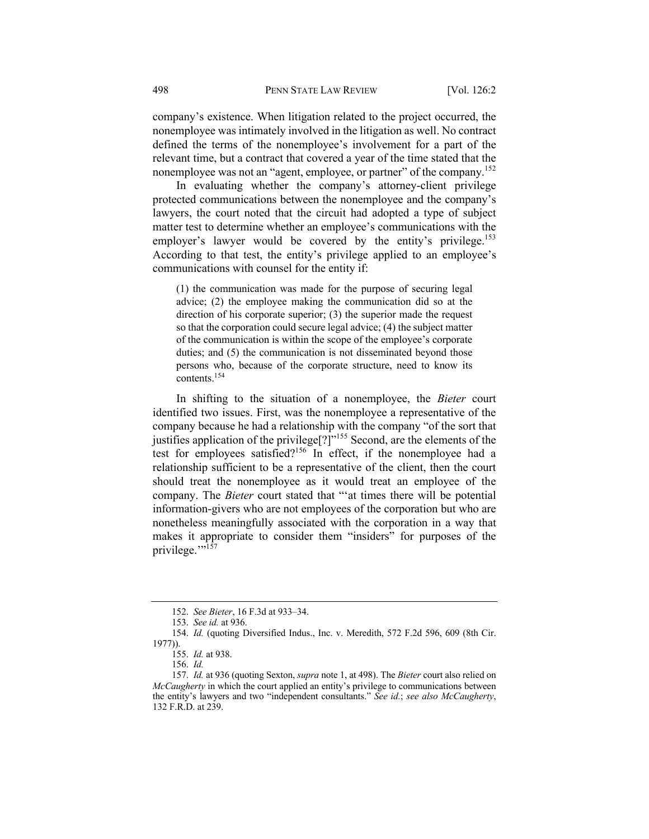company's existence. When litigation related to the project occurred, the nonemployee was intimately involved in the litigation as well. No contract defined the terms of the nonemployee's involvement for a part of the relevant time, but a contract that covered a year of the time stated that the nonemployee was not an "agent, employee, or partner" of the company.<sup>152</sup>

In evaluating whether the company's attorney-client privilege protected communications between the nonemployee and the company's lawyers, the court noted that the circuit had adopted a type of subject matter test to determine whether an employee's communications with the employer's lawyer would be covered by the entity's privilege.<sup>153</sup> According to that test, the entity's privilege applied to an employee's communications with counsel for the entity if:

(1) the communication was made for the purpose of securing legal advice; (2) the employee making the communication did so at the direction of his corporate superior; (3) the superior made the request so that the corporation could secure legal advice; (4) the subject matter of the communication is within the scope of the employee's corporate duties; and (5) the communication is not disseminated beyond those persons who, because of the corporate structure, need to know its contents.154

In shifting to the situation of a nonemployee, the *Bieter* court identified two issues. First, was the nonemployee a representative of the company because he had a relationship with the company "of the sort that justifies application of the privilege<sup>[?]"155</sup> Second, are the elements of the test for employees satisfied?<sup>156</sup> In effect, if the nonemployee had a relationship sufficient to be a representative of the client, then the court should treat the nonemployee as it would treat an employee of the company. The *Bieter* court stated that "'at times there will be potential information-givers who are not employees of the corporation but who are nonetheless meaningfully associated with the corporation in a way that makes it appropriate to consider them "insiders" for purposes of the privilege."<sup>157</sup>

<sup>152.</sup> *See Bieter*, 16 F.3d at 933–34.

<sup>153.</sup> *See id.* at 936.

<sup>154.</sup> *Id.* (quoting Diversified Indus., Inc. v. Meredith, 572 F.2d 596, 609 (8th Cir. 1977)).

<sup>155.</sup> *Id.* at 938.

<sup>156.</sup> *Id.*

<sup>157.</sup> *Id.* at 936 (quoting Sexton, *supra* note 1, at 498). The *Bieter* court also relied on *McCaugherty* in which the court applied an entity's privilege to communications between the entity's lawyers and two "independent consultants." *See id.*; *see also McCaugherty*, 132 F.R.D. at 239.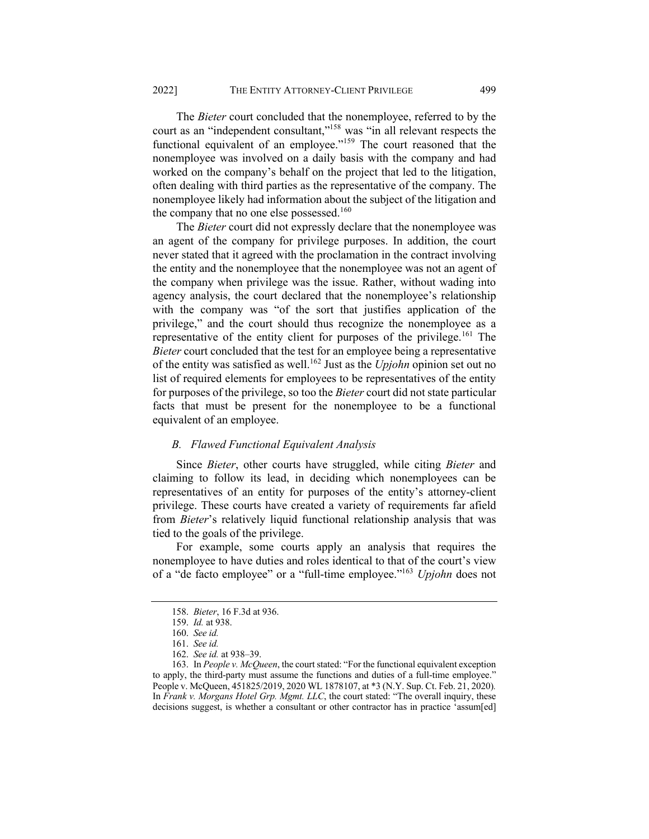The *Bieter* court concluded that the nonemployee, referred to by the court as an "independent consultant,"158 was "in all relevant respects the functional equivalent of an employee."<sup>159</sup> The court reasoned that the nonemployee was involved on a daily basis with the company and had worked on the company's behalf on the project that led to the litigation, often dealing with third parties as the representative of the company. The nonemployee likely had information about the subject of the litigation and the company that no one else possessed.<sup>160</sup>

The *Bieter* court did not expressly declare that the nonemployee was an agent of the company for privilege purposes. In addition, the court never stated that it agreed with the proclamation in the contract involving the entity and the nonemployee that the nonemployee was not an agent of the company when privilege was the issue. Rather, without wading into agency analysis, the court declared that the nonemployee's relationship with the company was "of the sort that justifies application of the privilege," and the court should thus recognize the nonemployee as a representative of the entity client for purposes of the privilege.<sup>161</sup> The *Bieter* court concluded that the test for an employee being a representative of the entity was satisfied as well.<sup>162</sup> Just as the *Upjohn* opinion set out no list of required elements for employees to be representatives of the entity for purposes of the privilege, so too the *Bieter* court did not state particular facts that must be present for the nonemployee to be a functional equivalent of an employee.

#### *B. Flawed Functional Equivalent Analysis*

Since *Bieter*, other courts have struggled, while citing *Bieter* and claiming to follow its lead, in deciding which nonemployees can be representatives of an entity for purposes of the entity's attorney-client privilege. These courts have created a variety of requirements far afield from *Bieter*'s relatively liquid functional relationship analysis that was tied to the goals of the privilege.

For example, some courts apply an analysis that requires the nonemployee to have duties and roles identical to that of the court's view of a "de facto employee" or a "full-time employee."163 *Upjohn* does not

<sup>158.</sup> *Bieter*, 16 F.3d at 936.

<sup>159.</sup> *Id.* at 938.

<sup>160.</sup> *See id.*

<sup>161.</sup> *See id.*

<sup>162.</sup> *See id.* at 938–39.

<sup>163.</sup> In *People v. McQueen*, the court stated: "For the functional equivalent exception to apply, the third-party must assume the functions and duties of a full-time employee." People v. McQueen, 451825/2019, 2020 WL 1878107, at \*3 (N.Y. Sup. Ct. Feb. 21, 2020)*.* In *Frank v. Morgans Hotel Grp. Mgmt. LLC*, the court stated: "The overall inquiry, these decisions suggest, is whether a consultant or other contractor has in practice 'assum[ed]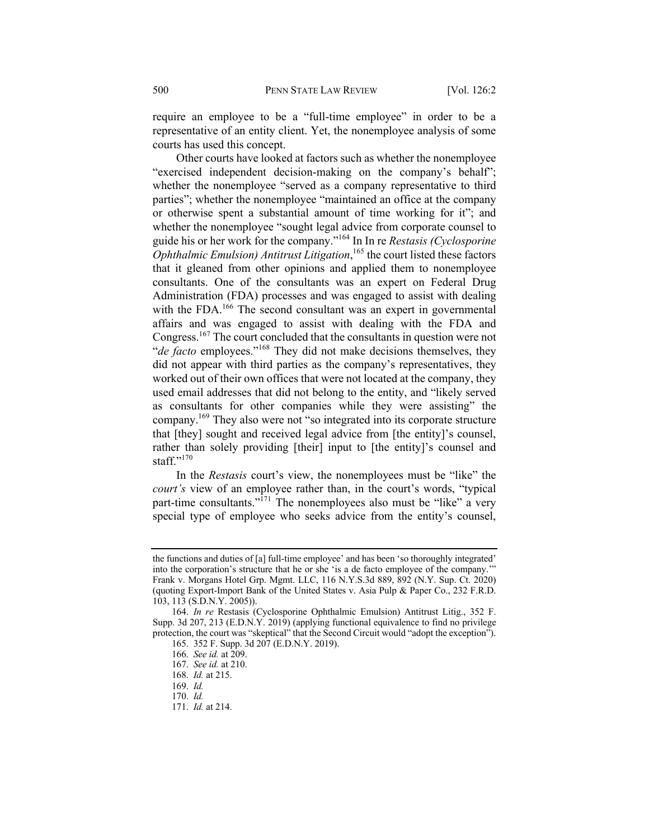require an employee to be a "full-time employee" in order to be a representative of an entity client. Yet, the nonemployee analysis of some courts has used this concept.

Other courts have looked at factors such as whether the nonemployee "exercised independent decision-making on the company's behalf"; whether the nonemployee "served as a company representative to third parties"; whether the nonemployee "maintained an office at the company or otherwise spent a substantial amount of time working for it"; and whether the nonemployee "sought legal advice from corporate counsel to guide his or her work for the company."164 In In re *Restasis (Cyclosporine Ophthalmic Emulsion) Antitrust Litigation*, <sup>165</sup> the court listed these factors that it gleaned from other opinions and applied them to nonemployee consultants. One of the consultants was an expert on Federal Drug Administration (FDA) processes and was engaged to assist with dealing with the FDA.<sup>166</sup> The second consultant was an expert in governmental affairs and was engaged to assist with dealing with the FDA and Congress.167 The court concluded that the consultants in question were not "*de facto* employees."<sup>168</sup> They did not make decisions themselves, they did not appear with third parties as the company's representatives, they worked out of their own offices that were not located at the company, they used email addresses that did not belong to the entity, and "likely served as consultants for other companies while they were assisting" the company.169 They also were not "so integrated into its corporate structure that [they] sought and received legal advice from [the entity]'s counsel, rather than solely providing [their] input to [the entity]'s counsel and staff."170

In the *Restasis* court's view, the nonemployees must be "like" the *court's* view of an employee rather than, in the court's words, "typical part-time consultants."<sup>171</sup> The nonemployees also must be "like" a very special type of employee who seeks advice from the entity's counsel,

the functions and duties of [a] full-time employee' and has been 'so thoroughly integrated' into the corporation's structure that he or she 'is a de facto employee of the company.'" Frank v. Morgans Hotel Grp. Mgmt. LLC, 116 N.Y.S.3d 889, 892 (N.Y. Sup. Ct. 2020) (quoting Export-Import Bank of the United States v. Asia Pulp & Paper Co., 232 F.R.D. 103, 113 (S.D.N.Y. 2005)).

<sup>164.</sup> *In re* Restasis (Cyclosporine Ophthalmic Emulsion) Antitrust Litig., 352 F. Supp. 3d 207, 213 (E.D.N.Y. 2019) (applying functional equivalence to find no privilege protection, the court was "skeptical" that the Second Circuit would "adopt the exception").

<sup>165.</sup> 352 F. Supp. 3d 207 (E.D.N.Y. 2019).

<sup>166.</sup> *See id.* at 209.

<sup>167.</sup> *See id.* at 210.

<sup>168.</sup> *Id.* at 215.

<sup>169.</sup> *Id.*

<sup>170.</sup> *Id.*

<sup>171.</sup> *Id.* at 214.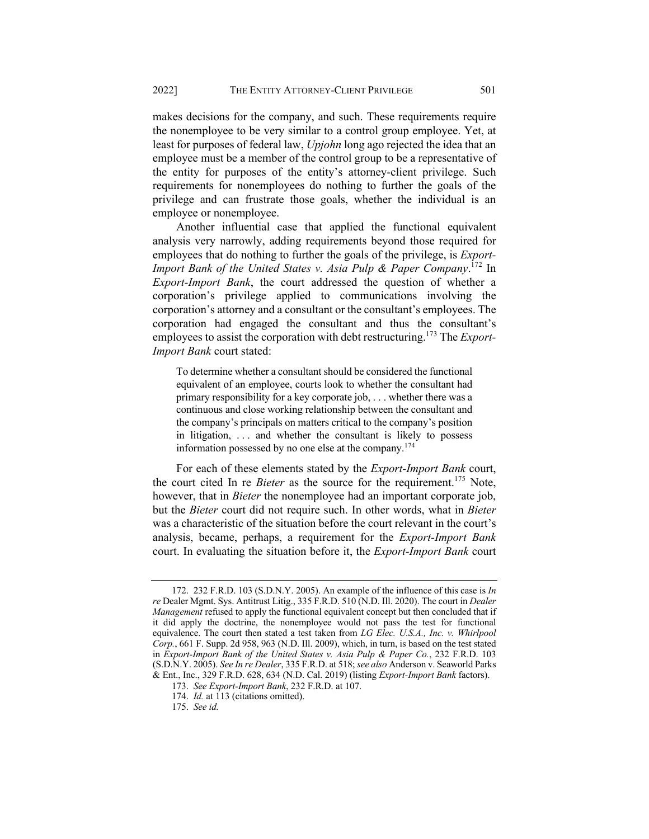makes decisions for the company, and such. These requirements require the nonemployee to be very similar to a control group employee. Yet, at least for purposes of federal law, *Upjohn* long ago rejected the idea that an employee must be a member of the control group to be a representative of the entity for purposes of the entity's attorney-client privilege. Such requirements for nonemployees do nothing to further the goals of the privilege and can frustrate those goals, whether the individual is an employee or nonemployee.

Another influential case that applied the functional equivalent analysis very narrowly, adding requirements beyond those required for employees that do nothing to further the goals of the privilege, is *Export-Import Bank of the United States v. Asia Pulp & Paper Company*. <sup>172</sup> In *Export-Import Bank*, the court addressed the question of whether a corporation's privilege applied to communications involving the corporation's attorney and a consultant or the consultant's employees. The corporation had engaged the consultant and thus the consultant's employees to assist the corporation with debt restructuring.173 The *Export-Import Bank* court stated:

To determine whether a consultant should be considered the functional equivalent of an employee, courts look to whether the consultant had primary responsibility for a key corporate job, . . . whether there was a continuous and close working relationship between the consultant and the company's principals on matters critical to the company's position in litigation, . . . and whether the consultant is likely to possess information possessed by no one else at the company.174

For each of these elements stated by the *Export-Import Bank* court, the court cited In re *Bieter* as the source for the requirement.<sup>175</sup> Note, however, that in *Bieter* the nonemployee had an important corporate job, but the *Bieter* court did not require such. In other words, what in *Bieter* was a characteristic of the situation before the court relevant in the court's analysis, became, perhaps, a requirement for the *Export-Import Bank* court. In evaluating the situation before it, the *Export-Import Bank* court

<sup>172.</sup> 232 F.R.D. 103 (S.D.N.Y. 2005). An example of the influence of this case is *In re* Dealer Mgmt. Sys. Antitrust Litig., 335 F.R.D. 510 (N.D. Ill. 2020). The court in *Dealer Management* refused to apply the functional equivalent concept but then concluded that if it did apply the doctrine, the nonemployee would not pass the test for functional equivalence. The court then stated a test taken from *LG Elec. U.S.A., Inc. v. Whirlpool Corp.*, 661 F. Supp. 2d 958, 963 (N.D. Ill. 2009), which, in turn, is based on the test stated in *Export-Import Bank of the United States v. Asia Pulp & Paper Co.*, 232 F.R.D. 103 (S.D.N.Y. 2005). *See In re Dealer*, 335 F.R.D. at 518; *see also* Anderson v. Seaworld Parks & Ent., Inc., 329 F.R.D. 628, 634 (N.D. Cal. 2019) (listing *Export-Import Bank* factors).

<sup>173.</sup> *See Export-Import Bank*, 232 F.R.D. at 107.

<sup>174.</sup> *Id.* at 113 (citations omitted).

<sup>175.</sup> *See id.*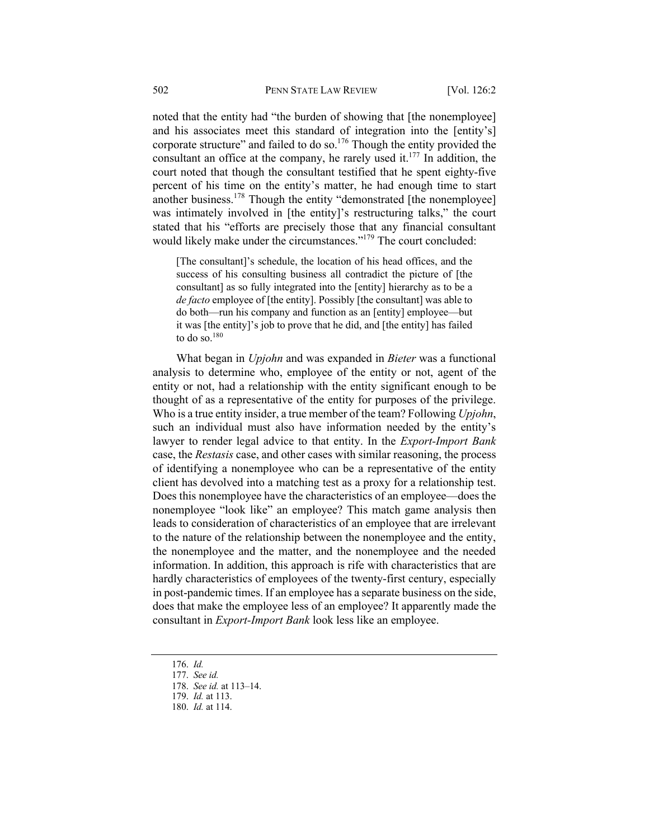noted that the entity had "the burden of showing that [the nonemployee] and his associates meet this standard of integration into the [entity's] corporate structure" and failed to do so. $176$  Though the entity provided the consultant an office at the company, he rarely used it.<sup>177</sup> In addition, the court noted that though the consultant testified that he spent eighty-five percent of his time on the entity's matter, he had enough time to start another business.<sup>178</sup> Though the entity "demonstrated [the nonemployee] was intimately involved in [the entity]'s restructuring talks," the court stated that his "efforts are precisely those that any financial consultant would likely make under the circumstances."<sup>179</sup> The court concluded:

[The consultant]'s schedule, the location of his head offices, and the success of his consulting business all contradict the picture of [the consultant] as so fully integrated into the [entity] hierarchy as to be a *de facto* employee of [the entity]. Possibly [the consultant] was able to do both—run his company and function as an [entity] employee—but it was [the entity]'s job to prove that he did, and [the entity] has failed to do so. $180$ 

What began in *Upjohn* and was expanded in *Bieter* was a functional analysis to determine who, employee of the entity or not, agent of the entity or not, had a relationship with the entity significant enough to be thought of as a representative of the entity for purposes of the privilege. Who is a true entity insider, a true member of the team? Following *Upjohn*, such an individual must also have information needed by the entity's lawyer to render legal advice to that entity. In the *Export-Import Bank* case, the *Restasis* case, and other cases with similar reasoning, the process of identifying a nonemployee who can be a representative of the entity client has devolved into a matching test as a proxy for a relationship test. Does this nonemployee have the characteristics of an employee—does the nonemployee "look like" an employee? This match game analysis then leads to consideration of characteristics of an employee that are irrelevant to the nature of the relationship between the nonemployee and the entity, the nonemployee and the matter, and the nonemployee and the needed information. In addition, this approach is rife with characteristics that are hardly characteristics of employees of the twenty-first century, especially in post-pandemic times. If an employee has a separate business on the side, does that make the employee less of an employee? It apparently made the consultant in *Export-Import Bank* look less like an employee.

<sup>176.</sup> *Id.*

<sup>177.</sup> *See id.*

<sup>178.</sup> *See id.* at 113–14.

<sup>179.</sup> *Id.* at 113.

<sup>180.</sup> *Id.* at 114.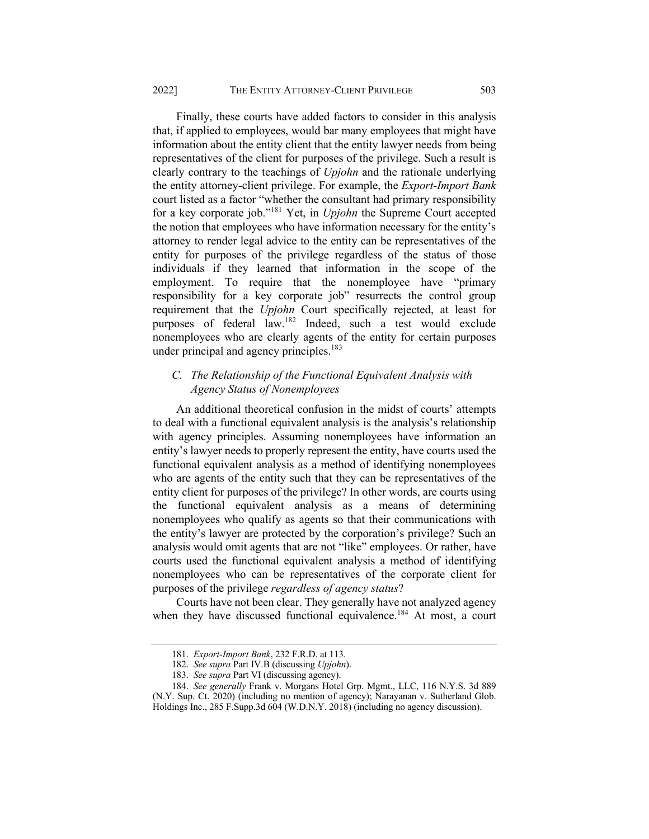Finally, these courts have added factors to consider in this analysis that, if applied to employees, would bar many employees that might have information about the entity client that the entity lawyer needs from being representatives of the client for purposes of the privilege. Such a result is clearly contrary to the teachings of *Upjohn* and the rationale underlying the entity attorney-client privilege. For example, the *Export-Import Bank* court listed as a factor "whether the consultant had primary responsibility for a key corporate job."181 Yet, in *Upjohn* the Supreme Court accepted the notion that employees who have information necessary for the entity's attorney to render legal advice to the entity can be representatives of the entity for purposes of the privilege regardless of the status of those individuals if they learned that information in the scope of the employment. To require that the nonemployee have "primary responsibility for a key corporate job" resurrects the control group requirement that the *Upjohn* Court specifically rejected, at least for purposes of federal law.<sup>182</sup> Indeed, such a test would exclude nonemployees who are clearly agents of the entity for certain purposes under principal and agency principles.<sup>183</sup>

## *C. The Relationship of the Functional Equivalent Analysis with Agency Status of Nonemployees*

An additional theoretical confusion in the midst of courts' attempts to deal with a functional equivalent analysis is the analysis's relationship with agency principles. Assuming nonemployees have information an entity's lawyer needs to properly represent the entity, have courts used the functional equivalent analysis as a method of identifying nonemployees who are agents of the entity such that they can be representatives of the entity client for purposes of the privilege? In other words, are courts using the functional equivalent analysis as a means of determining nonemployees who qualify as agents so that their communications with the entity's lawyer are protected by the corporation's privilege? Such an analysis would omit agents that are not "like" employees. Or rather, have courts used the functional equivalent analysis a method of identifying nonemployees who can be representatives of the corporate client for purposes of the privilege *regardless of agency status*?

Courts have not been clear. They generally have not analyzed agency when they have discussed functional equivalence.<sup>184</sup> At most, a court

<sup>181.</sup> *Export-Import Bank*, 232 F.R.D. at 113.

<sup>182.</sup> *See supra* Part IV.B (discussing *Upjohn*).

<sup>183.</sup> *See supra* Part VI (discussing agency).

<sup>184.</sup> *See generally* Frank v. Morgans Hotel Grp. Mgmt., LLC, 116 N.Y.S. 3d 889 (N.Y. Sup. Ct. 2020) (including no mention of agency); Narayanan v. Sutherland Glob. Holdings Inc., 285 F.Supp.3d 604 (W.D.N.Y. 2018) (including no agency discussion).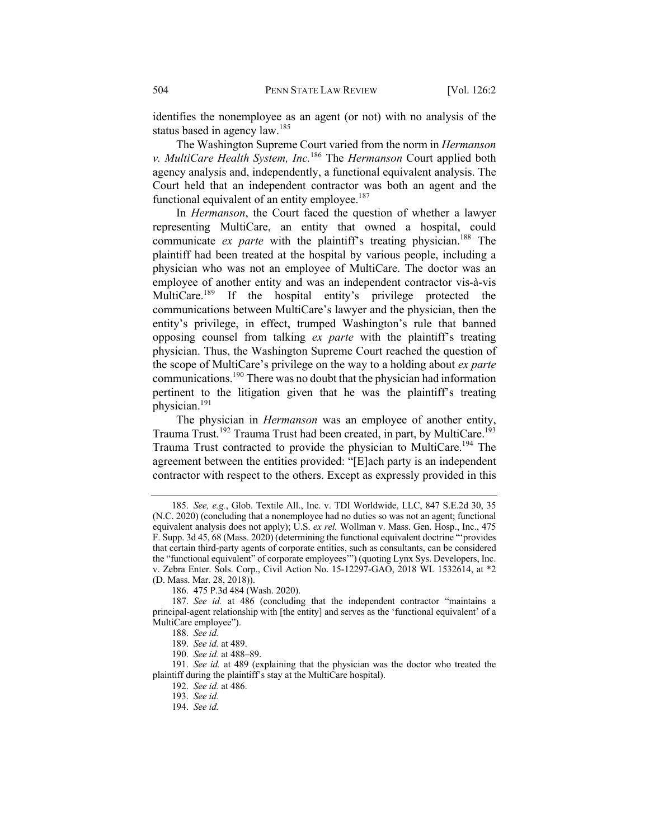identifies the nonemployee as an agent (or not) with no analysis of the status based in agency law.<sup>185</sup>

The Washington Supreme Court varied from the norm in *Hermanson v. MultiCare Health System, Inc.*<sup>186</sup> The *Hermanson* Court applied both agency analysis and, independently, a functional equivalent analysis. The Court held that an independent contractor was both an agent and the functional equivalent of an entity employee. $187$ 

In *Hermanson*, the Court faced the question of whether a lawyer representing MultiCare, an entity that owned a hospital, could communicate *ex parte* with the plaintiff's treating physician.<sup>188</sup> The plaintiff had been treated at the hospital by various people, including a physician who was not an employee of MultiCare. The doctor was an employee of another entity and was an independent contractor vis-à-vis MultiCare.<sup>189</sup> If the hospital entity's privilege protected the communications between MultiCare's lawyer and the physician, then the entity's privilege, in effect, trumped Washington's rule that banned opposing counsel from talking *ex parte* with the plaintiff's treating physician. Thus, the Washington Supreme Court reached the question of the scope of MultiCare's privilege on the way to a holding about *ex parte* communications.190 There was no doubt that the physician had information pertinent to the litigation given that he was the plaintiff's treating physician.191

The physician in *Hermanson* was an employee of another entity, Trauma Trust.<sup>192</sup> Trauma Trust had been created, in part, by MultiCare.193 Trauma Trust contracted to provide the physician to MultiCare.<sup>194</sup> The agreement between the entities provided: "[E]ach party is an independent contractor with respect to the others. Except as expressly provided in this

<sup>185.</sup> *See, e.g.*, Glob. Textile All., Inc. v. TDI Worldwide, LLC, 847 S.E.2d 30, 35 (N.C. 2020) (concluding that a nonemployee had no duties so was not an agent; functional equivalent analysis does not apply); U.S. *ex rel.* Wollman v. Mass. Gen. Hosp., Inc., 475 F. Supp. 3d 45, 68 (Mass. 2020) (determining the functional equivalent doctrine "'provides that certain third-party agents of corporate entities, such as consultants, can be considered the "functional equivalent" of corporate employees'") (quoting Lynx Sys. Developers, Inc. v. Zebra Enter. Sols. Corp., Civil Action No. 15-12297-GAO, 2018 WL 1532614, at \*2 (D. Mass. Mar. 28, 2018)).

<sup>186.</sup> 475 P.3d 484 (Wash. 2020).

<sup>187.</sup> *See id.* at 486 (concluding that the independent contractor "maintains a principal-agent relationship with [the entity] and serves as the 'functional equivalent' of a MultiCare employee").

<sup>188.</sup> *See id.*

<sup>189.</sup> *See id.* at 489.

<sup>190.</sup> *See id.* at 488–89.

<sup>191.</sup> *See id.* at 489 (explaining that the physician was the doctor who treated the plaintiff during the plaintiff's stay at the MultiCare hospital).

<sup>192.</sup> *See id.* at 486.

<sup>193.</sup> *See id.*

<sup>194.</sup> *See id.*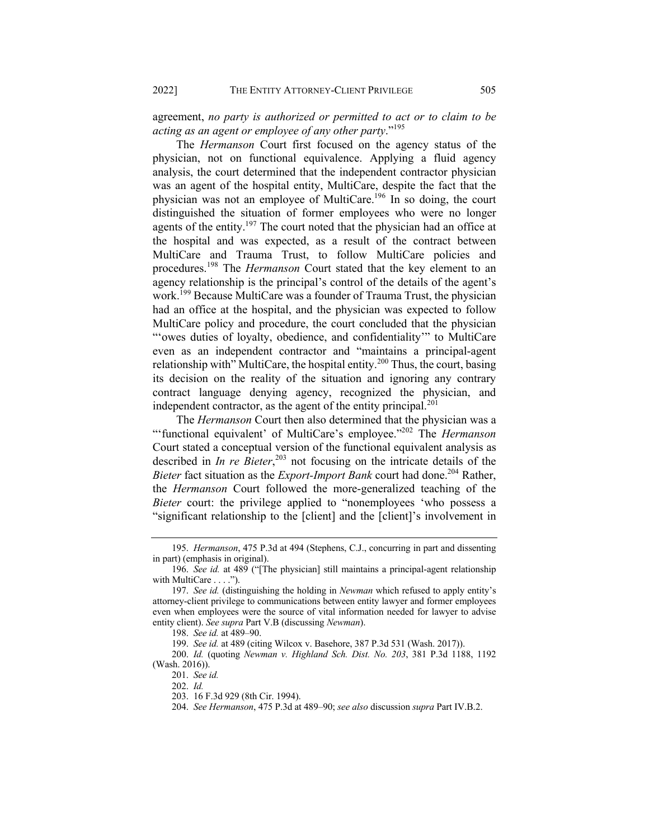agreement, *no party is authorized or permitted to act or to claim to be acting as an agent or employee of any other party*."195

The *Hermanson* Court first focused on the agency status of the physician, not on functional equivalence. Applying a fluid agency analysis, the court determined that the independent contractor physician was an agent of the hospital entity, MultiCare, despite the fact that the physician was not an employee of MultiCare.<sup>196</sup> In so doing, the court distinguished the situation of former employees who were no longer agents of the entity.<sup>197</sup> The court noted that the physician had an office at the hospital and was expected, as a result of the contract between MultiCare and Trauma Trust, to follow MultiCare policies and procedures.<sup>198</sup> The *Hermanson* Court stated that the key element to an agency relationship is the principal's control of the details of the agent's work.<sup>199</sup> Because MultiCare was a founder of Trauma Trust, the physician had an office at the hospital, and the physician was expected to follow MultiCare policy and procedure, the court concluded that the physician "'owes duties of loyalty, obedience, and confidentiality'" to MultiCare even as an independent contractor and "maintains a principal-agent relationship with" MultiCare, the hospital entity.<sup>200</sup> Thus, the court, basing its decision on the reality of the situation and ignoring any contrary contract language denying agency, recognized the physician, and independent contractor, as the agent of the entity principal. $^{201}$ 

The *Hermanson* Court then also determined that the physician was a "'functional equivalent' of MultiCare's employee."<sup>202</sup> The *Hermanson* Court stated a conceptual version of the functional equivalent analysis as described in *In re Bieter*, <sup>203</sup> not focusing on the intricate details of the *Bieter* fact situation as the *Export-Import Bank* court had done.<sup>204</sup> Rather, the *Hermanson* Court followed the more-generalized teaching of the *Bieter* court: the privilege applied to "nonemployees 'who possess a "significant relationship to the [client] and the [client]'s involvement in

199. *See id.* at 489 (citing Wilcox v. Basehore, 387 P.3d 531 (Wash. 2017)).

200. *Id.* (quoting *Newman v. Highland Sch. Dist. No. 203*, 381 P.3d 1188, 1192 (Wash. 2016)).

<sup>195.</sup> *Hermanson*, 475 P.3d at 494 (Stephens, C.J., concurring in part and dissenting in part) (emphasis in original).

<sup>196.</sup> *See id.* at 489 ("[The physician] still maintains a principal-agent relationship with MultiCare . . . .").

<sup>197.</sup> *See id.* (distinguishing the holding in *Newman* which refused to apply entity's attorney-client privilege to communications between entity lawyer and former employees even when employees were the source of vital information needed for lawyer to advise entity client). *See supra* Part V.B (discussing *Newman*).

<sup>198.</sup> *See id.* at 489–90.

<sup>201.</sup> *See id.*

<sup>202.</sup> *Id.*

<sup>203.</sup> 16 F.3d 929 (8th Cir. 1994).

<sup>204.</sup> *See Hermanson*, 475 P.3d at 489–90; *see also* discussion *supra* Part IV.B.2.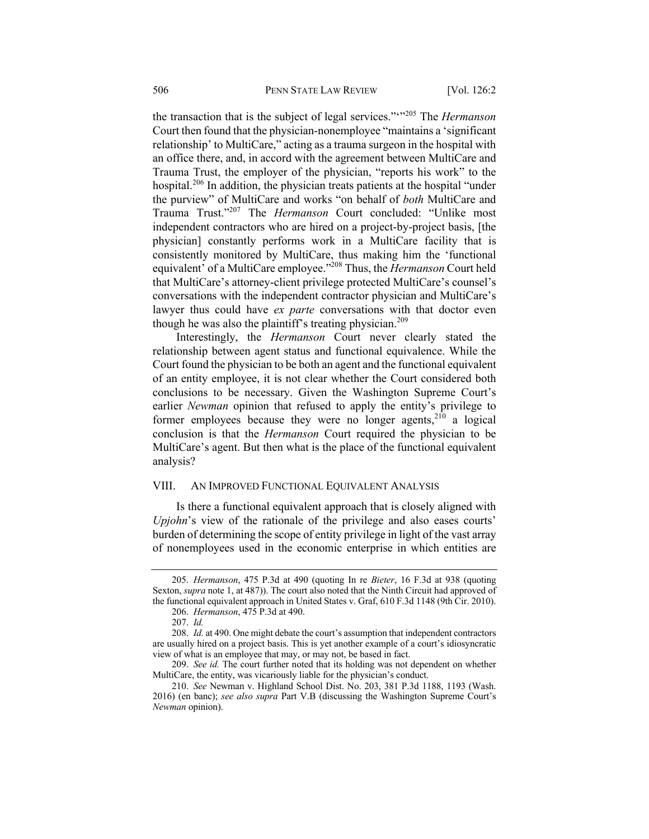the transaction that is the subject of legal services."'"<sup>205</sup> The *Hermanson* Court then found that the physician-nonemployee "maintains a 'significant relationship' to MultiCare," acting as a trauma surgeon in the hospital with an office there, and, in accord with the agreement between MultiCare and Trauma Trust, the employer of the physician, "reports his work" to the hospital.<sup>206</sup> In addition, the physician treats patients at the hospital "under the purview" of MultiCare and works "on behalf of *both* MultiCare and Trauma Trust."207 The *Hermanson* Court concluded: "Unlike most independent contractors who are hired on a project-by-project basis, [the physician] constantly performs work in a MultiCare facility that is consistently monitored by MultiCare, thus making him the 'functional equivalent' of a MultiCare employee."208 Thus, the *Hermanson* Court held that MultiCare's attorney-client privilege protected MultiCare's counsel's conversations with the independent contractor physician and MultiCare's lawyer thus could have *ex parte* conversations with that doctor even though he was also the plaintiff's treating physician.<sup>209</sup>

Interestingly, the *Hermanson* Court never clearly stated the relationship between agent status and functional equivalence. While the Court found the physician to be both an agent and the functional equivalent of an entity employee, it is not clear whether the Court considered both conclusions to be necessary. Given the Washington Supreme Court's earlier *Newman* opinion that refused to apply the entity's privilege to former employees because they were no longer agents,  $2^{10}$  a logical conclusion is that the *Hermanson* Court required the physician to be MultiCare's agent. But then what is the place of the functional equivalent analysis?

## VIII. AN IMPROVED FUNCTIONAL EQUIVALENT ANALYSIS

Is there a functional equivalent approach that is closely aligned with *Upjohn*'s view of the rationale of the privilege and also eases courts' burden of determining the scope of entity privilege in light of the vast array of nonemployees used in the economic enterprise in which entities are

<sup>205.</sup> *Hermanson*, 475 P.3d at 490 (quoting In re *Bieter*, 16 F.3d at 938 (quoting Sexton, *supra* note 1, at 487)). The court also noted that the Ninth Circuit had approved of the functional equivalent approach in United States v. Graf, 610 F.3d 1148 (9th Cir. 2010).

<sup>206.</sup> *Hermanson*, 475 P.3d at 490.

<sup>207.</sup> *Id.*

<sup>208.</sup> *Id.* at 490. One might debate the court's assumption that independent contractors are usually hired on a project basis. This is yet another example of a court's idiosyncratic view of what is an employee that may, or may not, be based in fact.

<sup>209.</sup> *See id.* The court further noted that its holding was not dependent on whether MultiCare, the entity, was vicariously liable for the physician's conduct.

<sup>210.</sup> *See* Newman v. Highland School Dist. No. 203, 381 P.3d 1188, 1193 (Wash. 2016) (en banc); *see also supra* Part V.B (discussing the Washington Supreme Court's *Newman* opinion).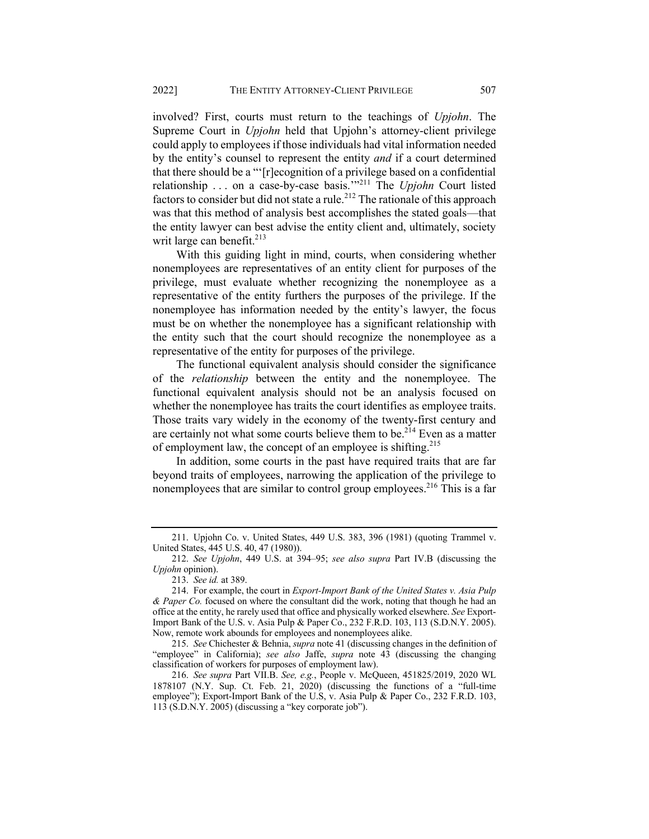involved? First, courts must return to the teachings of *Upjohn*. The Supreme Court in *Upjohn* held that Upjohn's attorney-client privilege could apply to employees if those individuals had vital information needed by the entity's counsel to represent the entity *and* if a court determined that there should be a "'[r]ecognition of a privilege based on a confidential relationship . . . on a case-by-case basis.'"<sup>211</sup> The *Upjohn* Court listed factors to consider but did not state a rule.<sup>212</sup> The rationale of this approach was that this method of analysis best accomplishes the stated goals—that the entity lawyer can best advise the entity client and, ultimately, society writ large can benefit.<sup>213</sup>

With this guiding light in mind, courts, when considering whether nonemployees are representatives of an entity client for purposes of the privilege, must evaluate whether recognizing the nonemployee as a representative of the entity furthers the purposes of the privilege. If the nonemployee has information needed by the entity's lawyer, the focus must be on whether the nonemployee has a significant relationship with the entity such that the court should recognize the nonemployee as a representative of the entity for purposes of the privilege.

The functional equivalent analysis should consider the significance of the *relationship* between the entity and the nonemployee. The functional equivalent analysis should not be an analysis focused on whether the nonemployee has traits the court identifies as employee traits. Those traits vary widely in the economy of the twenty-first century and are certainly not what some courts believe them to be.<sup>214</sup> Even as a matter of employment law, the concept of an employee is shifting.<sup>215</sup>

In addition, some courts in the past have required traits that are far beyond traits of employees, narrowing the application of the privilege to nonemployees that are similar to control group employees.<sup>216</sup> This is a far

<sup>211.</sup> Upjohn Co. v. United States, 449 U.S. 383, 396 (1981) (quoting Trammel v. United States, 445 U.S. 40, 47 (1980)).

<sup>212.</sup> *See Upjohn*, 449 U.S. at 394–95; *see also supra* Part IV.B (discussing the *Upjohn* opinion).

<sup>213.</sup> *See id.* at 389.

<sup>214.</sup> For example, the court in *Export-Import Bank of the United States v. Asia Pulp & Paper Co.* focused on where the consultant did the work, noting that though he had an office at the entity, he rarely used that office and physically worked elsewhere. *See* Export-Import Bank of the U.S. v. Asia Pulp & Paper Co., 232 F.R.D. 103, 113 (S.D.N.Y. 2005). Now, remote work abounds for employees and nonemployees alike.

<sup>215.</sup> *See* Chichester & Behnia, *supra* note 41 (discussing changes in the definition of "employee" in California); *see also* Jaffe, *supra* note 43 (discussing the changing classification of workers for purposes of employment law).

<sup>216.</sup> *See supra* Part VII.B. *See, e.g.*, People v. McQueen, 451825/2019, 2020 WL 1878107 (N.Y. Sup. Ct. Feb. 21, 2020) (discussing the functions of a "full-time employee"); Export-Import Bank of the U.S, v. Asia Pulp & Paper Co., 232 F.R.D. 103, 113 (S.D.N.Y. 2005) (discussing a "key corporate job").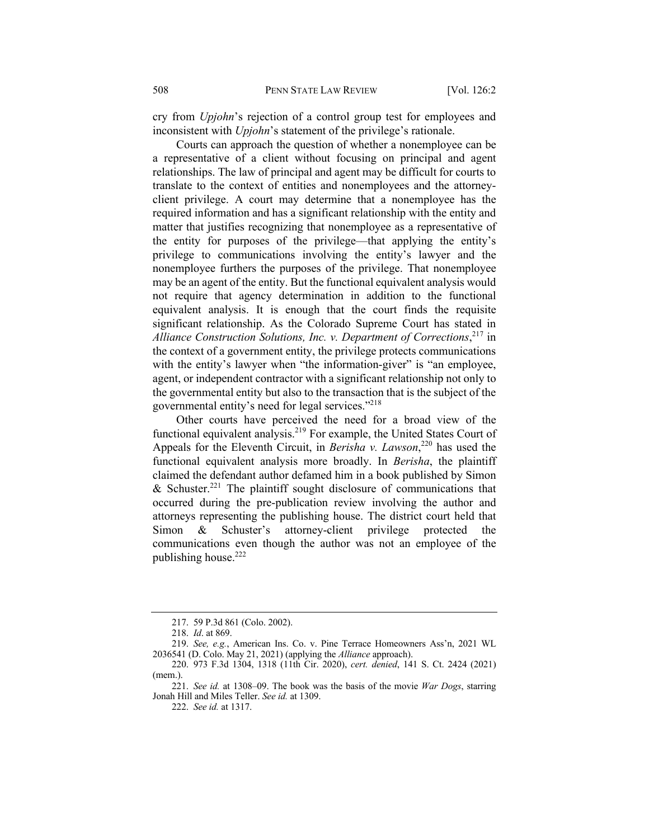cry from *Upjohn*'s rejection of a control group test for employees and inconsistent with *Upjohn*'s statement of the privilege's rationale.

Courts can approach the question of whether a nonemployee can be a representative of a client without focusing on principal and agent relationships. The law of principal and agent may be difficult for courts to translate to the context of entities and nonemployees and the attorneyclient privilege. A court may determine that a nonemployee has the required information and has a significant relationship with the entity and matter that justifies recognizing that nonemployee as a representative of the entity for purposes of the privilege—that applying the entity's privilege to communications involving the entity's lawyer and the nonemployee furthers the purposes of the privilege. That nonemployee may be an agent of the entity. But the functional equivalent analysis would not require that agency determination in addition to the functional equivalent analysis. It is enough that the court finds the requisite significant relationship. As the Colorado Supreme Court has stated in *Alliance Construction Solutions, Inc. v. Department of Corrections*, <sup>217</sup> in the context of a government entity, the privilege protects communications with the entity's lawyer when "the information-giver" is "an employee, agent, or independent contractor with a significant relationship not only to the governmental entity but also to the transaction that is the subject of the governmental entity's need for legal services."218

Other courts have perceived the need for a broad view of the functional equivalent analysis.219 For example, the United States Court of Appeals for the Eleventh Circuit, in *Berisha v. Lawson*<sup>220</sup> has used the functional equivalent analysis more broadly. In *Berisha*, the plaintiff claimed the defendant author defamed him in a book published by Simon & Schuster.<sup>221</sup> The plaintiff sought disclosure of communications that occurred during the pre-publication review involving the author and attorneys representing the publishing house. The district court held that Simon & Schuster's attorney-client privilege protected the communications even though the author was not an employee of the publishing house.222

<sup>217.</sup> 59 P.3d 861 (Colo. 2002).

<sup>218.</sup> *Id*. at 869.

<sup>219.</sup> *See, e.g.*, American Ins. Co. v. Pine Terrace Homeowners Ass'n, 2021 WL 2036541 (D. Colo. May 21, 2021) (applying the *Alliance* approach).

<sup>220.</sup> 973 F.3d 1304, 1318 (11th Cir. 2020), *cert. denied*, 141 S. Ct. 2424 (2021) (mem.).

<sup>221.</sup> *See id.* at 1308–09. The book was the basis of the movie *War Dogs*, starring Jonah Hill and Miles Teller. *See id.* at 1309.

<sup>222.</sup> *See id.* at 1317.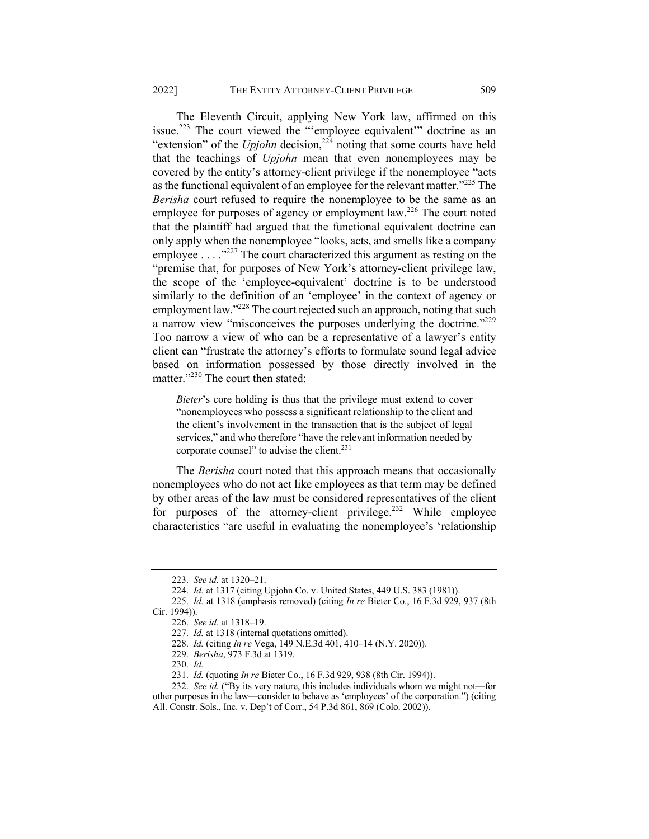The Eleventh Circuit, applying New York law, affirmed on this issue.<sup>223</sup> The court viewed the "'employee equivalent'" doctrine as an "extension" of the *Upjohn* decision,<sup>224</sup> noting that some courts have held that the teachings of *Upjohn* mean that even nonemployees may be covered by the entity's attorney-client privilege if the nonemployee "acts as the functional equivalent of an employee for the relevant matter."<sup>225</sup> The *Berisha* court refused to require the nonemployee to be the same as an employee for purposes of agency or employment law.<sup>226</sup> The court noted that the plaintiff had argued that the functional equivalent doctrine can only apply when the nonemployee "looks, acts, and smells like a company employee . . . .<sup>,,227</sup> The court characterized this argument as resting on the "premise that, for purposes of New York's attorney-client privilege law, the scope of the 'employee-equivalent' doctrine is to be understood similarly to the definition of an 'employee' in the context of agency or employment law."<sup>228</sup> The court rejected such an approach, noting that such a narrow view "misconceives the purposes underlying the doctrine."229 Too narrow a view of who can be a representative of a lawyer's entity client can "frustrate the attorney's efforts to formulate sound legal advice based on information possessed by those directly involved in the matter."<sup>230</sup> The court then stated:

*Bieter*'s core holding is thus that the privilege must extend to cover "nonemployees who possess a significant relationship to the client and the client's involvement in the transaction that is the subject of legal services," and who therefore "have the relevant information needed by corporate counsel" to advise the client.<sup>231</sup>

The *Berisha* court noted that this approach means that occasionally nonemployees who do not act like employees as that term may be defined by other areas of the law must be considered representatives of the client for purposes of the attorney-client privilege.<sup>232</sup> While employee characteristics "are useful in evaluating the nonemployee's 'relationship

<sup>223.</sup> *See id.* at 1320–21.

<sup>224.</sup> *Id.* at 1317 (citing Upjohn Co. v. United States, 449 U.S. 383 (1981)).

<sup>225.</sup> *Id.* at 1318 (emphasis removed) (citing *In re* Bieter Co., 16 F.3d 929, 937 (8th Cir. 1994)).

<sup>226.</sup> *See id.* at 1318–19.

<sup>227.</sup> *Id.* at 1318 (internal quotations omitted).

<sup>228.</sup> *Id.* (citing *In re* Vega, 149 N.E.3d 401, 410–14 (N.Y. 2020)).

<sup>229.</sup> *Berisha*, 973 F.3d at 1319.

<sup>230.</sup> *Id.*

<sup>231.</sup> *Id.* (quoting *In re* Bieter Co., 16 F.3d 929, 938 (8th Cir. 1994)).

<sup>232.</sup> *See id.* ("By its very nature, this includes individuals whom we might not—for other purposes in the law—consider to behave as 'employees' of the corporation.") (citing All. Constr. Sols., Inc. v. Dep't of Corr., 54 P.3d 861, 869 (Colo. 2002)).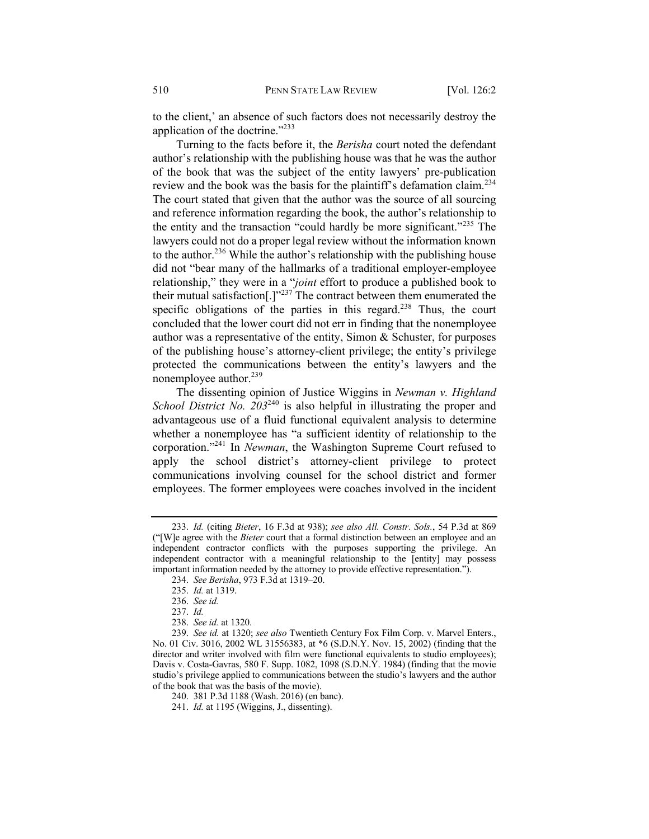to the client,' an absence of such factors does not necessarily destroy the application of the doctrine."233

Turning to the facts before it, the *Berisha* court noted the defendant author's relationship with the publishing house was that he was the author of the book that was the subject of the entity lawyers' pre-publication review and the book was the basis for the plaintiff's defamation claim.<sup>234</sup> The court stated that given that the author was the source of all sourcing and reference information regarding the book, the author's relationship to the entity and the transaction "could hardly be more significant."<sup>235</sup> The lawyers could not do a proper legal review without the information known to the author.<sup>236</sup> While the author's relationship with the publishing house did not "bear many of the hallmarks of a traditional employer-employee relationship," they were in a "*joint* effort to produce a published book to their mutual satisfaction[.]"<sup>237</sup> The contract between them enumerated the specific obligations of the parties in this regard.<sup>238</sup> Thus, the court concluded that the lower court did not err in finding that the nonemployee author was a representative of the entity, Simon & Schuster, for purposes of the publishing house's attorney-client privilege; the entity's privilege protected the communications between the entity's lawyers and the nonemployee author.<sup>239</sup>

The dissenting opinion of Justice Wiggins in *Newman v. Highland School District No. 203*<sup>240</sup> is also helpful in illustrating the proper and advantageous use of a fluid functional equivalent analysis to determine whether a nonemployee has "a sufficient identity of relationship to the corporation."241 In *Newman*, the Washington Supreme Court refused to apply the school district's attorney-client privilege to protect communications involving counsel for the school district and former employees. The former employees were coaches involved in the incident

<sup>233.</sup> *Id.* (citing *Bieter*, 16 F.3d at 938); *see also All. Constr. Sols.*, 54 P.3d at 869 ("[W]e agree with the *Bieter* court that a formal distinction between an employee and an independent contractor conflicts with the purposes supporting the privilege. An independent contractor with a meaningful relationship to the [entity] may possess important information needed by the attorney to provide effective representation.").

<sup>234.</sup> *See Berisha*, 973 F.3d at 1319–20.

<sup>235.</sup> *Id.* at 1319.

<sup>236.</sup> *See id.*

<sup>237.</sup> *Id.*

<sup>238.</sup> *See id.* at 1320.

<sup>239.</sup> *See id.* at 1320; *see also* Twentieth Century Fox Film Corp. v. Marvel Enters., No. 01 Civ. 3016, 2002 WL 31556383, at \*6 (S.D.N.Y. Nov. 15, 2002) (finding that the director and writer involved with film were functional equivalents to studio employees); Davis v. Costa-Gavras, 580 F. Supp. 1082, 1098 (S.D.N.Y. 1984) (finding that the movie studio's privilege applied to communications between the studio's lawyers and the author of the book that was the basis of the movie).

<sup>240.</sup> 381 P.3d 1188 (Wash. 2016) (en banc).

<sup>241.</sup> *Id.* at 1195 (Wiggins, J., dissenting).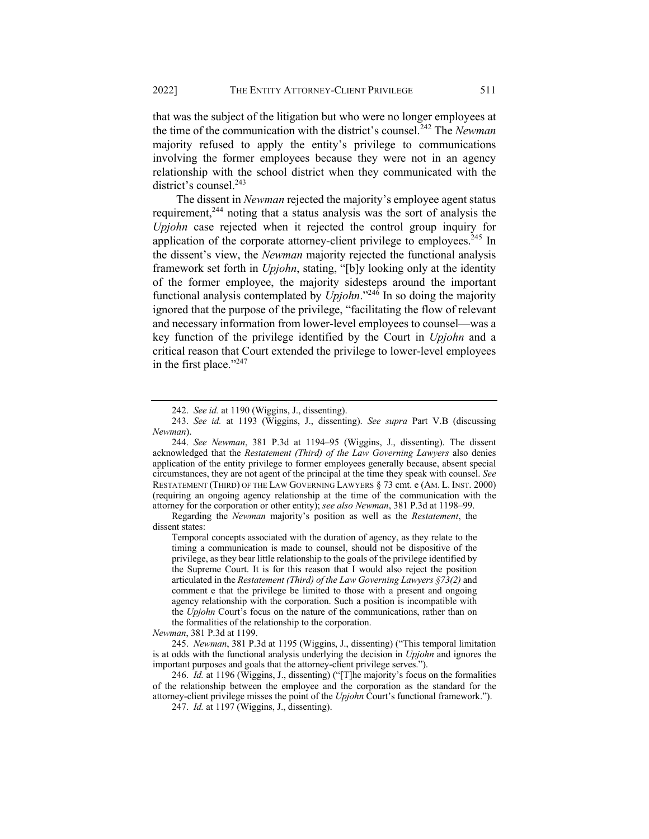that was the subject of the litigation but who were no longer employees at the time of the communication with the district's counsel.<sup>242</sup> The *Newman* majority refused to apply the entity's privilege to communications involving the former employees because they were not in an agency relationship with the school district when they communicated with the district's counsel.<sup>243</sup>

The dissent in *Newman* rejected the majority's employee agent status requirement, $244$  noting that a status analysis was the sort of analysis the *Upjohn* case rejected when it rejected the control group inquiry for application of the corporate attorney-client privilege to employees.<sup>245</sup> In the dissent's view, the *Newman* majority rejected the functional analysis framework set forth in *Upjohn*, stating, "[b]y looking only at the identity of the former employee, the majority sidesteps around the important functional analysis contemplated by *Upjohn*."<sup>246</sup> In so doing the majority ignored that the purpose of the privilege, "facilitating the flow of relevant and necessary information from lower-level employees to counsel—was a key function of the privilege identified by the Court in *Upjohn* and a critical reason that Court extended the privilege to lower-level employees in the first place." $247$ 

Regarding the *Newman* majority's position as well as the *Restatement*, the dissent states:

Temporal concepts associated with the duration of agency, as they relate to the timing a communication is made to counsel, should not be dispositive of the privilege, as they bear little relationship to the goals of the privilege identified by the Supreme Court. It is for this reason that I would also reject the position articulated in the *Restatement (Third) of the Law Governing Lawyers §73(2)* and comment e that the privilege be limited to those with a present and ongoing agency relationship with the corporation. Such a position is incompatible with the *Upjohn* Court's focus on the nature of the communications, rather than on the formalities of the relationship to the corporation.

*Newman*, 381 P.3d at 1199.

245. *Newman*, 381 P.3d at 1195 (Wiggins, J., dissenting) ("This temporal limitation is at odds with the functional analysis underlying the decision in *Upjohn* and ignores the important purposes and goals that the attorney-client privilege serves.").

246. *Id.* at 1196 (Wiggins, J., dissenting) ("[T]he majority's focus on the formalities of the relationship between the employee and the corporation as the standard for the attorney-client privilege misses the point of the *Upjohn* Court's functional framework.").

247. *Id.* at 1197 (Wiggins, J., dissenting).

<sup>242.</sup> *See id.* at 1190 (Wiggins, J., dissenting).

<sup>243.</sup> *See id.* at 1193 (Wiggins, J., dissenting). *See supra* Part V.B (discussing *Newman*).

<sup>244.</sup> *See Newman*, 381 P.3d at 1194–95 (Wiggins, J., dissenting). The dissent acknowledged that the *Restatement (Third) of the Law Governing Lawyers* also denies application of the entity privilege to former employees generally because, absent special circumstances, they are not agent of the principal at the time they speak with counsel. *See* RESTATEMENT (THIRD) OF THE LAW GOVERNING LAWYERS § 73 cmt. e (AM. L. INST. 2000) (requiring an ongoing agency relationship at the time of the communication with the attorney for the corporation or other entity); *see also Newman*, 381 P.3d at 1198–99.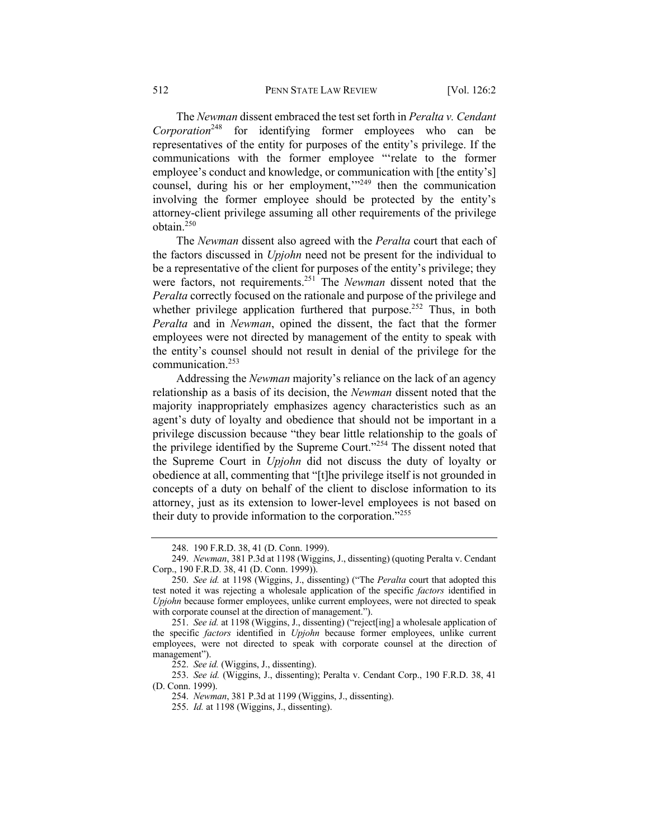The *Newman* dissent embraced the test set forth in *Peralta v. Cendant Corporation*<sup>248</sup> for identifying former employees who can be representatives of the entity for purposes of the entity's privilege. If the communications with the former employee "'relate to the former employee's conduct and knowledge, or communication with [the entity's] counsel, during his or her employment,"<sup>249</sup> then the communication involving the former employee should be protected by the entity's attorney-client privilege assuming all other requirements of the privilege obtain.250

The *Newman* dissent also agreed with the *Peralta* court that each of the factors discussed in *Upjohn* need not be present for the individual to be a representative of the client for purposes of the entity's privilege; they were factors, not requirements.251 The *Newman* dissent noted that the *Peralta* correctly focused on the rationale and purpose of the privilege and whether privilege application furthered that purpose.<sup>252</sup> Thus, in both *Peralta* and in *Newman*, opined the dissent, the fact that the former employees were not directed by management of the entity to speak with the entity's counsel should not result in denial of the privilege for the communication.<sup>253</sup>

Addressing the *Newman* majority's reliance on the lack of an agency relationship as a basis of its decision, the *Newman* dissent noted that the majority inappropriately emphasizes agency characteristics such as an agent's duty of loyalty and obedience that should not be important in a privilege discussion because "they bear little relationship to the goals of the privilege identified by the Supreme Court."<sup>254</sup> The dissent noted that the Supreme Court in *Upjohn* did not discuss the duty of loyalty or obedience at all, commenting that "[t]he privilege itself is not grounded in concepts of a duty on behalf of the client to disclose information to its attorney, just as its extension to lower-level employees is not based on their duty to provide information to the corporation."<sup>255</sup>

252. *See id.* (Wiggins, J., dissenting).

253. *See id.* (Wiggins, J., dissenting); Peralta v. Cendant Corp., 190 F.R.D. 38, 41 (D. Conn. 1999).

<sup>248.</sup> 190 F.R.D. 38, 41 (D. Conn. 1999).

<sup>249.</sup> *Newman*, 381 P.3d at 1198 (Wiggins, J., dissenting) (quoting Peralta v. Cendant Corp., 190 F.R.D. 38, 41 (D. Conn. 1999)).

<sup>250.</sup> *See id.* at 1198 (Wiggins, J., dissenting) ("The *Peralta* court that adopted this test noted it was rejecting a wholesale application of the specific *factors* identified in *Upjohn* because former employees, unlike current employees, were not directed to speak with corporate counsel at the direction of management.").

<sup>251.</sup> *See id.* at 1198 (Wiggins, J., dissenting) ("reject[ing] a wholesale application of the specific *factors* identified in *Upjohn* because former employees, unlike current employees, were not directed to speak with corporate counsel at the direction of management").

<sup>254.</sup> *Newman*, 381 P.3d at 1199 (Wiggins, J., dissenting).

<sup>255.</sup> *Id.* at 1198 (Wiggins, J., dissenting).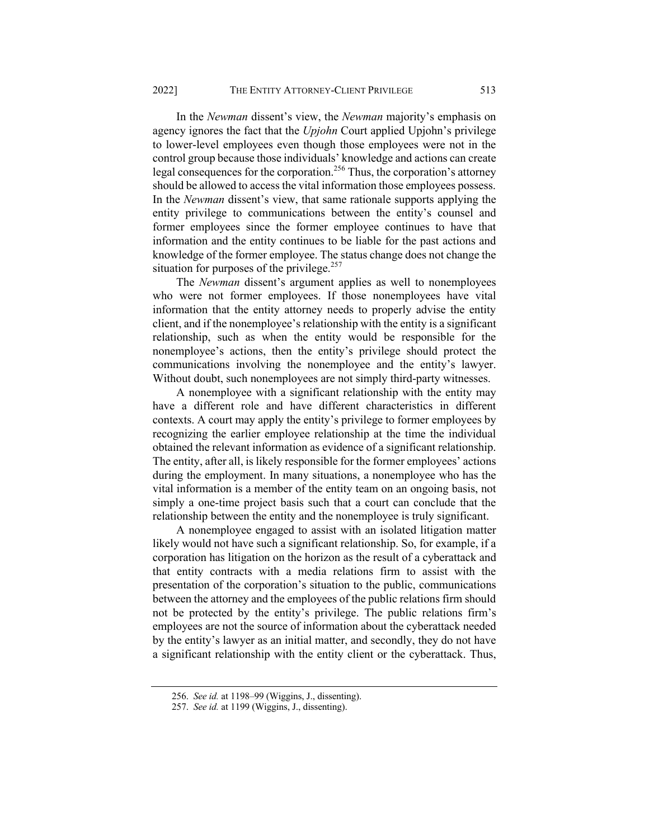In the *Newman* dissent's view, the *Newman* majority's emphasis on agency ignores the fact that the *Upjohn* Court applied Upjohn's privilege to lower-level employees even though those employees were not in the control group because those individuals' knowledge and actions can create legal consequences for the corporation.<sup>256</sup> Thus, the corporation's attorney should be allowed to access the vital information those employees possess. In the *Newman* dissent's view, that same rationale supports applying the entity privilege to communications between the entity's counsel and former employees since the former employee continues to have that information and the entity continues to be liable for the past actions and knowledge of the former employee. The status change does not change the situation for purposes of the privilege.<sup>257</sup>

The *Newman* dissent's argument applies as well to nonemployees who were not former employees. If those nonemployees have vital information that the entity attorney needs to properly advise the entity client, and if the nonemployee's relationship with the entity is a significant relationship, such as when the entity would be responsible for the nonemployee's actions, then the entity's privilege should protect the communications involving the nonemployee and the entity's lawyer. Without doubt, such nonemployees are not simply third-party witnesses.

A nonemployee with a significant relationship with the entity may have a different role and have different characteristics in different contexts. A court may apply the entity's privilege to former employees by recognizing the earlier employee relationship at the time the individual obtained the relevant information as evidence of a significant relationship. The entity, after all, is likely responsible for the former employees' actions during the employment. In many situations, a nonemployee who has the vital information is a member of the entity team on an ongoing basis, not simply a one-time project basis such that a court can conclude that the relationship between the entity and the nonemployee is truly significant.

A nonemployee engaged to assist with an isolated litigation matter likely would not have such a significant relationship. So, for example, if a corporation has litigation on the horizon as the result of a cyberattack and that entity contracts with a media relations firm to assist with the presentation of the corporation's situation to the public, communications between the attorney and the employees of the public relations firm should not be protected by the entity's privilege. The public relations firm's employees are not the source of information about the cyberattack needed by the entity's lawyer as an initial matter, and secondly, they do not have a significant relationship with the entity client or the cyberattack. Thus,

<sup>256.</sup> *See id.* at 1198–99 (Wiggins, J., dissenting).

<sup>257.</sup> *See id.* at 1199 (Wiggins, J., dissenting).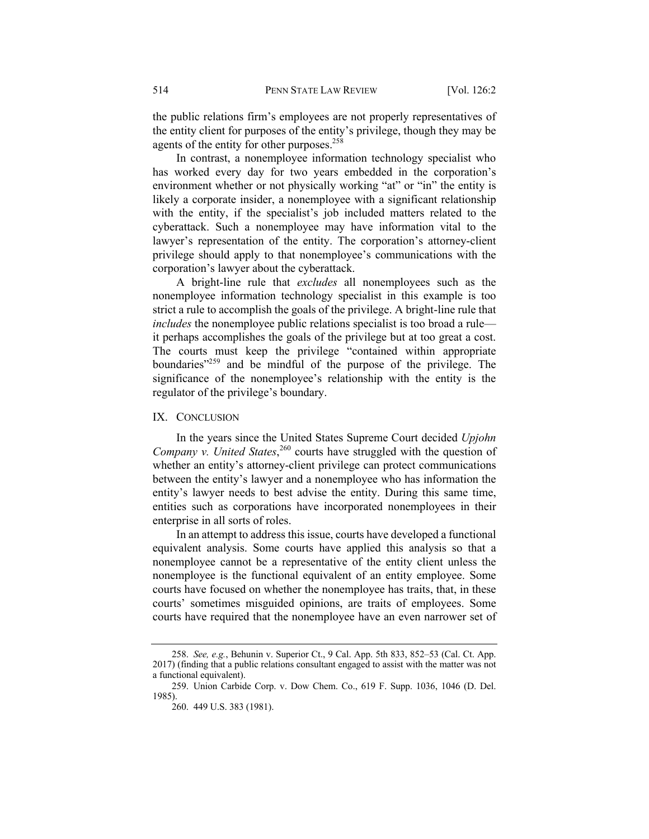the public relations firm's employees are not properly representatives of the entity client for purposes of the entity's privilege, though they may be agents of the entity for other purposes.<sup>258</sup>

In contrast, a nonemployee information technology specialist who has worked every day for two years embedded in the corporation's environment whether or not physically working "at" or "in" the entity is likely a corporate insider, a nonemployee with a significant relationship with the entity, if the specialist's job included matters related to the cyberattack. Such a nonemployee may have information vital to the lawyer's representation of the entity. The corporation's attorney-client privilege should apply to that nonemployee's communications with the corporation's lawyer about the cyberattack.

A bright-line rule that *excludes* all nonemployees such as the nonemployee information technology specialist in this example is too strict a rule to accomplish the goals of the privilege. A bright-line rule that *includes* the nonemployee public relations specialist is too broad a rule it perhaps accomplishes the goals of the privilege but at too great a cost. The courts must keep the privilege "contained within appropriate boundaries $v^{259}$  and be mindful of the purpose of the privilege. The significance of the nonemployee's relationship with the entity is the regulator of the privilege's boundary.

## IX. CONCLUSION

In the years since the United States Supreme Court decided *Upjohn*  Company v. United States,<sup>260</sup> courts have struggled with the question of whether an entity's attorney-client privilege can protect communications between the entity's lawyer and a nonemployee who has information the entity's lawyer needs to best advise the entity. During this same time, entities such as corporations have incorporated nonemployees in their enterprise in all sorts of roles.

In an attempt to address this issue, courts have developed a functional equivalent analysis. Some courts have applied this analysis so that a nonemployee cannot be a representative of the entity client unless the nonemployee is the functional equivalent of an entity employee. Some courts have focused on whether the nonemployee has traits, that, in these courts' sometimes misguided opinions, are traits of employees. Some courts have required that the nonemployee have an even narrower set of

<sup>258.</sup> *See, e.g.*, Behunin v. Superior Ct., 9 Cal. App. 5th 833, 852–53 (Cal. Ct. App. 2017) (finding that a public relations consultant engaged to assist with the matter was not a functional equivalent).

<sup>259.</sup> Union Carbide Corp. v. Dow Chem. Co., 619 F. Supp. 1036, 1046 (D. Del. 1985).

<sup>260.</sup> 449 U.S. 383 (1981).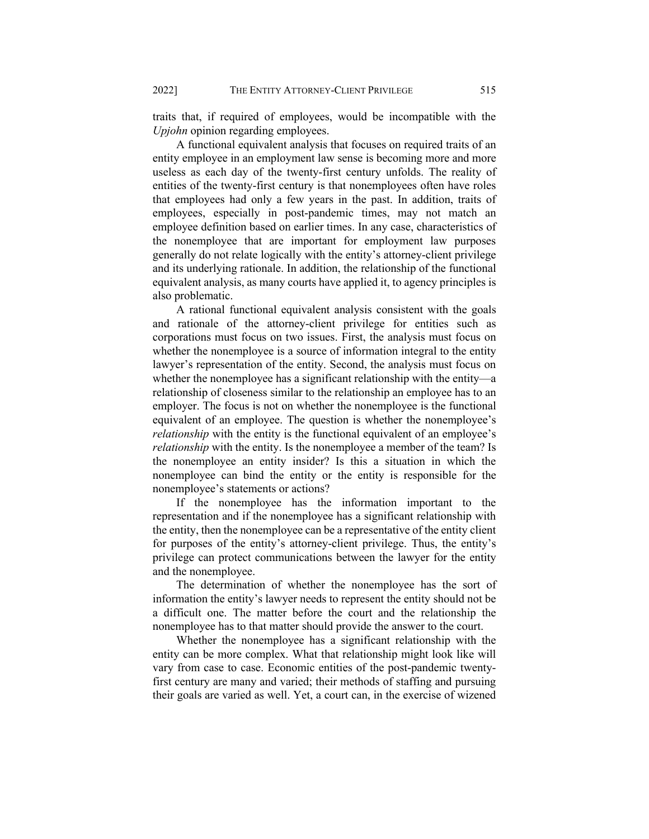traits that, if required of employees, would be incompatible with the *Upjohn* opinion regarding employees.

A functional equivalent analysis that focuses on required traits of an entity employee in an employment law sense is becoming more and more useless as each day of the twenty-first century unfolds. The reality of entities of the twenty-first century is that nonemployees often have roles that employees had only a few years in the past. In addition, traits of employees, especially in post-pandemic times, may not match an employee definition based on earlier times. In any case, characteristics of the nonemployee that are important for employment law purposes generally do not relate logically with the entity's attorney-client privilege and its underlying rationale. In addition, the relationship of the functional equivalent analysis, as many courts have applied it, to agency principles is also problematic.

A rational functional equivalent analysis consistent with the goals and rationale of the attorney-client privilege for entities such as corporations must focus on two issues. First, the analysis must focus on whether the nonemployee is a source of information integral to the entity lawyer's representation of the entity. Second, the analysis must focus on whether the nonemployee has a significant relationship with the entity—a relationship of closeness similar to the relationship an employee has to an employer. The focus is not on whether the nonemployee is the functional equivalent of an employee. The question is whether the nonemployee's *relationship* with the entity is the functional equivalent of an employee's *relationship* with the entity. Is the nonemployee a member of the team? Is the nonemployee an entity insider? Is this a situation in which the nonemployee can bind the entity or the entity is responsible for the nonemployee's statements or actions?

If the nonemployee has the information important to the representation and if the nonemployee has a significant relationship with the entity, then the nonemployee can be a representative of the entity client for purposes of the entity's attorney-client privilege. Thus, the entity's privilege can protect communications between the lawyer for the entity and the nonemployee.

The determination of whether the nonemployee has the sort of information the entity's lawyer needs to represent the entity should not be a difficult one. The matter before the court and the relationship the nonemployee has to that matter should provide the answer to the court.

Whether the nonemployee has a significant relationship with the entity can be more complex. What that relationship might look like will vary from case to case. Economic entities of the post-pandemic twentyfirst century are many and varied; their methods of staffing and pursuing their goals are varied as well. Yet, a court can, in the exercise of wizened